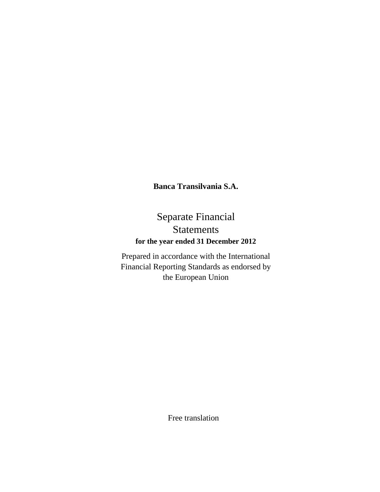# Separate Financial Statements **for the year ended 31 December 2012**

Prepared in accordance with the International Financial Reporting Standards as endorsed by the European Union

Free translation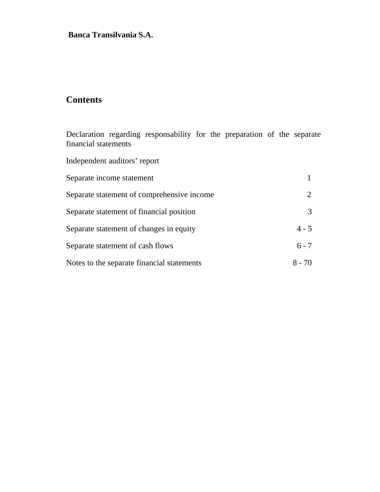# **Contents**

Declaration regarding responsability for the preparation of the separate financial statements

Independent auditors' report

| Separate income statement                  |          |
|--------------------------------------------|----------|
| Separate statement of comprehensive income |          |
| Separate statement of financial position   |          |
| Separate statement of changes in equity    | $4 - 5$  |
| Separate statement of cash flows           | $6 - 7$  |
| Notes to the separate financial statements | $8 - 70$ |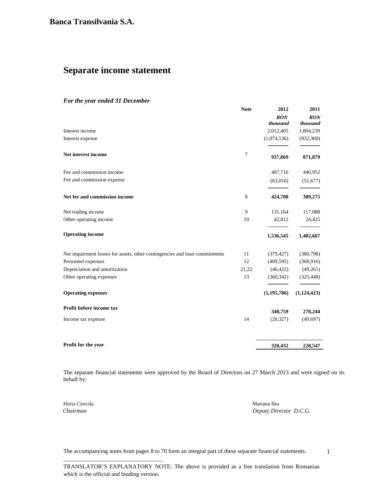## **Separate income statement**

#### *For the year ended 31 December*

|                                                                            | <b>Note</b>     | 2012            | 2011                   |
|----------------------------------------------------------------------------|-----------------|-----------------|------------------------|
|                                                                            |                 | RON<br>thousand | <b>RON</b><br>thousand |
| Interest income                                                            |                 | 2,012,405       | 1,804,239              |
| Interest expense                                                           |                 | (1,074,536)     | (932, 360)             |
| Net interest income                                                        | $7\phantom{.0}$ | 937,869         | 871,879                |
| Fee and commission income                                                  |                 | 487,716         | 440,952                |
| Fee and commission expense                                                 |                 | (63,016)        | (51, 677)              |
| Net fee and commission income                                              | 8               | 424,700         | 389,275                |
| Net trading income                                                         | 9               | 131,164         | 117,088                |
| Other operating income                                                     | 10              | 42,812          | 24,425                 |
| <b>Operating income</b>                                                    |                 | 1,536,545       | 1,402,667              |
| Net impairment losses for assets, other contingencies and loan commitments | 11              | (379, 427)      | (380,798)              |
| Personnel expenses                                                         | 12              | (409, 595)      | (368, 916)             |
| Depreciation and amortization                                              | 21,22           | (46, 422)       | (49,261)               |
| Other operating expenses                                                   | 13              | (360, 342)      | (325, 448)             |
| <b>Operating expenses</b>                                                  |                 | (1, 195, 786)   | (1,124,423)            |
| Profit before income tax                                                   |                 | 340,759         | 278,244                |
| Income tax expense                                                         | 14              | (20, 327)       | (49, 697)              |
| Profit for the year                                                        |                 | 320,432         | 228,547                |

The separate financial statements were approved by the Board of Directors on 27 March 2013 and were signed on its behalf by:

Horia Ciorcila Mariana Ilea

\_\_\_\_\_\_\_\_\_\_\_\_\_\_\_\_\_\_\_\_\_\_\_\_\_\_\_\_\_\_\_\_\_\_

 *Chairman Deputy Director D.C.G.*

1

The accompanying notes from pages 8 to 70 form an integral part of these separate financial statements.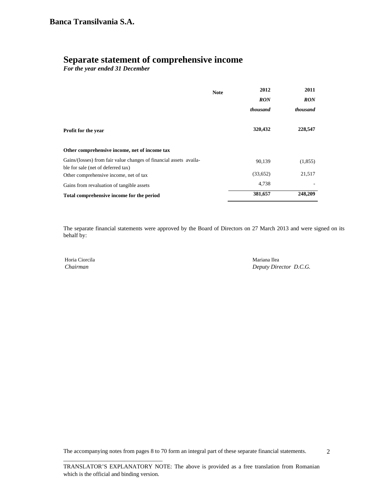## **Separate statement of comprehensive income**

*For the year ended 31 December* 

|                                                                                                          | <b>Note</b> | 2012       | 2011       |
|----------------------------------------------------------------------------------------------------------|-------------|------------|------------|
|                                                                                                          |             | <b>RON</b> | <b>RON</b> |
|                                                                                                          |             | thousand   | thousand   |
| <b>Profit for the year</b>                                                                               |             | 320,432    | 228,547    |
| Other comprehensive income, net of income tax                                                            |             |            |            |
| Gains/(losses) from fair value changes of financial assets availa-<br>ble for sale (net of deferred tax) |             | 90,139     | (1,855)    |
| Other comprehensive income, net of tax                                                                   |             | (33,652)   | 21,517     |
| Gains from revaluation of tangible assets                                                                |             | 4,738      |            |
| Total comprehensive income for the period                                                                |             | 381,657    | 248,209    |

The separate financial statements were approved by the Board of Directors on 27 March 2013 and were signed on its behalf by:

Horia Ciorcila Mariana Ilea

\_\_\_\_\_\_\_\_\_\_\_\_\_\_\_\_\_\_\_\_\_\_\_\_\_\_\_\_\_\_\_\_\_\_

 *Chairman Deputy Director D.C.G.*

The accompanying notes from pages 8 to 70 form an integral part of these separate financial statements.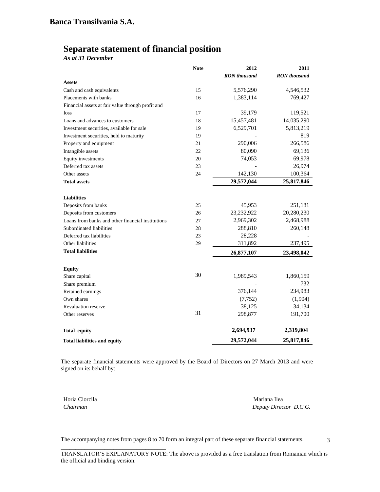## **Separate statement of financial position**

*As at 31 December*

|                                                   | <b>Note</b> | 2012                | 2011                |
|---------------------------------------------------|-------------|---------------------|---------------------|
|                                                   |             | <b>RON</b> thousand | <b>RON</b> thousand |
| <b>Assets</b>                                     |             |                     |                     |
| Cash and cash equivalents                         | 15          | 5,576,290           | 4,546,532           |
| Placements with banks                             | 16          | 1,383,114           | 769,427             |
| Financial assets at fair value through profit and |             |                     |                     |
| loss                                              | 17          | 39,179              | 119,521             |
| Loans and advances to customers                   | 18          | 15,457,481          | 14,035,290          |
| Investment securities, available for sale         | 19          | 6,529,701           | 5,813,219           |
| Investment securities, held to maturity           | 19          |                     | 819                 |
| Property and equipment                            | 21          | 290,006             | 266,586             |
| Intangible assets                                 | 22          | 80,090              | 69,136              |
| Equity investments                                | 20          | 74,053              | 69,978              |
| Deferred tax assets                               | 23          |                     | 26,974              |
| Other assets                                      | 24          | 142,130             | 100,364             |
| <b>Total assets</b>                               |             | 29,572,044          | 25,817,846          |
|                                                   |             |                     |                     |
| <b>Liabilities</b>                                |             |                     |                     |
| Deposits from banks                               | 25          | 45,953              | 251,181             |
| Deposits from customers                           | 26          | 23,232,922          | 20,280,230          |
| Loans from banks and other financial institutions | 27          | 2,969,302           | 2,468,988           |
| Subordinated liabilities                          | 28          | 288,810             | 260,148             |
| Deferred tax liabilities                          | 23          | 28,228              |                     |
| Other liabilities                                 | 29          | 311,892             | 237,495             |
| <b>Total liabilities</b>                          |             | 26,877,107          | 23,498,042          |
|                                                   |             |                     |                     |
| <b>Equity</b>                                     | 30          |                     |                     |
| Share capital                                     |             | 1,989,543           | 1,860,159           |
| Share premium                                     |             |                     | 732                 |
| Retained earnings                                 |             | 376,144             | 234,983             |
| Own shares                                        |             | (7, 752)            | (1,904)             |
| <b>Revaluation reserve</b>                        |             | 38,125              | 34,134              |
| Other reserves                                    | 31          | 298,877             | 191,700             |
| <b>Total equity</b>                               |             | 2,694,937           | 2,319,804           |
| <b>Total liabilities and equity</b>               |             | 29,572,044          | 25,817,846          |

The separate financial statements were approved by the Board of Directors on 27 March 2013 and were signed on its behalf by:

Horia Ciorcila Mariana Ilea

\_\_\_\_\_\_\_\_\_\_\_\_\_\_\_\_\_\_\_\_\_\_\_\_\_\_\_\_\_\_\_\_\_\_\_\_

*Chairman Deputy Director D.C.G.*

The accompanying notes from pages 8 to 70 form an integral part of these separate financial statements.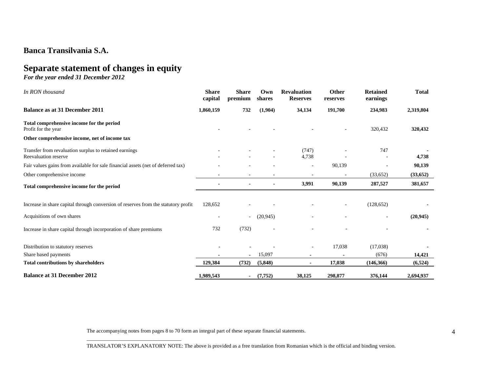# **Separate statement of changes in equity**

*For the year ended 31 December 2012* 

| In RON thousand                                                                    | <b>Share</b><br>capital | <b>Share</b><br>premium  | Own<br>shares            | <b>Revaluation</b><br><b>Reserves</b> | <b>Other</b><br>reserves | <b>Retained</b><br>earnings | <b>Total</b> |
|------------------------------------------------------------------------------------|-------------------------|--------------------------|--------------------------|---------------------------------------|--------------------------|-----------------------------|--------------|
| <b>Balance as at 31 December 2011</b>                                              | 1,860,159               | 732                      | (1,904)                  | 34,134                                | 191,700                  | 234,983                     | 2,319,804    |
| Total comprehensive income for the period<br>Profit for the year                   |                         |                          |                          |                                       |                          | 320,432                     | 320,432      |
| Other comprehensive income, net of income tax                                      |                         |                          |                          |                                       |                          |                             |              |
| Transfer from revaluation surplus to retained earnings<br>Reevaluation reserve     |                         |                          |                          | (747)<br>4,738                        |                          | 747                         | 4,738        |
| Fair values gains from available for sale financial assets (net of deferred tax)   |                         |                          |                          | $\overline{\phantom{a}}$              | 90,139                   |                             | 90,139       |
| Other comprehensive income                                                         |                         | ٠                        | ٠                        |                                       |                          | (33,652)                    | (33, 652)    |
| Total comprehensive income for the period                                          |                         | ۰                        |                          | 3,991                                 | 90,139                   | 287,527                     | 381,657      |
| Increase in share capital through conversion of reserves from the statutory profit | 128,652                 |                          |                          |                                       | $\overline{\phantom{a}}$ | (128, 652)                  |              |
| Acquisitions of own shares                                                         |                         | $\overline{\phantom{a}}$ | (20, 945)                |                                       |                          | $\overline{\phantom{a}}$    | (20, 945)    |
| Increase in share capital through incorporation of share premiums                  | 732                     | (732)                    | $\overline{\phantom{a}}$ |                                       |                          |                             |              |
| Distribution to statutory reserves                                                 |                         |                          |                          | $\overline{\phantom{a}}$              | 17,038                   | (17,038)                    |              |
| Share based payments                                                               |                         | $\blacksquare$           | 15,097                   | ٠                                     |                          | (676)                       | 14,421       |
| <b>Total contributions by shareholders</b>                                         | 129,384                 | (732)                    | (5,848)                  | ۰.                                    | 17,038                   | (146, 366)                  | (6, 524)     |
| <b>Balance at 31 December 2012</b>                                                 | 1.989.543               | ۰                        | (7,752)                  | 38,125                                | 298,877                  | 376,144                     | 2,694,937    |

The accompanying notes from pages 8 to 70 form an integral part of these separate financial statements.

\_\_\_\_\_\_\_\_\_\_\_\_\_\_\_\_\_\_\_\_\_\_\_\_\_\_\_\_\_\_\_\_\_\_\_\_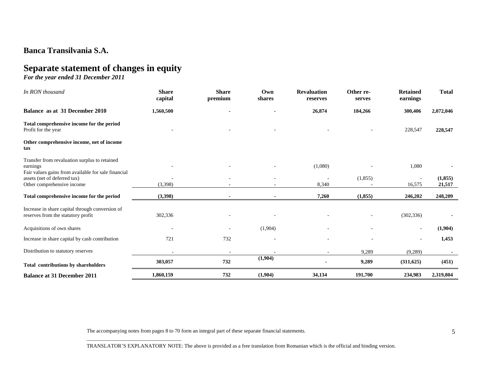# **Separate statement of changes in equity**

*For the year ended 31 December 2011* 

| In RON thousand                                                                                                  | <b>Share</b><br>capital | <b>Share</b><br>premium  | Own<br>shares | <b>Revaluation</b><br>reserves | Other re-<br>serves | <b>Retained</b><br>earnings | <b>Total</b>       |
|------------------------------------------------------------------------------------------------------------------|-------------------------|--------------------------|---------------|--------------------------------|---------------------|-----------------------------|--------------------|
| Balance as at 31 December 2010                                                                                   | 1,560,500               |                          |               | 26,874                         | 184,266             | 300,406                     | 2,072,046          |
| Total comprehensive income for the period<br>Profit for the year                                                 |                         |                          |               |                                |                     | 228,547                     | 228,547            |
| Other comprehensive income, net of income<br>tax                                                                 |                         |                          |               |                                |                     |                             |                    |
| Transfer from revaluation surplus to retained<br>earnings<br>Fair values gains from available for sale financial |                         |                          |               | (1,080)                        |                     | 1,080                       |                    |
| assets (net of deferred tax)<br>Other comprehensive income                                                       | (3,398)                 |                          |               | 8,340                          | (1,855)             | 16,575                      | (1, 855)<br>21,517 |
| Total comprehensive income for the period                                                                        | (3,398)                 |                          |               | 7,260                          | (1, 855)            | 246,202                     | 248,209            |
| Increase in share capital through conversion of<br>reserves from the statutory profit                            | 302,336                 |                          |               |                                |                     | (302, 336)                  |                    |
| Acquisitions of own shares                                                                                       |                         |                          | (1,904)       |                                |                     | $\overline{\phantom{a}}$    | (1,904)            |
| Increase in share capital by cash contribution                                                                   | 721                     | 732                      | $\sim$        |                                |                     | ٠                           | 1,453              |
| Distribution to statutory reserves                                                                               | $\overline{a}$          | $\overline{\phantom{a}}$ |               | $\sim$                         | 9,289               | (9,289)                     |                    |
| <b>Total contributions by shareholders</b>                                                                       | 303,057                 | 732                      | (1,904)       |                                | 9,289               | (311, 625)                  | (451)              |
| <b>Balance at 31 December 2011</b>                                                                               | 1,860,159               | 732                      | (1,904)       | 34,134                         | 191,700             | 234,983                     | 2,319,804          |

The accompanying notes from pages 8 to 70 form an integral part of these separate financial statements.

\_\_\_\_\_\_\_\_\_\_\_\_\_\_\_\_\_\_\_\_\_\_\_\_\_\_\_\_\_\_\_\_\_\_\_\_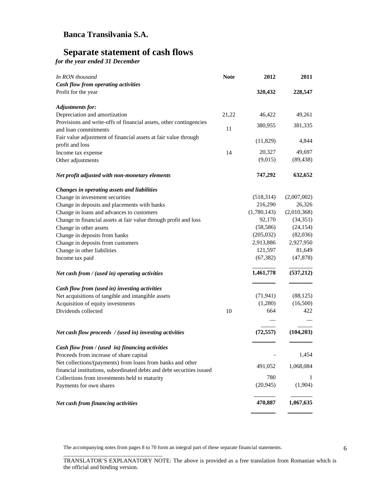## **Separate statement of cash flows**

*for the year ended 31 December* 

| In RON thousand                                                       | <b>Note</b> | 2012        | 2011        |
|-----------------------------------------------------------------------|-------------|-------------|-------------|
| Cash flow from operating activities                                   |             |             |             |
| Profit for the year                                                   |             | 320,432     | 228,547     |
| <b>Adjustments for:</b>                                               |             |             |             |
| Depreciation and amortization                                         | 21,22       | 46,422      | 49,261      |
| Provisions and write-offs of financial assets, other contingencies    |             | 380,955     | 381,335     |
| and loan commitments                                                  | 11          |             |             |
| Fair value adjustment of financial assets at fair value through       |             | (11,829)    | 4,844       |
| profit and loss                                                       |             |             |             |
| Income tax expense                                                    | 14          | 20,327      | 49,697      |
| Other adjustments                                                     |             | (9,015)     | (89, 438)   |
| Net profit adjusted with non-monetary elements                        |             | 747,292     | 632,652     |
| Changes in operating assets and liabilities                           |             |             |             |
| Change in investment securities                                       |             | (518, 314)  | (2,007,002) |
| Change in deposits and placements with banks                          |             | 216,290     | 26,326      |
| Change in loans and advances to customers                             |             | (1,780,143) | (2,010,368) |
| Change in financial assets at fair value through profit and loss      |             | 92,170      | (34, 351)   |
| Change in other assets                                                |             | (58, 586)   | (24, 154)   |
| Change in deposits from banks                                         |             | (205, 032)  | (82,036)    |
| Change in deposits from customers                                     |             | 2,913,886   | 2,927,950   |
| Change in other liabilities                                           |             | 121,597     | 81,649      |
| Income tax paid                                                       |             | (67, 382)   | (47, 878)   |
| Net cash from / (used in) operating activities                        |             | 1,461,778   | (537,212)   |
| Cash flow from (used in) investing activities                         |             |             |             |
| Net acquisitions of tangible and intangible assets                    |             | (71, 941)   | (88, 125)   |
| Acquisition of equity investments                                     |             | (1,280)     | (16,500)    |
| Dividends collected                                                   | 10          | 664         | 422         |
|                                                                       |             |             |             |
| Net cash flow proceeds / (used in) investing activities               |             | (72, 557)   | (104, 203)  |
| Cash flow from / (used in) financing activities                       |             |             |             |
| Proceeds from increase of share capital                               |             |             | 1,454       |
| Net collections/(payments) from loans from banks and other            |             | 491,052     | 1,068,084   |
| financial institutions, subordinated debts and debt securities issued |             |             |             |
| Collections from investments held to maturity                         |             | 780         |             |
| Payments for own shares                                               |             | (20, 945)   | (1,904)     |
| Net cash from financing activities                                    |             | 470,887     | 1,067,635   |

The accompanying notes from pages 8 to 70 form an integral part of these separate financial statements.

\_\_\_\_\_\_\_\_\_\_\_\_\_\_\_\_\_\_\_\_\_\_\_\_\_\_\_\_\_\_\_\_\_\_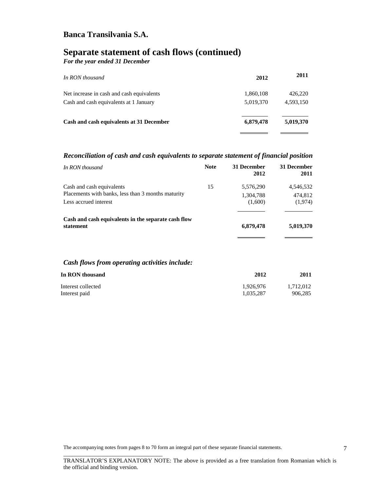# **Separate statement of cash flows (continued)**

*For the year ended 31 December* 

| In RON thousand                           | 2012      | 2011      |
|-------------------------------------------|-----------|-----------|
| Net increase in cash and cash equivalents | 1,860,108 | 426,220   |
| Cash and cash equivalents at 1 January    | 5,019,370 | 4,593,150 |
| Cash and cash equivalents at 31 December  | 6,879,478 | 5,019,370 |
|                                           |           |           |

### *Reconciliation of cash and cash equivalents to separate statement of financial position*

| In RON thousand                                                                                          | <b>Note</b> | 31 December<br>2012               | 31 December<br>2011             |
|----------------------------------------------------------------------------------------------------------|-------------|-----------------------------------|---------------------------------|
| Cash and cash equivalents<br>Placements with banks, less than 3 months maturity<br>Less accrued interest | 15          | 5,576,290<br>1,304,788<br>(1,600) | 4,546,532<br>474,812<br>(1,974) |
| Cash and cash equivalents in the separate cash flow<br>statement                                         |             | 6,879,478                         | 5,019,370                       |
| Cash flows from operating activities include:                                                            |             |                                   |                                 |
| In RON thousand                                                                                          |             | 2012                              | 2011                            |
| Interest collected                                                                                       |             | 1,926,976                         | 1,712,012                       |

Interest paid 1,035,287 906,285

The accompanying notes from pages 8 to 70 form an integral part of these separate financial statements.

\_\_\_\_\_\_\_\_\_\_\_\_\_\_\_\_\_\_\_\_\_\_\_\_\_\_\_\_\_\_\_\_\_\_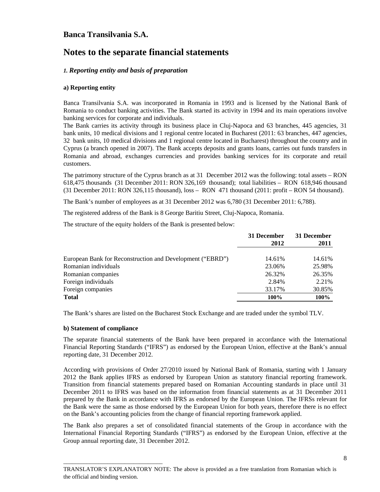## **Notes to the separate financial statements**

### *1. Reporting entity and basis of preparation*

### **a) Reporting entity**

Banca Transilvania S.A. was incorporated in Romania in 1993 and is licensed by the National Bank of Romania to conduct banking activities. The Bank started its activity in 1994 and its main operations involve banking services for corporate and individuals.

The Bank carries its activity through its business place in Cluj-Napoca and 63 branches, 445 agencies, 31 bank units, 10 medical divisions and 1 regional centre located in Bucharest (2011: 63 branches, 447 agencies, 32 bank units, 10 medical divisions and 1 regional centre located in Bucharest) throughout the country and in Cyprus (a branch opened in 2007). The Bank accepts deposits and grants loans, carries out funds transfers in Romania and abroad, exchanges currencies and provides banking services for its corporate and retail customers.

The patrimony structure of the Cyprus branch as at 31 December 2012 was the following: total assets – RON 618,475 thousands (31 December 2011: RON 326,169 thousand); total liabilities – RON 618,946 thousand (31 December 2011: RON 326,115 thousand), loss – RON 471 thousand (2011: profit – RON 54 thousand).

The Bank's number of employees as at 31 December 2012 was 6,780 (31 December 2011: 6,788).

The registered address of the Bank is 8 George Baritiu Street, Cluj-Napoca, Romania.

The structure of the equity holders of the Bank is presented below:

|                                                           | 31 December<br>2012 | 31 December<br>2011 |
|-----------------------------------------------------------|---------------------|---------------------|
|                                                           |                     |                     |
| European Bank for Reconstruction and Development ("EBRD") | 14.61%              | 14.61%              |
| Romanian individuals                                      | 23.06%              | 25.98%              |
| Romanian companies                                        | 26.32%              | 26.35%              |
| Foreign individuals                                       | 2.84%               | 2.21%               |
| Foreign companies                                         | 33.17%              | 30.85%              |
| <b>Total</b>                                              | 100%                | 100%                |

The Bank's shares are listed on the Bucharest Stock Exchange and are traded under the symbol TLV.

#### **b) Statement of compliance**

\_\_\_\_\_\_\_\_\_\_\_\_\_\_\_\_\_\_\_\_\_\_\_\_\_\_\_\_\_\_\_\_\_\_

The separate financial statements of the Bank have been prepared in accordance with the International Financial Reporting Standards ("IFRS") as endorsed by the European Union, effective at the Bank's annual reporting date, 31 December 2012.

According with provisions of Order 27/2010 issued by National Bank of Romania, starting with 1 January 2012 the Bank applies IFRS as endorsed by European Union as statutory financial reporting framework. Transition from financial statements prepared based on Romanian Accounting standards in place until 31 December 2011 to IFRS was based on the information from financial statements as at 31 December 2011 prepared by the Bank in accordance with IFRS as endorsed by the European Union. The IFRSs relevant for the Bank were the same as those endorsed by the European Union for both years, therefore there is no effect on the Bank's accounting policies from the change of financial reporting framework applied.

The Bank also prepares a set of consolidated financial statements of the Group in accordance with the International Financial Reporting Standards ("IFRS") as endorsed by the European Union, effective at the Group annual reporting date, 31 December 2012.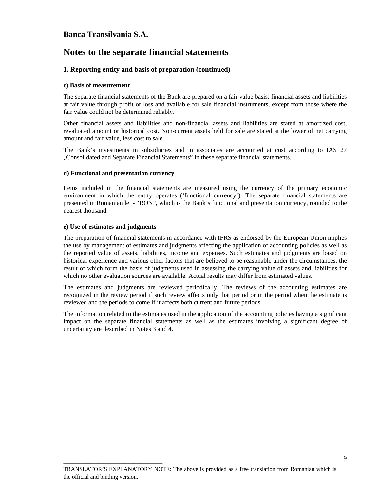## **Notes to the separate financial statements**

### **1. Reporting entity and basis of preparation (continued)**

#### **c) Basis of measurement**

The separate financial statements of the Bank are prepared on a fair value basis: financial assets and liabilities at fair value through profit or loss and available for sale financial instruments, except from those where the fair value could not be determined reliably.

Other financial assets and liabilities and non-financial assets and liabilities are stated at amortized cost, revaluated amount or historical cost. Non-current assets held for sale are stated at the lower of net carrying amount and fair value, less cost to sale.

The Bank's investments in subsidiaries and in associates are accounted at cost according to IAS 27 "Consolidated and Separate Financial Statements" in these separate financial statements.

### **d) Functional and presentation currency**

Items included in the financial statements are measured using the currency of the primary economic environment in which the entity operates ('functional currency'). The separate financial statements are presented in Romanian lei - "RON", which is the Bank's functional and presentation currency, rounded to the nearest thousand.

### **e) Use of estimates and judgments**

\_\_\_\_\_\_\_\_\_\_\_\_\_\_\_\_\_\_\_\_\_\_\_\_\_\_\_\_\_\_\_\_\_\_

The preparation of financial statements in accordance with IFRS as endorsed by the European Union implies the use by management of estimates and judgments affecting the application of accounting policies as well as the reported value of assets, liabilities, income and expenses. Such estimates and judgments are based on historical experience and various other factors that are believed to be reasonable under the circumstances, the result of which form the basis of judgments used in assessing the carrying value of assets and liabilities for which no other evaluation sources are available. Actual results may differ from estimated values.

The estimates and judgments are reviewed periodically. The reviews of the accounting estimates are recognized in the review period if such review affects only that period or in the period when the estimate is reviewed and the periods to come if it affects both current and future periods.

The information related to the estimates used in the application of the accounting policies having a significant impact on the separate financial statements as well as the estimates involving a significant degree of uncertainty are described in Notes 3 and 4.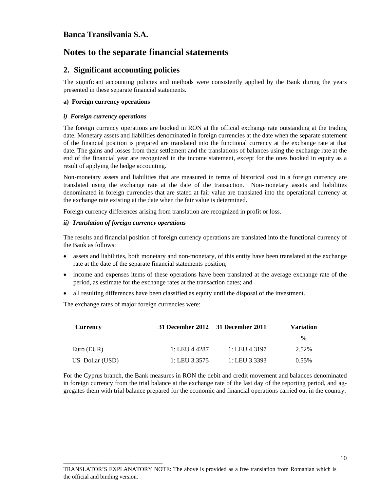## **Notes to the separate financial statements**

### **2. Significant accounting policies**

The significant accounting policies and methods were consistently applied by the Bank during the years presented in these separate financial statements.

### **a) Foreign currency operations**

### *i) Foreign currency operations*

The foreign currency operations are booked in RON at the official exchange rate outstanding at the trading date. Monetary assets and liabilities denominated in foreign currencies at the date when the separate statement of the financial position is prepared are translated into the functional currency at the exchange rate at that date. The gains and losses from their settlement and the translations of balances using the exchange rate at the end of the financial year are recognized in the income statement, except for the ones booked in equity as a result of applying the hedge accounting.

Non-monetary assets and liabilities that are measured in terms of historical cost in a foreign currency are translated using the exchange rate at the date of the transaction. Non-monetary assets and liabilities denominated in foreign currencies that are stated at fair value are translated into the operational currency at the exchange rate existing at the date when the fair value is determined.

Foreign currency differences arising from translation are recognized in profit or loss.

### *ii) Translation of foreign currency operations*

The results and financial position of foreign currency operations are translated into the functional currency of the Bank as follows:

- assets and liabilities, both monetary and non-monetary, of this entity have been translated at the exchange rate at the date of the separate financial statements position;
- income and expenses items of these operations have been translated at the average exchange rate of the period, as estimate for the exchange rates at the transaction dates; and
- all resulting differences have been classified as equity until the disposal of the investment.

The exchange rates of major foreign currencies were:

\_\_\_\_\_\_\_\_\_\_\_\_\_\_\_\_\_\_\_\_\_\_\_\_\_\_\_\_\_\_\_\_\_\_

| Currency        | 31 December 2012 31 December 2011 |               | <b>Variation</b> |
|-----------------|-----------------------------------|---------------|------------------|
|                 |                                   |               | $\frac{6}{9}$    |
| Euro (EUR)      | 1: LEU 4.4287                     | 1: LEU 4.3197 | 2.52%            |
| US Dollar (USD) | 1: LEU 3.3575                     | 1: LEU 3.3393 | $0.55\%$         |

For the Cyprus branch, the Bank measures in RON the debit and credit movement and balances denominated in foreign currency from the trial balance at the exchange rate of the last day of the reporting period, and aggregates them with trial balance prepared for the economic and financial operations carried out in the country.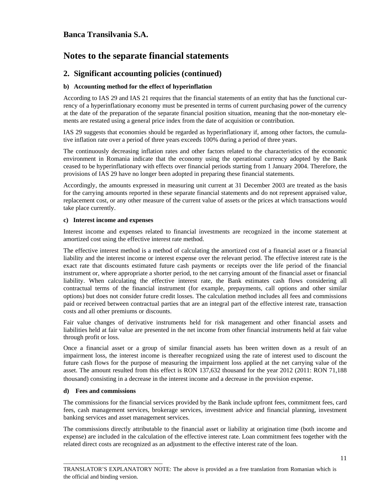## **Notes to the separate financial statements**

### **2. Significant accounting policies (continued)**

### **b) Accounting method for the effect of hyperinflation**

According to IAS 29 and IAS 21 requires that the financial statements of an entity that has the functional currency of a hyperinflationary economy must be presented in terms of current purchasing power of the currency at the date of the preparation of the separate financial position situation, meaning that the non-monetary elements are restated using a general price index from the date of acquisition or contribution.

IAS 29 suggests that economies should be regarded as hyperinflationary if, among other factors, the cumulative inflation rate over a period of three years exceeds 100% during a period of three years.

The continuously decreasing inflation rates and other factors related to the characteristics of the economic environment in Romania indicate that the economy using the operational currency adopted by the Bank ceased to be hyperinflationary with effects over financial periods starting from 1 January 2004. Therefore, the provisions of IAS 29 have no longer been adopted in preparing these financial statements.

Accordingly, the amounts expressed in measuring unit current at 31 December 2003 are treated as the basis for the carrying amounts reported in these separate financial statements and do not represent appraised value, replacement cost, or any other measure of the current value of assets or the prices at which transactions would take place currently.

### **c) Interest income and expenses**

Interest income and expenses related to financial investments are recognized in the income statement at amortized cost using the effective interest rate method.

The effective interest method is a method of calculating the amortized cost of a financial asset or a financial liability and the interest income or interest expense over the relevant period. The effective interest rate is the exact rate that discounts estimated future cash payments or receipts over the life period of the financial instrument or, where appropriate a shorter period, to the net carrying amount of the financial asset or financial liability. When calculating the effective interest rate, the Bank estimates cash flows considering all contractual terms of the financial instrument (for example, prepayments, call options and other similar options) but does not consider future credit losses. The calculation method includes all fees and commissions paid or received between contractual parties that are an integral part of the effective interest rate, transaction costs and all other premiums or discounts.

Fair value changes of derivative instruments held for risk management and other financial assets and liabilities held at fair value are presented in the net income from other financial instruments held at fair value through profit or loss.

Once a financial asset or a group of similar financial assets has been written down as a result of an impairment loss, the interest income is thereafter recognized using the rate of interest used to discount the future cash flows for the purpose of measuring the impairment loss applied at the net carrying value of the asset. The amount resulted from this effect is RON 137,632 thousand for the year 2012 (2011: RON 71,188 thousand) consisting in a decrease in the interest income and a decrease in the provision expense.

#### **d) Fees and commissions**

\_\_\_\_\_\_\_\_\_\_\_\_\_\_\_\_\_\_\_\_\_\_\_\_\_\_\_\_\_\_\_\_\_\_

The commissions for the financial services provided by the Bank include upfront fees, commitment fees, card fees, cash management services, brokerage services, investment advice and financial planning, investment banking services and asset management services.

The commissions directly attributable to the financial asset or liability at origination time (both income and expense) are included in the calculation of the effective interest rate. Loan commitment fees together with the related direct costs are recognized as an adjustment to the effective interest rate of the loan.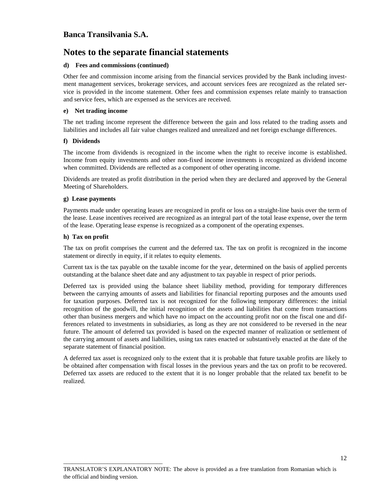## **Notes to the separate financial statements**

### **d) Fees and commissions (continued)**

Other fee and commission income arising from the financial services provided by the Bank including investment management services, brokerage services, and account services fees are recognized as the related service is provided in the income statement. Other fees and commission expenses relate mainly to transaction and service fees, which are expensed as the services are received.

### **e) Net trading income**

The net trading income represent the difference between the gain and loss related to the trading assets and liabilities and includes all fair value changes realized and unrealized and net foreign exchange differences.

### **f) Dividends**

The income from dividends is recognized in the income when the right to receive income is established. Income from equity investments and other non-fixed income investments is recognized as dividend income when committed. Dividends are reflected as a component of other operating income.

Dividends are treated as profit distribution in the period when they are declared and approved by the General Meeting of Shareholders.

#### **g) Lease payments**

Payments made under operating leases are recognized in profit or loss on a straight-line basis over the term of the lease. Lease incentives received are recognized as an integral part of the total lease expense, over the term of the lease. Operating lease expense is recognized as a component of the operating expenses.

### **h) Tax on profit**

\_\_\_\_\_\_\_\_\_\_\_\_\_\_\_\_\_\_\_\_\_\_\_\_\_\_\_\_\_\_\_\_\_\_

The tax on profit comprises the current and the deferred tax. The tax on profit is recognized in the income statement or directly in equity, if it relates to equity elements.

Current tax is the tax payable on the taxable income for the year, determined on the basis of applied percents outstanding at the balance sheet date and any adjustment to tax payable in respect of prior periods.

Deferred tax is provided using the balance sheet liability method, providing for temporary differences between the carrying amounts of assets and liabilities for financial reporting purposes and the amounts used for taxation purposes. Deferred tax is not recognized for the following temporary differences: the initial recognition of the goodwill, the initial recognition of the assets and liabilities that come from transactions other than business mergers and which have no impact on the accounting profit nor on the fiscal one and differences related to investments in subsidiaries, as long as they are not considered to be reversed in the near future. The amount of deferred tax provided is based on the expected manner of realization or settlement of the carrying amount of assets and liabilities, using tax rates enacted or substantively enacted at the date of the separate statement of financial position.

A deferred tax asset is recognized only to the extent that it is probable that future taxable profits are likely to be obtained after compensation with fiscal losses in the previous years and the tax on profit to be recovered. Deferred tax assets are reduced to the extent that it is no longer probable that the related tax benefit to be realized.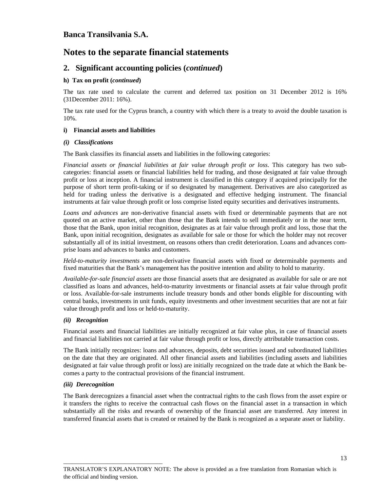## **Notes to the separate financial statements**

### **2. Significant accounting policies (***continued***)**

### **h) Tax on profit (***continued***)**

The tax rate used to calculate the current and deferred tax position on 31 December 2012 is 16% (31December 2011: 16%).

The tax rate used for the Cyprus branch, a country with which there is a treaty to avoid the double taxation is 10%.

### **i) Financial assets and liabilities**

#### *(i) Classifications*

The Bank classifies its financial assets and liabilities in the following categories:

*Financial assets or financial liabilities at fair value through profit or loss*. This category has two subcategories: financial assets or financial liabilities held for trading, and those designated at fair value through profit or loss at inception. A financial instrument is classified in this category if acquired principally for the purpose of short term profit-taking or if so designated by management. Derivatives are also categorized as held for trading unless the derivative is a designated and effective hedging instrument. The financial instruments at fair value through profit or loss comprise listed equity securities and derivatives instruments.

*Loans and advances* are non-derivative financial assets with fixed or determinable payments that are not quoted on an active market, other than those that the Bank intends to sell immediately or in the near term, those that the Bank, upon initial recognition, designates as at fair value through profit and loss, those that the Bank, upon initial recognition, designates as available for sale or those for which the holder may not recover substantially all of its initial investment, on reasons others than credit deterioration. Loans and advances comprise loans and advances to banks and customers.

*Held-to-maturity investments* are non-derivative financial assets with fixed or determinable payments and fixed maturities that the Bank's management has the positive intention and ability to hold to maturity.

*Available-for-sale financial assets* are those financial assets that are designated as available for sale or are not classified as loans and advances, held-to-maturity investments or financial assets at fair value through profit or loss. Available-for-sale instruments include treasury bonds and other bonds eligible for discounting with central banks, investments in unit funds, equity investments and other investment securities that are not at fair value through profit and loss or held-to-maturity.

### *(ii) Recognition*

Financial assets and financial liabilities are initially recognized at fair value plus, in case of financial assets and financial liabilities not carried at fair value through profit or loss, directly attributable transaction costs.

The Bank initially recognizes: loans and advances, deposits, debt securities issued and subordinated liabilities on the date that they are originated. All other financial assets and liabilities (including assets and liabilities designated at fair value through profit or loss) are initially recognized on the trade date at which the Bank becomes a party to the contractual provisions of the financial instrument.

#### *(iii) Derecognition*

\_\_\_\_\_\_\_\_\_\_\_\_\_\_\_\_\_\_\_\_\_\_\_\_\_\_\_\_\_\_\_\_\_\_

The Bank derecognizes a financial asset when the contractual rights to the cash flows from the asset expire or it transfers the rights to receive the contractual cash flows on the financial asset in a transaction in which substantially all the risks and rewards of ownership of the financial asset are transferred. Any interest in transferred financial assets that is created or retained by the Bank is recognized as a separate asset or liability.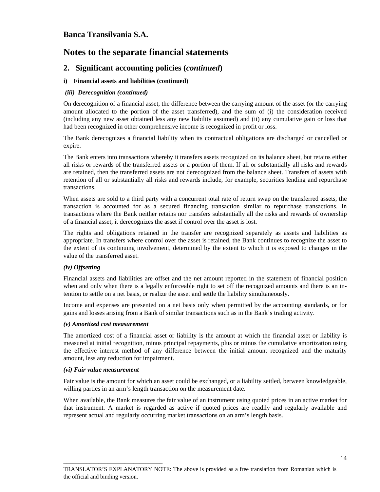## **Notes to the separate financial statements**

### **2. Significant accounting policies (***continued***)**

### **i) Financial assets and liabilities (continued)**

#### *(iii) Derecognition (continued)*

On derecognition of a financial asset, the difference between the carrying amount of the asset (or the carrying amount allocated to the portion of the asset transferred), and the sum of (i) the consideration received (including any new asset obtained less any new liability assumed) and (ii) any cumulative gain or loss that had been recognized in other comprehensive income is recognized in profit or loss.

The Bank derecognizes a financial liability when its contractual obligations are discharged or cancelled or expire.

The Bank enters into transactions whereby it transfers assets recognized on its balance sheet, but retains either all risks or rewards of the transferred assets or a portion of them. If all or substantially all risks and rewards are retained, then the transferred assets are not derecognized from the balance sheet. Transfers of assets with retention of all or substantially all risks and rewards include, for example, securities lending and repurchase transactions.

When assets are sold to a third party with a concurrent total rate of return swap on the transferred assets, the transaction is accounted for as a secured financing transaction similar to repurchase transactions. In transactions where the Bank neither retains nor transfers substantially all the risks and rewards of ownership of a financial asset, it derecognizes the asset if control over the asset is lost.

The rights and obligations retained in the transfer are recognized separately as assets and liabilities as appropriate. In transfers where control over the asset is retained, the Bank continues to recognize the asset to the extent of its continuing involvement, determined by the extent to which it is exposed to changes in the value of the transferred asset.

#### *(iv) Offsetting*

Financial assets and liabilities are offset and the net amount reported in the statement of financial position when and only when there is a legally enforceable right to set off the recognized amounts and there is an intention to settle on a net basis, or realize the asset and settle the liability simultaneously.

Income and expenses are presented on a net basis only when permitted by the accounting standards, or for gains and losses arising from a Bank of similar transactions such as in the Bank's trading activity.

#### *(v) Amortized cost measurement*

The amortized cost of a financial asset or liability is the amount at which the financial asset or liability is measured at initial recognition, minus principal repayments, plus or minus the cumulative amortization using the effective interest method of any difference between the initial amount recognized and the maturity amount, less any reduction for impairment.

#### *(vi) Fair value measurement*

\_\_\_\_\_\_\_\_\_\_\_\_\_\_\_\_\_\_\_\_\_\_\_\_\_\_\_\_\_\_\_\_\_\_

Fair value is the amount for which an asset could be exchanged, or a liability settled, between knowledgeable, willing parties in an arm's length transaction on the measurement date.

When available, the Bank measures the fair value of an instrument using quoted prices in an active market for that instrument. A market is regarded as active if quoted prices are readily and regularly available and represent actual and regularly occurring market transactions on an arm's length basis.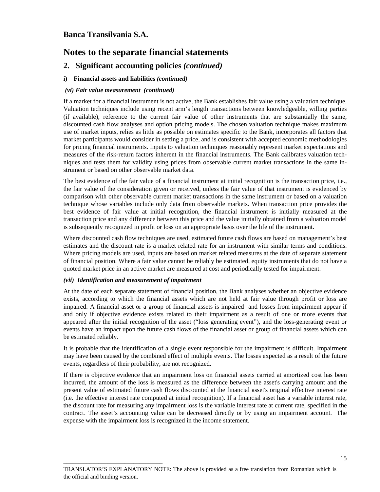## **Notes to the separate financial statements**

### **2. Significant accounting policies** *(continued)*

### **i) Financial assets and liabilities** *(continued)*

### *(vi) Fair value measurement (continued)*

If a market for a financial instrument is not active, the Bank establishes fair value using a valuation technique. Valuation techniques include using recent arm's length transactions between knowledgeable, willing parties (if available), reference to the current fair value of other instruments that are substantially the same, discounted cash flow analyses and option pricing models. The chosen valuation technique makes maximum use of market inputs, relies as little as possible on estimates specific to the Bank, incorporates all factors that market participants would consider in setting a price, and is consistent with accepted economic methodologies for pricing financial instruments. Inputs to valuation techniques reasonably represent market expectations and measures of the risk-return factors inherent in the financial instruments. The Bank calibrates valuation techniques and tests them for validity using prices from observable current market transactions in the same instrument or based on other observable market data.

The best evidence of the fair value of a financial instrument at initial recognition is the transaction price, i.e., the fair value of the consideration given or received, unless the fair value of that instrument is evidenced by comparison with other observable current market transactions in the same instrument or based on a valuation technique whose variables include only data from observable markets. When transaction price provides the best evidence of fair value at initial recognition, the financial instrument is initially measured at the transaction price and any difference between this price and the value initially obtained from a valuation model is subsequently recognized in profit or loss on an appropriate basis over the life of the instrument.

Where discounted cash flow techniques are used, estimated future cash flows are based on management's best estimates and the discount rate is a market related rate for an instrument with similar terms and conditions. Where pricing models are used, inputs are based on market related measures at the date of separate statement of financial position. Where a fair value cannot be reliably be estimated, equity instruments that do not have a quoted market price in an active market are measured at cost and periodically tested for impairment.

#### *(vii) Identification and measurement of impairment*

\_\_\_\_\_\_\_\_\_\_\_\_\_\_\_\_\_\_\_\_\_\_\_\_\_\_\_\_\_\_\_\_\_\_

At the date of each separate statement of financial position, the Bank analyses whether an objective evidence exists, according to which the financial assets which are not held at fair value through profit or loss are impaired. A financial asset or a group of financial assets is impaired and losses from impairment appear if and only if objective evidence exists related to their impairment as a result of one or more events that appeared after the initial recognition of the asset ("loss generating event"), and the loss-generating event or events have an impact upon the future cash flows of the financial asset or group of financial assets which can be estimated reliably.

It is probable that the identification of a single event responsible for the impairment is difficult. Impairment may have been caused by the combined effect of multiple events. The losses expected as a result of the future events, regardless of their probability, are not recognized.

If there is objective evidence that an impairment loss on financial assets carried at amortized cost has been incurred, the amount of the loss is measured as the difference between the asset's carrying amount and the present value of estimated future cash flows discounted at the financial asset's original effective interest rate (i.e. the effective interest rate computed at initial recognition). If a financial asset has a variable interest rate, the discount rate for measuring any impairment loss is the variable interest rate at current rate, specified in the contract. The asset's accounting value can be decreased directly or by using an impairment account. The expense with the impairment loss is recognized in the income statement.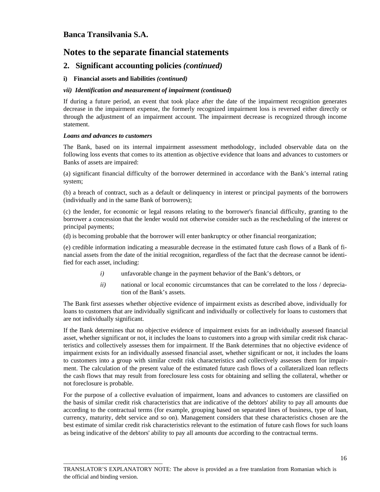## **Notes to the separate financial statements**

### **2. Significant accounting policies** *(continued)*

### **i) Financial assets and liabilities** *(continued)*

#### *vii) Identification and measurement of impairment (continued)*

If during a future period, an event that took place after the date of the impairment recognition generates decrease in the impairment expense, the formerly recognized impairment loss is reversed either directly or through the adjustment of an impairment account. The impairment decrease is recognized through income statement.

#### *Loans and advances to customers*

\_\_\_\_\_\_\_\_\_\_\_\_\_\_\_\_\_\_\_\_\_\_\_\_\_\_\_\_\_\_\_\_\_\_

The Bank, based on its internal impairment assessment methodology, included observable data on the following loss events that comes to its attention as objective evidence that loans and advances to customers or Banks of assets are impaired:

(a) significant financial difficulty of the borrower determined in accordance with the Bank's internal rating system;

(b) a breach of contract, such as a default or delinquency in interest or principal payments of the borrowers (individually and in the same Bank of borrowers);

(c) the lender, for economic or legal reasons relating to the borrower's financial difficulty, granting to the borrower a concession that the lender would not otherwise consider such as the rescheduling of the interest or principal payments;

(d) is becoming probable that the borrower will enter bankruptcy or other financial reorganization;

(e) credible information indicating a measurable decrease in the estimated future cash flows of a Bank of financial assets from the date of the initial recognition, regardless of the fact that the decrease cannot be identified for each asset, including:

- *i)* unfavorable change in the payment behavior of the Bank's debtors, or
- *ii*) national or local economic circumstances that can be correlated to the loss / depreciation of the Bank's assets.

The Bank first assesses whether objective evidence of impairment exists as described above, individually for loans to customers that are individually significant and individually or collectively for loans to customers that are not individually significant.

If the Bank determines that no objective evidence of impairment exists for an individually assessed financial asset, whether significant or not, it includes the loans to customers into a group with similar credit risk characteristics and collectively assesses them for impairment. If the Bank determines that no objective evidence of impairment exists for an individually assessed financial asset, whether significant or not, it includes the loans to customers into a group with similar credit risk characteristics and collectively assesses them for impairment. The calculation of the present value of the estimated future cash flows of a collateralized loan reflects the cash flows that may result from foreclosure less costs for obtaining and selling the collateral, whether or not foreclosure is probable.

For the purpose of a collective evaluation of impairment, loans and advances to customers are classified on the basis of similar credit risk characteristics that are indicative of the debtors' ability to pay all amounts due according to the contractual terms (for example, grouping based on separated lines of business, type of loan, currency, maturity, debt service and so on). Management considers that these characteristics chosen are the best estimate of similar credit risk characteristics relevant to the estimation of future cash flows for such loans as being indicative of the debtors' ability to pay all amounts due according to the contractual terms.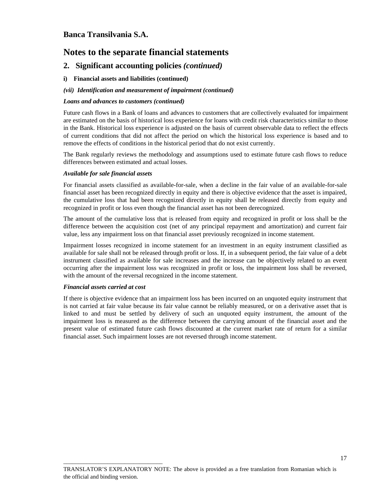## **Notes to the separate financial statements**

### **2. Significant accounting policies** *(continued)*

### **i) Financial assets and liabilities (continued)**

#### *(vii) Identification and measurement of impairment (continued)*

#### *Loans and advances to customers (continued)*

Future cash flows in a Bank of loans and advances to customers that are collectively evaluated for impairment are estimated on the basis of historical loss experience for loans with credit risk characteristics similar to those in the Bank. Historical loss experience is adjusted on the basis of current observable data to reflect the effects of current conditions that did not affect the period on which the historical loss experience is based and to remove the effects of conditions in the historical period that do not exist currently.

The Bank regularly reviews the methodology and assumptions used to estimate future cash flows to reduce differences between estimated and actual losses.

#### *Available for sale financial assets*

For financial assets classified as available-for-sale, when a decline in the fair value of an available-for-sale financial asset has been recognized directly in equity and there is objective evidence that the asset is impaired, the cumulative loss that had been recognized directly in equity shall be released directly from equity and recognized in profit or loss even though the financial asset has not been derecognized.

The amount of the cumulative loss that is released from equity and recognized in profit or loss shall be the difference between the acquisition cost (net of any principal repayment and amortization) and current fair value, less any impairment loss on that financial asset previously recognized in income statement.

Impairment losses recognized in income statement for an investment in an equity instrument classified as available for sale shall not be released through profit or loss. If, in a subsequent period, the fair value of a debt instrument classified as available for sale increases and the increase can be objectively related to an event occurring after the impairment loss was recognized in profit or loss, the impairment loss shall be reversed, with the amount of the reversal recognized in the income statement.

#### *Financial assets carried at cost*

\_\_\_\_\_\_\_\_\_\_\_\_\_\_\_\_\_\_\_\_\_\_\_\_\_\_\_\_\_\_\_\_\_\_

If there is objective evidence that an impairment loss has been incurred on an unquoted equity instrument that is not carried at fair value because its fair value cannot be reliably measured, or on a derivative asset that is linked to and must be settled by delivery of such an unquoted equity instrument, the amount of the impairment loss is measured as the difference between the carrying amount of the financial asset and the present value of estimated future cash flows discounted at the current market rate of return for a similar financial asset. Such impairment losses are not reversed through income statement.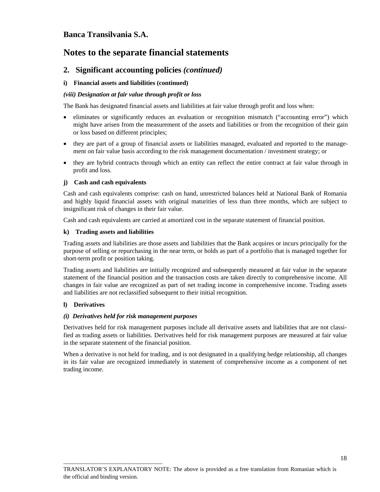## **Notes to the separate financial statements**

### **2. Significant accounting policies** *(continued)*

### **i) Financial assets and liabilities (continued)**

### *(viii) Designation at fair value through profit or loss*

The Bank has designated financial assets and liabilities at fair value through profit and loss when:

- eliminates or significantly reduces an evaluation or recognition mismatch ("accounting error") which might have arisen from the measurement of the assets and liabilities or from the recognition of their gain or loss based on different principles;
- they are part of a group of financial assets or liabilities managed, evaluated and reported to the management on fair value basis according to the risk management documentation / investment strategy; or
- they are hybrid contracts through which an entity can reflect the entire contract at fair value through in profit and loss.

#### **j) Cash and cash equivalents**

Cash and cash equivalents comprise: cash on hand, unrestricted balances held at National Bank of Romania and highly liquid financial assets with original maturities of less than three months, which are subject to insignificant risk of changes in their fair value.

Cash and cash equivalents are carried at amortized cost in the separate statement of financial position.

#### **k) Trading assets and liabilities**

Trading assets and liabilities are those assets and liabilities that the Bank acquires or incurs principally for the purpose of selling or repurchasing in the near term, or holds as part of a portfolio that is managed together for short-term profit or position taking.

Trading assets and liabilities are initially recognized and subsequently measured at fair value in the separate statement of the financial position and the transaction costs are taken directly to comprehensive income. All changes in fair value are recognized as part of net trading income in comprehensive income. Trading assets and liabilities are not reclassified subsequent to their initial recognition.

#### **l) Derivatives**

#### *(i) Derivatives held for risk management purposes*

\_\_\_\_\_\_\_\_\_\_\_\_\_\_\_\_\_\_\_\_\_\_\_\_\_\_\_\_\_\_\_\_\_\_

Derivatives held for risk management purposes include all derivative assets and liabilities that are not classified as trading assets or liabilities. Derivatives held for risk management purposes are measured at fair value in the separate statement of the financial position.

When a derivative is not held for trading, and is not designated in a qualifying hedge relationship, all changes in its fair value are recognized immediately in statement of comprehensive income as a component of net trading income.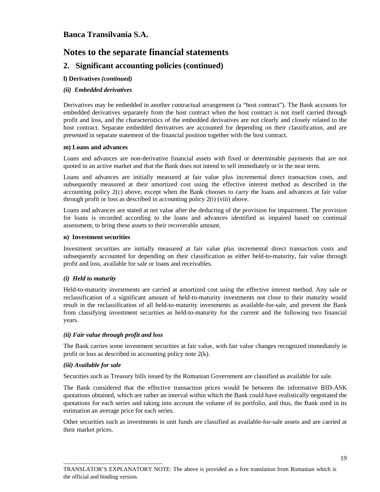## **Notes to the separate financial statements**

### **2. Significant accounting policies (continued)**

### **l) Derivatives** *(continued)*

### *(ii) Embedded derivatives*

Derivatives may be embedded in another contractual arrangement (a "host contract"). The Bank accounts for embedded derivatives separately from the host contract when the host contract is not itself carried through profit and loss, and the characteristics of the embedded derivatives are not clearly and closely related to the host contract. Separate embedded derivatives are accounted for depending on their classification, and are presented in separate statement of the financial position together with the host contract.

#### **m) Loans and advances**

Loans and advances are non-derivative financial assets with fixed or determinable payments that are not quoted in an active market and that the Bank does not intend to sell immediately or in the near term.

Loans and advances are initially measured at fair value plus incremental direct transaction costs, and subsequently measured at their amortized cost using the effective interest method as described in the accounting policy 2(c) above, except when the Bank chooses to carry the loans and advances at fair value through profit or loss as described in accounting policy 2(i) (viii) above.

Loans and advances are stated at net value after the deducting of the provision for impairment. The provision for loans is recorded according to the loans and advances identified as impaired based on continual assessment, to bring these assets to their recoverable amount.

#### **n) Investment securities**

Investment securities are initially measured at fair value plus incremental direct transaction costs and subsequently accounted for depending on their classification as either held-to-maturity, fair value through profit and loss, available for sale or loans and receivables.

#### *(i) Held to maturity*

Held-to-maturity investments are carried at amortized cost using the effective interest method. Any sale or reclassification of a significant amount of held-to-maturity investments not close to their maturity would result in the reclassification of all held-to-maturity investments as available-for-sale, and prevent the Bank from classifying investment securities as held-to-maturity for the current and the following two financial years.

#### *(ii) Fair value through profit and loss*

\_\_\_\_\_\_\_\_\_\_\_\_\_\_\_\_\_\_\_\_\_\_\_\_\_\_\_\_\_\_\_\_\_\_

The Bank carries some investment securities at fair value, with fair value changes recognized immediately in profit or loss as described in accounting policy note 2(k).

#### *(iii) Available for sale*

Securities such as Treasury bills issued by the Romanian Government are classified as available for sale.

The Bank considered that the effective transaction prices would be between the informative BID-ASK quotations obtained, which are rather an interval within which the Bank could have realistically negotiated the quotations for each series and taking into account the volume of its portfolio, and thus, the Bank used in its estimation an average price for each series.

Other securities such as investments in unit funds are classified as available-for-sale assets and are carried at their market prices.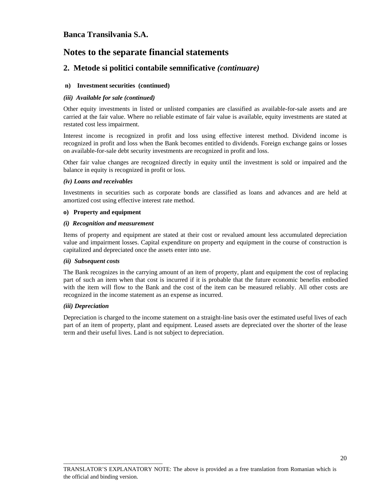## **Notes to the separate financial statements**

### **2. Metode si politici contabile semnificative** *(continuare)*

### **n) Investment securities (continued)**

#### *(iii) Available for sale (continued)*

Other equity investments in listed or unlisted companies are classified as available-for-sale assets and are carried at the fair value. Where no reliable estimate of fair value is available, equity investments are stated at restated cost less impairment.

Interest income is recognized in profit and loss using effective interest method. Dividend income is recognized in profit and loss when the Bank becomes entitled to dividends. Foreign exchange gains or losses on available-for-sale debt security investments are recognized in profit and loss.

Other fair value changes are recognized directly in equity until the investment is sold or impaired and the balance in equity is recognized in profit or loss.

### *(iv) Loans and receivables*

Investments in securities such as corporate bonds are classified as loans and advances and are held at amortized cost using effective interest rate method.

### **o) Property and equipment**

### *(i) Recognition and measurement*

\_\_\_\_\_\_\_\_\_\_\_\_\_\_\_\_\_\_\_\_\_\_\_\_\_\_\_\_\_\_\_\_\_\_

Items of property and equipment are stated at their cost or revalued amount less accumulated depreciation value and impairment losses. Capital expenditure on property and equipment in the course of construction is capitalized and depreciated once the assets enter into use.

#### *(ii) Subsequent costs*

The Bank recognizes in the carrying amount of an item of property, plant and equipment the cost of replacing part of such an item when that cost is incurred if it is probable that the future economic benefits embodied with the item will flow to the Bank and the cost of the item can be measured reliably. All other costs are recognized in the income statement as an expense as incurred.

#### *(iii) Depreciation*

Depreciation is charged to the income statement on a straight-line basis over the estimated useful lives of each part of an item of property, plant and equipment. Leased assets are depreciated over the shorter of the lease term and their useful lives. Land is not subject to depreciation.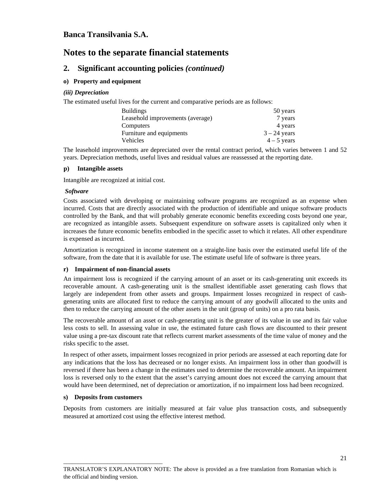## **Notes to the separate financial statements**

### **2. Significant accounting policies** *(continued)*

### **o) Property and equipment**

### *(iii) Depreciation*

The estimated useful lives for the current and comparative periods are as follows:

| <b>Buildings</b>                 | 50 years       |
|----------------------------------|----------------|
| Leasehold improvements (average) | 7 years        |
| Computers                        | 4 years        |
| Furniture and equipments         | $3 - 24$ years |
| <b>Vehicles</b>                  | $4 - 5$ years  |

The leasehold improvements are depreciated over the rental contract period, which varies between 1 and 52 years. Depreciation methods, useful lives and residual values are reassessed at the reporting date.

### **p) Intangible assets**

Intangible are recognized at initial cost.

### *Software*

Costs associated with developing or maintaining software programs are recognized as an expense when incurred. Costs that are directly associated with the production of identifiable and unique software products controlled by the Bank, and that will probably generate economic benefits exceeding costs beyond one year, are recognized as intangible assets. Subsequent expenditure on software assets is capitalized only when it increases the future economic benefits embodied in the specific asset to which it relates. All other expenditure is expensed as incurred.

Amortization is recognized in income statement on a straight-line basis over the estimated useful life of the software, from the date that it is available for use. The estimate useful life of software is three years.

### **r) Impairment of non-financial assets**

An impairment loss is recognized if the carrying amount of an asset or its cash-generating unit exceeds its recoverable amount. A cash-generating unit is the smallest identifiable asset generating cash flows that largely are independent from other assets and groups. Impairment losses recognized in respect of cashgenerating units are allocated first to reduce the carrying amount of any goodwill allocated to the units and then to reduce the carrying amount of the other assets in the unit (group of units) on a pro rata basis.

The recoverable amount of an asset or cash-generating unit is the greater of its value in use and its fair value less costs to sell. In assessing value in use, the estimated future cash flows are discounted to their present value using a pre-tax discount rate that reflects current market assessments of the time value of money and the risks specific to the asset.

In respect of other assets, impairment losses recognized in prior periods are assessed at each reporting date for any indications that the loss has decreased or no longer exists. An impairment loss in other than goodwill is reversed if there has been a change in the estimates used to determine the recoverable amount. An impairment loss is reversed only to the extent that the asset's carrying amount does not exceed the carrying amount that would have been determined, net of depreciation or amortization, if no impairment loss had been recognized.

### **s) Deposits from customers**

\_\_\_\_\_\_\_\_\_\_\_\_\_\_\_\_\_\_\_\_\_\_\_\_\_\_\_\_\_\_\_\_\_\_

Deposits from customers are initially measured at fair value plus transaction costs, and subsequently measured at amortized cost using the effective interest method.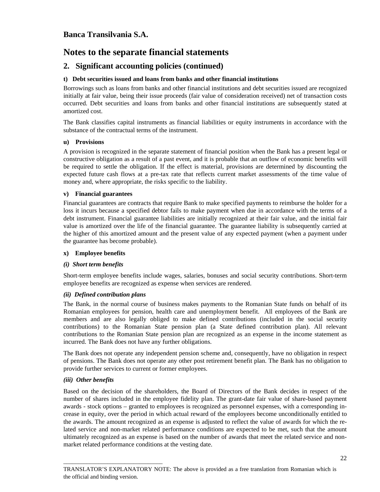## **Notes to the separate financial statements**

### **2. Significant accounting policies (continued)**

### **t) Debt securities issued and loans from banks and other financial institutions**

Borrowings such as loans from banks and other financial institutions and debt securities issued are recognized initially at fair value, being their issue proceeds (fair value of consideration received) net of transaction costs occurred. Debt securities and loans from banks and other financial institutions are subsequently stated at amortized cost.

The Bank classifies capital instruments as financial liabilities or equity instruments in accordance with the substance of the contractual terms of the instrument.

### **u) Provisions**

A provision is recognized in the separate statement of financial position when the Bank has a present legal or constructive obligation as a result of a past event, and it is probable that an outflow of economic benefits will be required to settle the obligation. If the effect is material, provisions are determined by discounting the expected future cash flows at a pre-tax rate that reflects current market assessments of the time value of money and, where appropriate, the risks specific to the liability.

### **v) Financial guarantees**

Financial guarantees are contracts that require Bank to make specified payments to reimburse the holder for a loss it incurs because a specified debtor fails to make payment when due in accordance with the terms of a debt instrument. Financial guarantee liabilities are initially recognized at their fair value, and the initial fair value is amortized over the life of the financial guarantee. The guarantee liability is subsequently carried at the higher of this amortized amount and the present value of any expected payment (when a payment under the guarantee has become probable).

#### **x) Employee benefits**

### *(i) Short term benefits*

Short-term employee benefits include wages, salaries, bonuses and social security contributions. Short-term employee benefits are recognized as expense when services are rendered.

#### *(ii) Defined contribution plans*

The Bank, in the normal course of business makes payments to the Romanian State funds on behalf of its Romanian employees for pension, health care and unemployment benefit. All employees of the Bank are members and are also legally obliged to make defined contributions (included in the social security contributions) to the Romanian State pension plan (a State defined contribution plan). All relevant contributions to the Romanian State pension plan are recognized as an expense in the income statement as incurred. The Bank does not have any further obligations.

The Bank does not operate any independent pension scheme and, consequently, have no obligation in respect of pensions. The Bank does not operate any other post retirement benefit plan. The Bank has no obligation to provide further services to current or former employees.

#### *(iii) Other benefits*

\_\_\_\_\_\_\_\_\_\_\_\_\_\_\_\_\_\_\_\_\_\_\_\_\_\_\_\_\_\_\_\_\_\_

Based on the decision of the shareholders, the Board of Directors of the Bank decides in respect of the number of shares included in the employee fidelity plan. The grant-date fair value of share-based payment awards - stock options – granted to employees is recognized as personnel expenses, with a corresponding increase in equity, over the period in which actual reward of the employees become unconditionally entitled to the awards. The amount recognized as an expense is adjusted to reflect the value of awards for which the related service and non-market related performance conditions are expected to be met, such that the amount ultimately recognized as an expense is based on the number of awards that meet the related service and nonmarket related performance conditions at the vesting date.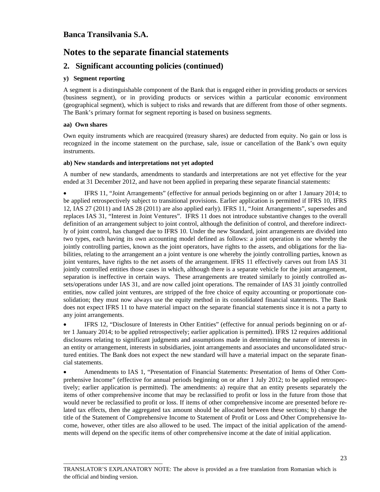## **Notes to the separate financial statements**

### **2. Significant accounting policies (continued)**

### **y) Segment reporting**

A segment is a distinguishable component of the Bank that is engaged either in providing products or services (business segment), or in providing products or services within a particular economic environment (geographical segment), which is subject to risks and rewards that are different from those of other segments. The Bank's primary format for segment reporting is based on business segments.

### **aa) Own shares**

Own equity instruments which are reacquired (treasury shares) are deducted from equity. No gain or loss is recognized in the income statement on the purchase, sale, issue or cancellation of the Bank's own equity instruments.

### **ab) New standards and interpretations not yet adopted**

\_\_\_\_\_\_\_\_\_\_\_\_\_\_\_\_\_\_\_\_\_\_\_\_\_\_\_\_\_\_\_\_\_\_

A number of new standards, amendments to standards and interpretations are not yet effective for the year ended at 31 December 2012, and have not been applied in preparing these separate financial statements:

• IFRS 11, "Joint Arrangements" (effective for annual periods beginning on or after 1 January 2014; to be applied retrospectively subject to transitional provisions. Earlier application is permitted if IFRS 10, IFRS 12, IAS 27 (2011) and IAS 28 (2011) are also applied early). IFRS 11, "Joint Arrangements", supersedes and replaces IAS 31, "Interest in Joint Ventures". IFRS 11 does not introduce substantive changes to the overall definition of an arrangement subject to joint control, although the definition of control, and therefore indirectly of joint control, has changed due to IFRS 10. Under the new Standard, joint arrangements are divided into two types, each having its own accounting model defined as follows: a joint operation is one whereby the jointly controlling parties, known as the joint operators, have rights to the assets, and obligations for the liabilities, relating to the arrangement an a joint venture is one whereby the jointly controlling parties, known as joint ventures, have rights to the net assets of the arrangement. IFRS 11 effectively carves out from IAS 31 jointly controlled entities those cases in which, although there is a separate vehicle for the joint arrangement, separation is ineffective in certain ways. These arrangements are treated similarly to jointly controlled assets/operations under IAS 31, and are now called joint operations. The remainder of IAS 31 jointly controlled entities, now called joint ventures, are stripped of the free choice of equity accounting or proportionate consolidation; they must now always use the equity method in its consolidated financial statements. The Bank does not expect IFRS 11 to have material impact on the separate financial statements since it is not a party to any joint arrangements.

• IFRS 12, "Disclosure of Interests in Other Entities" (effective for annual periods beginning on or after 1 January 2014; to be applied retrospectively; earlier application is permitted). IFRS 12 requires additional disclosures relating to significant judgments and assumptions made in determining the nature of interests in an entity or arrangement, interests in subsidiaries, joint arrangements and associates and unconsolidated structured entities. The Bank does not expect the new standard will have a material impact on the separate financial statements.

• Amendments to IAS 1, "Presentation of Financial Statements: Presentation of Items of Other Comprehensive Income" (effective for annual periods beginning on or after 1 July 2012; to be applied retrospectively; earlier application is permitted). The amendments: a) require that an entity presents separately the items of other comprehensive income that may be reclassified to profit or loss in the future from those that would never be reclassified to profit or loss. If items of other comprehensive income are presented before related tax effects, then the aggregated tax amount should be allocated between these sections; b) change the title of the Statement of Comprehensive Income to Statement of Profit or Loss and Other Comprehensive Income, however, other titles are also allowed to be used. The impact of the initial application of the amendments will depend on the specific items of other comprehensive income at the date of initial application.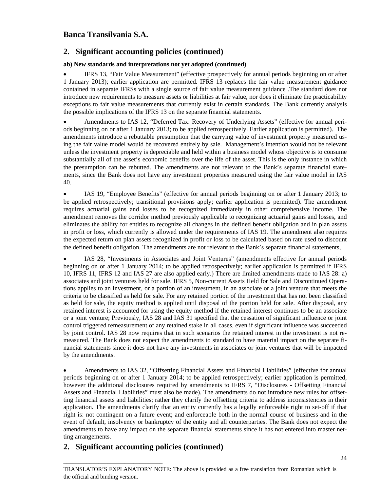### **2. Significant accounting policies (continued)**

### **ab) New standards and interpretations not yet adopted (continued)**

• IFRS 13, "Fair Value Measurement" (effective prospectively for annual periods beginning on or after 1 January 2013); earlier application are permitted. IFRS 13 replaces the fair value measurement guidance contained in separate IFRSs with a single source of fair value measurement guidance .The standard does not introduce new requirements to measure assets or liabilities at fair value, nor does it eliminate the practicability exceptions to fair value measurements that currently exist in certain standards. The Bank currently analysis the possible implications of the IFRS 13 on the separate financial statements.

• Amendments to IAS 12, "Deferred Tax: Recovery of Underlying Assets" (effective for annual periods beginning on or after 1 January 2013; to be applied retrospectively. Earlier application is permitted). The amendments introduce a rebuttable presumption that the carrying value of investment property measured using the fair value model would be recovered entirely by sale. Management's intention would not be relevant unless the investment property is depreciable and held within a business model whose objective is to consume substantially all of the asset's economic benefits over the life of the asset. This is the only instance in which the presumption can be rebutted. The amendments are not relevant to the Bank's separate financial statements, since the Bank does not have any investment properties measured using the fair value model in IAS 40.

• IAS 19, "Employee Benefits" (effective for annual periods beginning on or after 1 January 2013; to be applied retrospectively; transitional provisions apply; earlier application is permitted). The amendment requires actuarial gains and losses to be recognized immediately in other comprehensive income. The amendment removes the corridor method previously applicable to recognizing actuarial gains and losses, and eliminates the ability for entities to recognize all changes in the defined benefit obligation and in plan assets in profit or loss, which currently is allowed under the requirements of IAS 19. The amendment also requires the expected return on plan assets recognized in profit or loss to be calculated based on rate used to discount the defined benefit obligation. The amendments are not relevant to the Bank's separate financial statements,

• IAS 28, "Investments in Associates and Joint Ventures" (amendments effective for annual periods beginning on or after 1 January 2014; to be applied retrospectively; earlier application is permitted if IFRS 10, IFRS 11, IFRS 12 and IAS 27 are also applied early.) There are limited amendments made to IAS 28: a) associates and joint ventures held for sale. IFRS 5, Non-current Assets Held for Sale and Discontinued Operations applies to an investment, or a portion of an investment, in an associate or a joint venture that meets the criteria to be classified as held for sale. For any retained portion of the investment that has not been classified as held for sale, the equity method is applied until disposal of the portion held for sale. After disposal, any retained interest is accounted for using the equity method if the retained interest continues to be an associate or a joint venture; Previously, IAS 28 and IAS 31 specified that the cessation of significant influence or joint control triggered remeasurement of any retained stake in all cases, even if significant influence was succeeded by joint control. IAS 28 now requires that in such scenarios the retained interest in the investment is not remeasured. The Bank does not expect the amendments to standard to have material impact on the separate financial statements since it does not have any investments in associates or joint ventures that will be impacted by the amendments.

• Amendments to IAS 32, "Offsetting Financial Assets and Financial Liabilities" (effective for annual periods beginning on or after 1 January 2014; to be applied retrospectively; earlier application is permitted, however the additional disclosures required by amendments to IFRS 7, "Disclosures - Offsetting Financial Assets and Financial Liabilities" must also be made). The amendments do not introduce new rules for offsetting financial assets and liabilities; rather they clarify the offsetting criteria to address inconsistencies in their application. The amendments clarify that an entity currently has a legally enforceable right to set-off if that right is: not contingent on a future event; and enforceable both in the normal course of business and in the event of default, insolvency or bankruptcy of the entity and all counterparties. The Bank does not expect the amendments to have any impact on the separate financial statements since it has not entered into master netting arrangements.

### **2. Significant accounting policies (continued)**

\_\_\_\_\_\_\_\_\_\_\_\_\_\_\_\_\_\_\_\_\_\_\_\_\_\_\_\_\_\_\_\_\_\_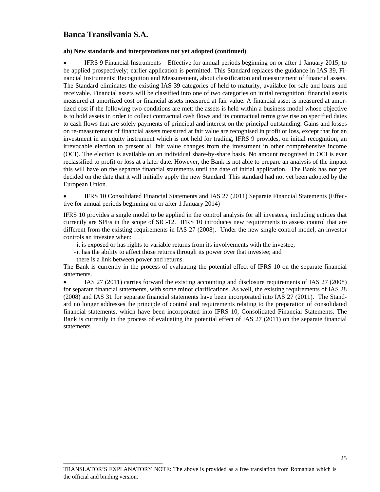#### **ab) New standards and interpretations not yet adopted (continued)**

• IFRS 9 Financial Instruments – Effective for annual periods beginning on or after 1 January 2015; to be applied prospectively; earlier application is permitted. This Standard replaces the guidance in IAS 39, Financial Instruments: Recognition and Measurement, about classification and measurement of financial assets. The Standard eliminates the existing IAS 39 categories of held to maturity, available for sale and loans and receivable. Financial assets will be classified into one of two categories on initial recognition: financial assets measured at amortized cost or financial assets measured at fair value. A financial asset is measured at amortized cost if the following two conditions are met: the assets is held within a business model whose objective is to hold assets in order to collect contractual cash flows and its contractual terms give rise on specified dates to cash flows that are solely payments of principal and interest on the principal outstanding. Gains and losses on re-measurement of financial assets measured at fair value are recognised in profit or loss, except that for an investment in an equity instrument which is not held for trading, IFRS 9 provides, on initial recognition, an irrevocable election to present all fair value changes from the investment in other comprehensive income (OCI). The election is available on an individual share-by-share basis. No amount recognised in OCI is ever reclassified to profit or loss at a later date. However, the Bank is not able to prepare an analysis of the impact this will have on the separate financial statements until the date of initial application. The Bank has not yet decided on the date that it will initially apply the new Standard. This standard had not yet been adopted by the European Union.

IFRS 10 Consolidated Financial Statements and IAS 27 (2011) Separate Financial Statements (Effective for annual periods beginning on or after 1 January 2014)

IFRS 10 provides a single model to be applied in the control analysis for all investees, including entities that currently are SPEs in the scope of SIC-12. IFRS 10 introduces new requirements to assess control that are different from the existing requirements in IAS 27 (2008). Under the new single control model, an investor controls an investee when:

- ‐it is exposed or has rights to variable returns from its involvements with the investee;
- ‐it has the ability to affect those returns through its power over that investee; and
- ‐there is a link between power and returns.

\_\_\_\_\_\_\_\_\_\_\_\_\_\_\_\_\_\_\_\_\_\_\_\_\_\_\_\_\_\_\_\_\_\_

The Bank is currently in the process of evaluating the potential effect of IFRS 10 on the separate financial statements.

• IAS 27 (2011) carries forward the existing accounting and disclosure requirements of IAS 27 (2008) for separate financial statements, with some minor clarifications. As well, the existing requirements of IAS 28 (2008) and IAS 31 for separate financial statements have been incorporated into IAS 27 (2011). The Standard no longer addresses the principle of control and requirements relating to the preparation of consolidated financial statements, which have been incorporated into IFRS 10, Consolidated Financial Statements. The Bank is currently in the process of evaluating the potential effect of IAS 27 (2011) on the separate financial statements.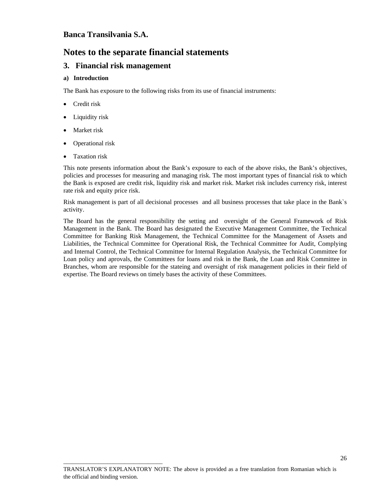## **Notes to the separate financial statements**

### **3. Financial risk management**

\_\_\_\_\_\_\_\_\_\_\_\_\_\_\_\_\_\_\_\_\_\_\_\_\_\_\_\_\_\_\_\_\_\_

### **a) Introduction**

The Bank has exposure to the following risks from its use of financial instruments:

- Credit risk
- Liquidity risk
- Market risk
- Operational risk
- Taxation risk

This note presents information about the Bank's exposure to each of the above risks, the Bank's objectives, policies and processes for measuring and managing risk. The most important types of financial risk to which the Bank is exposed are credit risk, liquidity risk and market risk. Market risk includes currency risk, interest rate risk and equity price risk.

Risk management is part of all decisional processes and all business processes that take place in the Bank`s activity.

The Board has the general responsibility the setting and oversight of the General Framework of Risk Management in the Bank. The Board has designated the Executive Management Committee, the Technical Committee for Banking Risk Management, the Technical Committee for the Management of Assets and Liabilities, the Technical Committee for Operational Risk, the Technical Committee for Audit, Complying and Internal Control, the Technical Committee for Internal Regulation Analysis, the Technical Committee for Loan policy and aprovals, the Committees for loans and risk in the Bank, the Loan and Risk Committee in Branches, whom are responsible for the stateing and oversight of risk management policies in their field of expertise. The Board reviews on timely bases the activity of these Committees.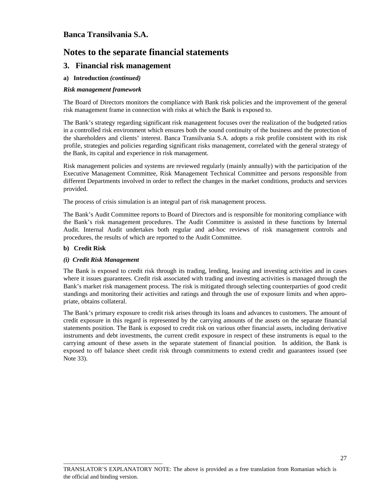## **Notes to the separate financial statements**

### **3. Financial risk management**

### **a) Introduction** *(continued)*

### *Risk management framework*

The Board of Directors monitors the compliance with Bank risk policies and the improvement of the general risk management frame in connection with risks at which the Bank is exposed to.

The Bank's strategy regarding significant risk management focuses over the realization of the budgeted ratios in a controlled risk environment which ensures both the sound continuity of the business and the protection of the shareholders and clients' interest. Banca Transilvania S.A. adopts a risk profile consistent with its risk profile, strategies and policies regarding significant risks management, correlated with the general strategy of the Bank, its capital and experience in risk management.

Risk management policies and systems are reviewed regularly (mainly annually) with the participation of the Executive Management Committee, Risk Management Technical Committee and persons responsible from different Departments involved in order to reflect the changes in the market conditions, products and services provided.

The process of crisis simulation is an integral part of risk management process.

The Bank's Audit Committee reports to Board of Directors and is responsible for monitoring compliance with the Bank's risk management procedures. The Audit Committee is assisted in these functions by Internal Audit. Internal Audit undertakes both regular and ad-hoc reviews of risk management controls and procedures, the results of which are reported to the Audit Committee.

#### **b) Credit Risk**

#### *(i) Credit Risk Management*

\_\_\_\_\_\_\_\_\_\_\_\_\_\_\_\_\_\_\_\_\_\_\_\_\_\_\_\_\_\_\_\_\_\_

The Bank is exposed to credit risk through its trading, lending, leasing and investing activities and in cases where it issues guarantees. Credit risk associated with trading and investing activities is managed through the Bank's market risk management process. The risk is mitigated through selecting counterparties of good credit standings and monitoring their activities and ratings and through the use of exposure limits and when appropriate, obtains collateral.

The Bank's primary exposure to credit risk arises through its loans and advances to customers. The amount of credit exposure in this regard is represented by the carrying amounts of the assets on the separate financial statements position. The Bank is exposed to credit risk on various other financial assets, including derivative instruments and debt investments, the current credit exposure in respect of these instruments is equal to the carrying amount of these assets in the separate statement of financial position. In addition, the Bank is exposed to off balance sheet credit risk through commitments to extend credit and guarantees issued (see Note 33).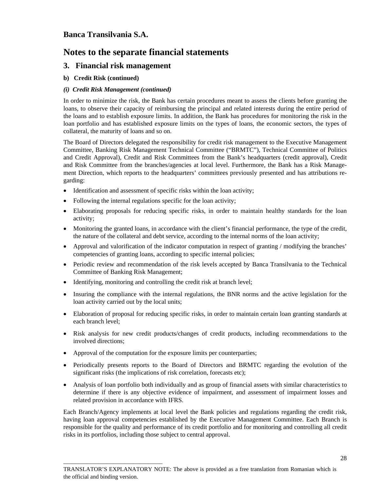## **Notes to the separate financial statements**

### **3. Financial risk management**

### **b) Credit Risk (continued)**

### *(i) Credit Risk Management (continued)*

In order to minimize the risk, the Bank has certain procedures meant to assess the clients before granting the loans, to observe their capacity of reimbursing the principal and related interests during the entire period of the loans and to establish exposure limits. In addition, the Bank has procedures for monitoring the risk in the loan portfolio and has established exposure limits on the types of loans, the economic sectors, the types of collateral, the maturity of loans and so on.

The Board of Directors delegated the responsibility for credit risk management to the Executive Management Committee, Banking Risk Management Technical Committee ("BRMTC"), Technical Committee of Politics and Credit Approval), Credit and Risk Committees from the Bank's headquarters (credit approval), Credit and Risk Committee from the branches/agencies at local level. Furthermore, the Bank has a Risk Management Direction, which reports to the headquarters' committees previously presented and has attributions regarding:

- Identification and assessment of specific risks within the loan activity;
- Following the internal regulations specific for the loan activity;
- Elaborating proposals for reducing specific risks, in order to maintain healthy standards for the loan activity;
- Monitoring the granted loans, in accordance with the client's financial performance, the type of the credit, the nature of the collateral and debt service, according to the internal norms of the loan activity;
- Approval and valorification of the indicator computation in respect of granting / modifying the branches' competencies of granting loans, according to specific internal policies;
- Periodic review and recommendation of the risk levels accepted by Banca Transilvania to the Technical Committee of Banking Risk Management;
- Identifying, monitoring and controlling the credit risk at branch level;
- Insuring the compliance with the internal regulations, the BNR norms and the active legislation for the loan activity carried out by the local units;
- Elaboration of proposal for reducing specific risks, in order to maintain certain loan granting standards at each branch level;
- Risk analysis for new credit products/changes of credit products, including recommendations to the involved directions;
- Approval of the computation for the exposure limits per counterparties;

\_\_\_\_\_\_\_\_\_\_\_\_\_\_\_\_\_\_\_\_\_\_\_\_\_\_\_\_\_\_\_\_\_\_

- Periodically presents reports to the Board of Directors and BRMTC regarding the evolution of the significant risks (the implications of risk correlation, forecasts etc);
- Analysis of loan portfolio both individually and as group of financial assets with similar characteristics to determine if there is any objective evidence of impairment, and assessment of impairment losses and related provision in accordance with IFRS.

Each Branch/Agency implements at local level the Bank policies and regulations regarding the credit risk, having loan approval competencies established by the Executive Management Committee. Each Branch is responsible for the quality and performance of its credit portfolio and for monitoring and controlling all credit risks in its portfolios, including those subject to central approval.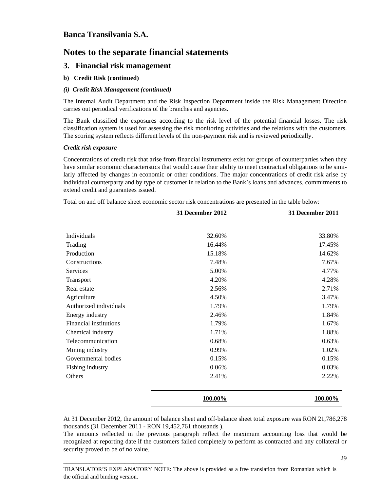## **Notes to the separate financial statements**

### **3. Financial risk management**

### **b) Credit Risk (continued)**

### *(i) Credit Risk Management (continued)*

\_\_\_\_\_\_\_\_\_\_\_\_\_\_\_\_\_\_\_\_\_\_\_\_\_\_\_\_\_\_\_\_\_\_

The Internal Audit Department and the Risk Inspection Department inside the Risk Management Direction carries out periodical verifications of the branches and agencies.

The Bank classified the exposures according to the risk level of the potential financial losses. The risk classification system is used for assessing the risk monitoring activities and the relations with the customers. The scoring system reflects different levels of the non-payment risk and is reviewed periodically.

#### *Credit risk exposure*

Concentrations of credit risk that arise from financial instruments exist for groups of counterparties when they have similar economic characteristics that would cause their ability to meet contractual obligations to be similarly affected by changes in economic or other conditions. The major concentrations of credit risk arise by individual counterparty and by type of customer in relation to the Bank's loans and advances, commitments to extend credit and guarantees issued.

Total on and off balance sheet economic sector risk concentrations are presented in the table below:

|                        | 31 December 2012 | 31 December 2011 |
|------------------------|------------------|------------------|
|                        |                  |                  |
| <b>Individuals</b>     | 32.60%           | 33.80%           |
| Trading                | 16.44%           | 17.45%           |
| Production             | 15.18%           | 14.62%           |
| Constructions          | 7.48%            | 7.67%            |
| Services               | 5.00%            | 4.77%            |
| Transport              | 4.20%            | 4.28%            |
| Real estate            | 2.56%            | 2.71%            |
| Agriculture            | 4.50%            | 3.47%            |
| Authorized individuals | 1.79%            | 1.79%            |
| Energy industry        | 2.46%            | 1.84%            |
| Financial institutions | 1.79%            | 1.67%            |
| Chemical industry      | 1.71%            | 1.88%            |
| Telecommunication      | 0.68%            | 0.63%            |
| Mining industry        | 0.99%            | 1.02%            |
| Governmental bodies    | 0.15%            | 0.15%            |
| Fishing industry       | 0.06%            | 0.03%            |
| Others                 | 2.41%            | 2.22%            |
|                        | 100.00%          | 100.00%          |

At 31 December 2012, the amount of balance sheet and off-balance sheet total exposure was RON 21,786,278 thousands (31 December 2011 - RON 19,452,761 thousands ).

The amounts reflected in the previous paragraph reflect the maximum accounting loss that would be recognized at reporting date if the customers failed completely to perform as contracted and any collateral or security proved to be of no value.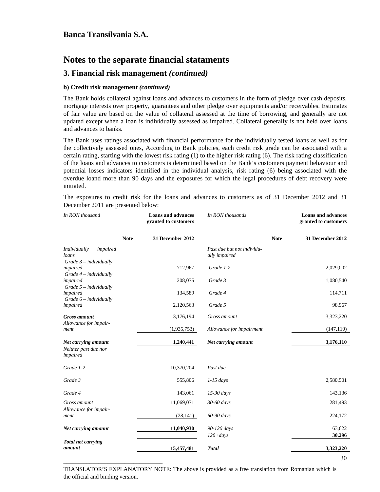## **Notes to the separate financial stataments**

### **3. Financial risk management** *(continued)*

### **b) Credit risk management** *(continued)*

\_\_\_\_\_\_\_\_\_\_\_\_\_\_\_\_\_\_\_\_\_\_\_\_\_\_\_\_\_\_\_\_\_\_

The Bank holds collateral against loans and advances to customers in the form of pledge over cash deposits, mortgage interests over property, guarantees and other pledge over equipments and/or receivables. Estimates of fair value are based on the value of collateral assessed at the time of borrowing, and generally are not updated except when a loan is individually assessed as impaired. Collateral generally is not held over loans and advances to banks.

The Bank uses ratings associated with financial performance for the individually tested loans as well as for the collectively assessed ones, According to Bank policies, each credit risk grade can be associated with a certain rating, starting with the lowest risk rating (1) to the higher risk rating (6). The risk rating classification of the loans and advances to customers is determined based on the Bank's customers payment behaviour and potential losses indicators identified in the individual analysis, risk rating (6) being associated with the overdue loand more than 90 days and the exposures for which the legal procedures of debt recovery were initiated.

The exposures to credit risk for the loans and advances to customers as of 31 December 2012 and 31 December 2011 are presented below:

| In RON thousand                                               |             | <b>Loans and advances</b><br>granted to customers | In RON thousands                            |             | <b>Loans and advances</b><br>granted to customers |  |  |
|---------------------------------------------------------------|-------------|---------------------------------------------------|---------------------------------------------|-------------|---------------------------------------------------|--|--|
|                                                               | <b>Note</b> | 31 December 2012                                  |                                             | <b>Note</b> | 31 December 2012                                  |  |  |
| Individually<br>impaired<br>loans<br>$Grade$ 3 - individually |             |                                                   | Past due but not individu-<br>ally impaired |             |                                                   |  |  |
| impaired<br>$Grade$ 4 – individually                          |             | 712,967                                           | Grade 1-2                                   |             | 2,029,002                                         |  |  |
| impaired<br>$Grade$ 5 – individually                          |             | 208,075                                           | Grade 3                                     |             | 1,080,540                                         |  |  |
| impaired<br>Grade 6 - individually                            |             | 134,589                                           | Grade 4                                     |             | 114,711                                           |  |  |
| impaired                                                      |             | 2,120,563                                         | Grade 5                                     |             | 98,967                                            |  |  |
| <b>Gross</b> amount<br>Allowance for impair-                  |             | 3,176,194                                         | Gross amount                                |             | 3,323,220                                         |  |  |
| ment                                                          |             | (1,935,753)                                       | Allowance for impairment                    |             | (147, 110)                                        |  |  |
| Net carrying amount<br>Neither past due nor<br>impaired       |             | 1,240,441                                         | Net carrying amount                         |             | 3,176,110                                         |  |  |
| Grade 1-2                                                     |             | 10,370,204                                        | Past due                                    |             |                                                   |  |  |
| Grade 3                                                       |             | 555,806                                           | $1-15$ days                                 |             | 2,580,501                                         |  |  |
| Grade 4                                                       |             | 143,061                                           | $15-30$ days                                |             | 143,136                                           |  |  |
| Gross amount<br>Allowance for impair-                         |             | 11,069,071                                        | 30-60 days                                  |             | 281,493                                           |  |  |
| ment                                                          |             | (28, 141)                                         | 60-90 days                                  |             | 224,172                                           |  |  |
| Net carrying amount                                           |             | 11,040,930                                        | 90-120 days<br>$120 + days$                 |             | 63,622<br>30.296                                  |  |  |
| Total net carrying<br>amount                                  |             | 15,457,481                                        | <b>Total</b>                                |             | 3,323,220                                         |  |  |
|                                                               |             |                                                   |                                             |             | 30                                                |  |  |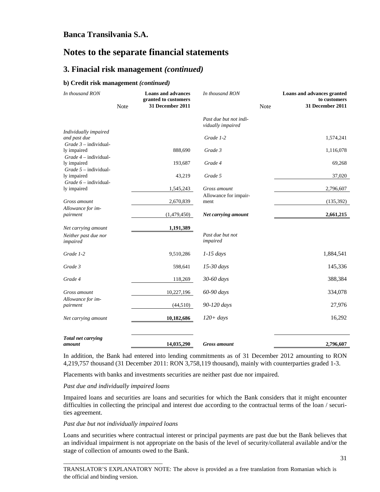## **Notes to the separate financial statements**

### **3. Finacial risk management** *(continued)*

#### **b) Credit risk management** *(continued)*

| In thousand RON                                                   | Note | <b>Loans and advances</b><br>granted to customers<br>31 December 2011 | In thousand RON<br>Note                     |  | Loans and advances granted<br>to customers<br>31 December 2011 |  |
|-------------------------------------------------------------------|------|-----------------------------------------------------------------------|---------------------------------------------|--|----------------------------------------------------------------|--|
|                                                                   |      |                                                                       | Past due but not indi-<br>vidually impaired |  |                                                                |  |
| Individually impaired<br>and past due<br>$Grade$ 3 – individual-  |      |                                                                       | Grade 1-2                                   |  | 1,574,241                                                      |  |
| ly impaired<br>$Grade$ 4 – individual-                            |      | 888,690                                                               | Grade 3                                     |  | 1,116,078                                                      |  |
| ly impaired                                                       |      | 193,687                                                               | Grade 4                                     |  | 69,268                                                         |  |
| $Grade$ 5 – individual-<br>ly impaired<br>$Grade 6 - individual-$ |      | 43,219                                                                | Grade 5                                     |  | 37,020                                                         |  |
| ly impaired                                                       |      | 1,545,243                                                             | Gross amount                                |  | 2,796,607                                                      |  |
| Gross amount                                                      |      | 2,670,839                                                             | Allowance for impair-<br>ment               |  | (135,392)                                                      |  |
| Allowance for im-<br>pairment                                     |      | (1,479,450)                                                           | Net carrying amount                         |  | 2,661,215                                                      |  |
| Net carrying amount                                               |      | 1,191,389                                                             |                                             |  |                                                                |  |
| Neither past due nor<br>impaired                                  |      |                                                                       | Past due but not<br>impaired                |  |                                                                |  |
| Grade 1-2                                                         |      | 9,510,286                                                             | $1-15$ days                                 |  | 1,884,541                                                      |  |
| Grade 3                                                           |      | 598,641                                                               | $15-30$ days                                |  | 145,336                                                        |  |
| Grade 4                                                           |      | 118,269                                                               | 30-60 days                                  |  | 388,384                                                        |  |
| Gross amount                                                      |      | 10,227,196                                                            | 60-90 days                                  |  | 334,078                                                        |  |
| Allowance for im-<br>pairment                                     |      | (44, 510)                                                             | 90-120 days                                 |  | 27,976                                                         |  |
| Net carrying amount                                               |      | 10,182,686                                                            | $120 + days$                                |  | 16,292                                                         |  |
| <b>Total net carrying</b><br>amount                               |      | 14,035,290                                                            | <b>Gross</b> amount                         |  | 2,796,607                                                      |  |

In addition, the Bank had entered into lending commitments as of 31 December 2012 amounting to RON 4,219,757 thousand (31 December 2011: RON 3,758,119 thousand), mainly with counterparties graded 1-3.

Placements with banks and investments securities are neither past due nor impaired.

### *Past due and individually impaired loans*

Impaired loans and securities are loans and securities for which the Bank considers that it might encounter difficulties in collecting the principal and interest due according to the contractual terms of the loan / securities agreement.

#### *Past due but not individually impaired loans*

\_\_\_\_\_\_\_\_\_\_\_\_\_\_\_\_\_\_\_\_\_\_\_\_\_\_\_\_\_\_\_\_\_\_

Loans and securities where contractual interest or principal payments are past due but the Bank believes that an individual impairment is not appropriate on the basis of the level of security/collateral available and/or the stage of collection of amounts owed to the Bank.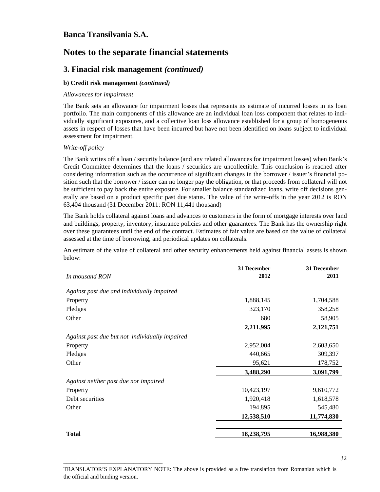## **Notes to the separate financial statements**

### **3. Finacial risk management** *(continued)*

### **b) Credit risk management** *(continued)*

\_\_\_\_\_\_\_\_\_\_\_\_\_\_\_\_\_\_\_\_\_\_\_\_\_\_\_\_\_\_\_\_\_\_

#### *Allowances for impairment*

The Bank sets an allowance for impairment losses that represents its estimate of incurred losses in its loan portfolio. The main components of this allowance are an individual loan loss component that relates to individually significant exposures, and a collective loan loss allowance established for a group of homogeneous assets in respect of losses that have been incurred but have not been identified on loans subject to individual assessment for impairment.

#### *Write-off policy*

The Bank writes off a loan / security balance (and any related allowances for impairment losses) when Bank's Credit Committee determines that the loans / securities are uncollectible. This conclusion is reached after considering information such as the occurrence of significant changes in the borrower / issuer's financial position such that the borrower / issuer can no longer pay the obligation, or that proceeds from collateral will not be sufficient to pay back the entire exposure. For smaller balance standardized loans, write off decisions generally are based on a product specific past due status. The value of the write-offs in the year 2012 is RON 63,404 thousand (31 December 2011: RON 11,441 thousand)

The Bank holds collateral against loans and advances to customers in the form of mortgage interests over land and buildings, property, inventory, insurance policies and other guarantees. The Bank has the ownership right over these guarantees until the end of the contract. Estimates of fair value are based on the value of collateral assessed at the time of borrowing, and periodical updates on collaterals.

An estimate of the value of collateral and other security enhancements held against financial assets is shown below:

|                                                | 31 December | 31 December |
|------------------------------------------------|-------------|-------------|
| In thousand RON                                | 2012        | 2011        |
| Against past due and individually impaired     |             |             |
| Property                                       | 1,888,145   | 1,704,588   |
| Pledges                                        | 323,170     | 358,258     |
| Other                                          | 680         | 58,905      |
|                                                | 2,211,995   | 2,121,751   |
| Against past due but not individually impaired |             |             |
| Property                                       | 2,952,004   | 2,603,650   |
| Pledges                                        | 440,665     | 309,397     |
| Other                                          | 95,621      | 178,752     |
|                                                | 3,488,290   | 3,091,799   |
| Against neither past due nor impaired          |             |             |
| Property                                       | 10,423,197  | 9,610,772   |
| Debt securities                                | 1,920,418   | 1,618,578   |
| Other                                          | 194,895     | 545,480     |
|                                                | 12,538,510  | 11,774,830  |
| <b>Total</b>                                   | 18,238,795  | 16,988,380  |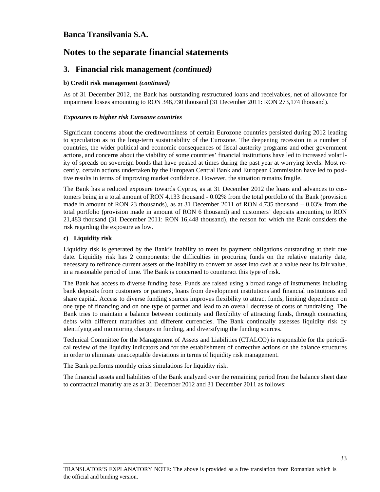## **Notes to the separate financial statements**

### **3. Financial risk management** *(continued)*

### **b) Credit risk management** *(continued)*

As of 31 December 2012, the Bank has outstanding restructured loans and receivables, net of allowance for impairment losses amounting to RON 348,730 thousand (31 December 2011: RON 273,174 thousand).

#### *Exposures to higher risk Eurozone countries*

Significant concerns about the creditworthiness of certain Eurozone countries persisted during 2012 leading to speculation as to the long-term sustainability of the Eurozone. The deepening recession in a number of countries, the wider political and economic consequences of fiscal austerity programs and other government actions, and concerns about the viability of some countries' financial institutions have led to increased volatility of spreads on sovereign bonds that have peaked at times during the past year at worrying levels. Most recently, certain actions undertaken by the European Central Bank and European Commission have led to positive results in terms of improving market confidence. However, the situation remains fragile.

The Bank has a reduced exposure towards Cyprus, as at 31 December 2012 the loans and advances to customers being in a total amount of RON 4,133 thousand - 0.02% from the total portfolio of the Bank (provision made in amount of RON 23 thousands), as at 31 December 2011 of RON 4,735 thousand – 0.03% from the total portfolio (provision made in amount of RON 6 thousand) and customers' deposits amounting to RON 21,483 thousand (31 December 2011: RON 16,448 thousand), the reason for which the Bank considers the risk regarding the exposure as low.

### **c) Liquidity risk**

Liquidity risk is generated by the Bank's inability to meet its payment obligations outstanding at their due date. Liquidity risk has 2 components: the difficulties in procuring funds on the relative maturity date, necessary to refinance current assets or the inability to convert an asset into cash at a value near its fair value, in a reasonable period of time. The Bank is concerned to counteract this type of risk.

The Bank has access to diverse funding base. Funds are raised using a broad range of instruments including bank deposits from customers or partners, loans from development institutions and financial institutions and share capital. Access to diverse funding sources improves flexibility to attract funds, limiting dependence on one type of financing and on one type of partner and lead to an overall decrease of costs of fundraising. The Bank tries to maintain a balance between continuity and flexibility of attracting funds, through contracting debts with different maturities and different currencies. The Bank continually assesses liquidity risk by identifying and monitoring changes in funding, and diversifying the funding sources.

Technical Committee for the Management of Assets and Liabilities (CTALCO) is responsible for the periodical review of the liquidity indicators and for the establishment of corrective actions on the balance structures in order to eliminate unacceptable deviations in terms of liquidity risk management.

The Bank performs monthly crisis simulations for liquidity risk.

\_\_\_\_\_\_\_\_\_\_\_\_\_\_\_\_\_\_\_\_\_\_\_\_\_\_\_\_\_\_\_\_\_\_

The financial assets and liabilities of the Bank analyzed over the remaining period from the balance sheet date to contractual maturity are as at 31 December 2012 and 31 December 2011 as follows: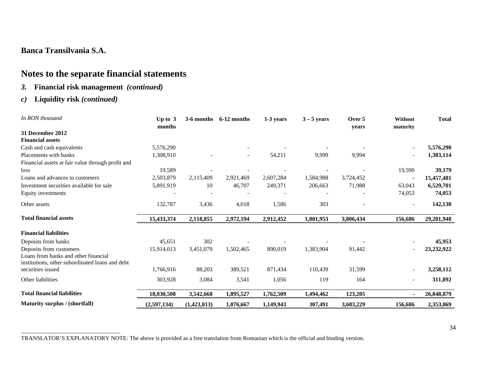# **Notes to the separate financial statements**

### *3.* **Financial risk management** *(continued)*

### *c)* **Liquidity risk** *(continued)*

| In RON thousand                                   | Up to $3$<br>months | 3-6 months  | 6-12 months | 1-3 years | $3 - 5$ years | Over 5<br>years | Without<br>maturity | <b>Total</b> |
|---------------------------------------------------|---------------------|-------------|-------------|-----------|---------------|-----------------|---------------------|--------------|
| 31 December 2012                                  |                     |             |             |           |               |                 |                     |              |
| <b>Financial assets</b>                           |                     |             |             |           |               |                 |                     |              |
| Cash and cash equivalents                         | 5,576,290           |             |             |           |               |                 |                     | 5,576,290    |
| Placements with banks                             | 1,308,910           |             |             | 54,211    | 9,999         | 9,994           |                     | 1,383,114    |
| Financial assets at fair value through profit and |                     |             |             |           |               |                 |                     |              |
| loss                                              | 19,589              |             |             |           |               |                 | 19,590              | 39,179       |
| Loans and advances to customers                   | 2,503,879           | 2,115,409   | 2,921,469   | 2,607,284 | 1,584,988     | 3,724,452       |                     | 15,457,481   |
| Investment securities available for sale          | 5,891,919           | 10          | 46,707      | 249,371   | 206,663       | 71,988          | 63,043              | 6,529,701    |
| Equity investments                                |                     |             |             |           |               |                 | 74,053              | 74,053       |
| Other assets                                      | 132,787             | 3,436       | 4,018       | 1,586     | 303           |                 |                     | 142,130      |
| <b>Total financial assets</b>                     | 15,433,374          | 2,118,855   | 2,972,194   | 2,912,452 | 1,801,953     | 3,806,434       | 156,686             | 29,201,948   |
| <b>Financial liabilities</b>                      |                     |             |             |           |               |                 |                     |              |
| Deposits from banks                               | 45,651              | 302         |             |           |               |                 |                     | 45,953       |
| Deposits from customers                           | 15,914,013          | 3,451,079   | 1,502,465   | 890,019   | 1,383,904     | 91,442          |                     | 23,232,922   |
| Loans from banks and other financial              |                     |             |             |           |               |                 |                     |              |
| institutions, other subordinated loans and debt   |                     |             |             |           |               |                 |                     |              |
| securities issued                                 | 1,766,916           | 88,203      | 389,521     | 871,434   | 110,439       | 31,599          |                     | 3,258,112    |
| Other liabilities                                 | 303,928             | 3,084       | 3,541       | 1,056     | 119           | 164             |                     | 311,892      |
| <b>Total financial liabilities</b>                | 18,030,508          | 3,542,668   | 1,895,527   | 1,762,509 | 1,494,462     | 123,205         |                     | 26,848,879   |
| Maturity surplus / (shortfall)                    | (2,597,134)         | (1,423,813) | 1,076,667   | 1,149,943 | 307,491       | 3,683,229       | 156,686             | 2,353,069    |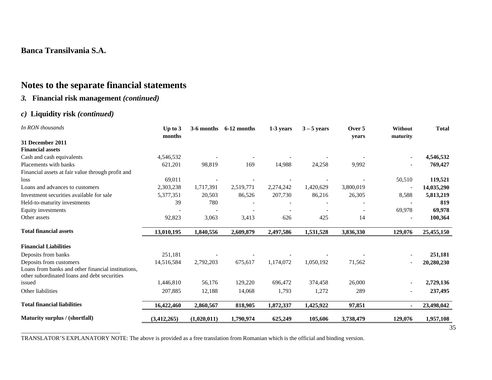# **Notes to the separate financial statements**

# *3.* **Financial risk management** *(continued)*

## *c)* **Liquidity risk** *(continued)*

| In RON thousands                                                                                   | Up to $3$<br>months |             | $3-6$ months $6-12$ months | 1-3 years | $3 - 5$ years | Over 5<br>years | Without<br>maturity | <b>Total</b> |
|----------------------------------------------------------------------------------------------------|---------------------|-------------|----------------------------|-----------|---------------|-----------------|---------------------|--------------|
| 31 December 2011                                                                                   |                     |             |                            |           |               |                 |                     |              |
| <b>Financial assets</b>                                                                            |                     |             |                            |           |               |                 |                     |              |
| Cash and cash equivalents                                                                          | 4,546,532           |             |                            |           |               |                 |                     | 4,546,532    |
| Placements with banks                                                                              | 621,201             | 98,819      | 169                        | 14,988    | 24,258        | 9,992           |                     | 769,427      |
| Financial assets at fair value through profit and                                                  |                     |             |                            |           |               |                 |                     |              |
| loss                                                                                               | 69,011              |             |                            |           |               |                 | 50,510              | 119,521      |
| Loans and advances to customers                                                                    | 2,303,238           | 1,717,391   | 2,519,771                  | 2,274,242 | 1,420,629     | 3,800,019       |                     | 14,035,290   |
| Investment securities available for sale                                                           | 5,377,351           | 20,503      | 86,526                     | 207,730   | 86,216        | 26,305          | 8,588               | 5,813,219    |
| Held-to-maturity investments                                                                       | 39                  | 780         |                            |           |               |                 |                     | 819          |
| Equity investments                                                                                 |                     |             |                            |           |               |                 | 69,978              | 69,978       |
| Other assets                                                                                       | 92,823              | 3,063       | 3,413                      | 626       | 425           | 14              |                     | 100,364      |
| <b>Total financial assets</b>                                                                      | 13,010,195          | 1,840,556   | 2,609,879                  | 2,497,586 | 1,531,528     | 3,836,330       | 129,076             | 25,455,150   |
| <b>Financial Liabilities</b>                                                                       |                     |             |                            |           |               |                 |                     |              |
| Deposits from banks                                                                                | 251,181             |             |                            |           |               |                 |                     | 251,181      |
| Deposits from customers                                                                            | 14,516,584          | 2,792,203   | 675,617                    | 1,174,072 | 1,050,192     | 71,562          |                     | 20,280,230   |
| Loans from banks and other financial institutions,<br>other subordinated loans and debt securities |                     |             |                            |           |               |                 |                     |              |
| issued                                                                                             | 1,446,810           | 56,176      | 129,220                    | 696,472   | 374,458       | 26,000          |                     | 2,729,136    |
| Other liabilities                                                                                  | 207,885             | 12,188      | 14,068                     | 1,793     | 1,272         | 289             |                     | 237,495      |
| <b>Total financial liabilities</b>                                                                 | 16,422,460          | 2,860,567   | 818,905                    | 1,872,337 | 1,425,922     | 97,851          | $\blacksquare$      | 23,498,042   |
| Maturity surplus / (shortfall)                                                                     | (3,412,265)         | (1,020,011) | 1,790,974                  | 625,249   | 105,606       | 3,738,479       | 129,076             | 1,957,108    |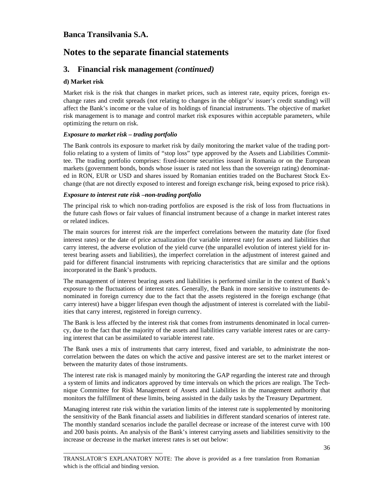# **Notes to the separate financial statements**

### **3. Financial risk management** *(continued)*

#### **d) Market risk**

Market risk is the risk that changes in market prices, such as interest rate, equity prices, foreign exchange rates and credit spreads (not relating to changes in the obligor's/ issuer's credit standing) will affect the Bank's income or the value of its holdings of financial instruments. The objective of market risk management is to manage and control market risk exposures within acceptable parameters, while optimizing the return on risk.

#### *Exposure to market risk – trading portfolio*

\_\_\_\_\_\_\_\_\_\_\_\_\_\_\_\_\_\_\_\_\_\_\_\_\_\_\_\_\_\_\_\_\_\_

The Bank controls its exposure to market risk by daily monitoring the market value of the trading portfolio relating to a system of limits of "stop loss" type approved by the Assets and Liabilities Committee. The trading portfolio comprises: fixed-income securities issued in Romania or on the European markets (government bonds, bonds whose issuer is rated not less than the sovereign rating) denominated in RON, EUR or USD and shares issued by Romanian entities traded on the Bucharest Stock Exchange (that are not directly exposed to interest and foreign exchange risk, being exposed to price risk).

#### *Exposure to interest rate risk –non-trading portfolio*

The principal risk to which non-trading portfolios are exposed is the risk of loss from fluctuations in the future cash flows or fair values of financial instrument because of a change in market interest rates or related indices.

The main sources for interest risk are the imperfect correlations between the maturity date (for fixed interest rates) or the date of price actualization (for variable interest rate) for assets and liabilities that carry interest, the adverse evolution of the yield curve (the unparallel evolution of interest yield for interest bearing assets and liabilities), the imperfect correlation in the adjustment of interest gained and paid for different financial instruments with repricing characteristics that are similar and the options incorporated in the Bank's products.

The management of interest bearing assets and liabilities is performed similar in the context of Bank's exposure to the fluctuations of interest rates. Generally, the Bank in more sensitive to instruments denominated in foreign currency due to the fact that the assets registered in the foreign exchange (that carry interest) have a bigger lifespan even though the adjustment of interest is correlated with the liabilities that carry interest, registered in foreign currency.

The Bank is less affected by the interest risk that comes from instruments denominated in local currency, due to the fact that the majority of the assets and liabilities carry variable interest rates or are carrying interest that can be assimilated to variable interest rate.

The Bank uses a mix of instruments that carry interest, fixed and variable, to administrate the noncorrelation between the dates on which the active and passive interest are set to the market interest or between the maturity dates of those instruments.

The interest rate risk is managed mainly by monitoring the GAP regarding the interest rate and through a system of limits and indicators approved by time intervals on which the prices are realign. The Technique Committee for Risk Management of Assets and Liabilities in the management authority that monitors the fulfillment of these limits, being assisted in the daily tasks by the Treasury Department.

Managing interest rate risk within the variation limits of the interest rate is supplemented by monitoring the sensitivity of the Bank financial assets and liabilities in different standard scenarios of interest rate. The monthly standard scenarios include the parallel decrease or increase of the interest curve with 100 and 200 basis points. An analysis of the Bank's interest carrying assets and liabilities sensitivity to the increase or decrease in the market interest rates is set out below: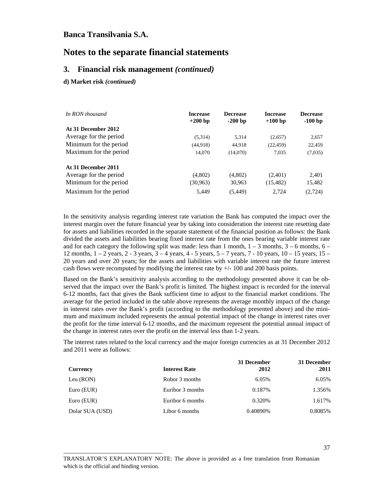## **Notes to the separate financial statements**

#### **3. Financial risk management** *(continued)*

#### **d) Market risk** *(continued)*

| In RON thousand        | <b>Increase</b><br>$+200$ bp | <b>Decrease</b><br>$-200$ bp | <b>Increase</b><br>$+100$ bp | <b>Decrease</b><br>$-100$ bp |
|------------------------|------------------------------|------------------------------|------------------------------|------------------------------|
| At 31 December 2012    |                              |                              |                              |                              |
| Average for the period | (5,314)                      | 5,314                        | (2,657)                      | 2,657                        |
| Minimum for the period | (44,918)                     | 44.918                       | (22, 459)                    | 22,459                       |
| Maximum for the period | 14.070                       | (14,070)                     | 7.035                        | (7,035)                      |
| At 31 December 2011    |                              |                              |                              |                              |
| Average for the period | (4,802)                      | (4,802)                      | (2,401)                      | 2,401                        |
| Minimum for the period | (30, 963)                    | 30,963                       | (15, 482)                    | 15,482                       |
| Maximum for the period | 5,449                        | (5, 449)                     | 2.724                        | (2,724)                      |

In the sensitivity analysis regarding interest rate variation the Bank has computed the impact over the interest margin over the future financial year by taking into consideration the interest rate resetting date for assets and liabilities recorded in the separate statement of the financial position as follows: the Bank divided the assets and liabilities bearing fixed interest rate from the ones bearing variable interest rate and for each category the following split was made: less than 1 month,  $1 - 3$  months,  $3 - 6$  months,  $6 - 6$ 12 months,  $1 - 2$  years,  $2 - 3$  years,  $3 - 4$  years,  $4 - 5$  years,  $5 - 7$  years,  $7 - 10$  years,  $10 - 15$  years,  $15 - 10$ 20 years and over 20 years; for the assets and liabilities with variable interest rate the future interest cash flows were recomputed by modifying the interest rate by +/- 100 and 200 basis points.

Based on the Bank's sensitivity analysis according to the methodology presented above it can be observed that the impact over the Bank's profit is limited. The highest impact is recorded for the interval 6-12 months, fact that gives the Bank sufficient time to adjust to the financial market conditions. The average for the period included in the table above represents the average monthly impact of the change in interest rates over the Bank's profit (according to the methodology presented above) and the minimum and maximum included represents the annual potential impact of the change in interest rates over the profit for the time interval 6-12 months, and the maximum represent the potential annual impact of the change in interest rates over the profit on the interval less than 1-2 years.

The interest rates related to the local currency and the major foreign currencies as at 31 December 2012 and 2011 were as follows:

| Currency        | <b>Interest Rate</b> | 31 December<br>2012 | 31 December<br>2011 |
|-----------------|----------------------|---------------------|---------------------|
| Leu (RON)       | Robor 3 months       | 6.05%               | 6.05%               |
| Euro (EUR)      | Euribor 3 months     | 0.187\%             | 1.356%              |
| Euro (EUR)      | Euribor 6 months     | 0.320\%             | 1.617%              |
| Dolar SUA (USD) | Libor 6 months       | 0.40890%            | 0.8085%             |

\_\_\_\_\_\_\_\_\_\_\_\_\_\_\_\_\_\_\_\_\_\_\_\_\_\_\_\_\_\_\_\_\_\_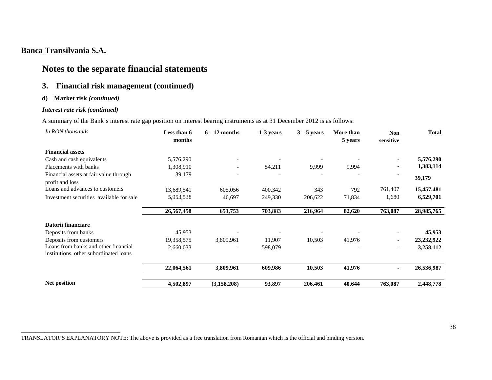# **Notes to the separate financial statements**

## **3. Financial risk management (continued)**

#### **d) Market risk** *(continued)*

### *Interest rate risk (continued)*

A summary of the Bank's interest rate gap position on interest bearing instruments as at 31 December 2012 is as follows:

| In RON thousands                                                               | Less than 6<br>months | $6 - 12$ months | 1-3 years | $3 - 5$ years | More than<br>5 years | <b>Non</b><br>sensitive | <b>Total</b> |
|--------------------------------------------------------------------------------|-----------------------|-----------------|-----------|---------------|----------------------|-------------------------|--------------|
| <b>Financial assets</b>                                                        |                       |                 |           |               |                      |                         |              |
| Cash and cash equivalents                                                      | 5,576,290             |                 |           |               |                      |                         | 5,576,290    |
| Placements with banks                                                          | 1,308,910             |                 | 54,211    | 9,999         | 9,994                |                         | 1,383,114    |
| Financial assets at fair value through<br>profit and loss                      | 39,179                |                 |           |               |                      |                         | 39,179       |
| Loans and advances to customers                                                | 13,689,541            | 605,056         | 400,342   | 343           | 792                  | 761,407                 | 15,457,481   |
| Investment securities available for sale                                       | 5,953,538             | 46,697          | 249,330   | 206,622       | 71,834               | 1,680                   | 6,529,701    |
|                                                                                | 26,567,458            | 651,753         | 703,883   | 216,964       | 82,620               | 763,087                 | 28,985,765   |
| Datorii financiare                                                             |                       |                 |           |               |                      |                         |              |
| Deposits from banks                                                            | 45,953                |                 |           |               |                      |                         | 45,953       |
| Deposits from customers                                                        | 19,358,575            | 3,809,961       | 11,907    | 10,503        | 41,976               |                         | 23, 232, 922 |
| Loans from banks and other financial<br>institutions, other subordinated loans | 2,660,033             |                 | 598,079   |               |                      | -                       | 3,258,112    |
|                                                                                | 22,064,561            | 3,809,961       | 609,986   | 10,503        | 41,976               |                         | 26,536,987   |
| Net position                                                                   | 4,502,897             | (3, 158, 208)   | 93,897    | 206,461       | 40,644               | 763,087                 | 2,448,778    |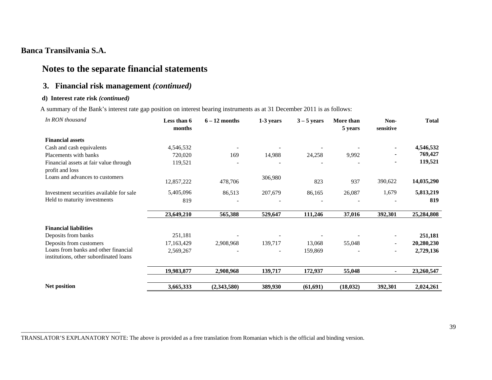# **Notes to the separate financial statements**

## **3. Financial risk management** *(continued)*

#### **d) Interest rate risk** *(continued)*

A summary of the Bank's interest rate gap position on interest bearing instruments as at 31 December 2011 is as follows:

| In RON thousand                                                                | Less than 6<br>months | $6 - 12$ months | 1-3 years                | $3 - 5$ years | More than<br>5 years | Non-<br>sensitive            | <b>Total</b> |
|--------------------------------------------------------------------------------|-----------------------|-----------------|--------------------------|---------------|----------------------|------------------------------|--------------|
| <b>Financial assets</b>                                                        |                       |                 |                          |               |                      |                              |              |
| Cash and cash equivalents                                                      | 4,546,532             |                 |                          |               |                      |                              | 4,546,532    |
| Placements with banks                                                          | 720,020               | 169             | 14,988                   | 24,258        | 9,992                |                              | 769,427      |
| Financial assets at fair value through                                         | 119,521               |                 |                          |               |                      |                              | 119,521      |
| profit and loss                                                                |                       |                 |                          |               |                      |                              |              |
| Loans and advances to customers                                                | 12,857,222            | 478,706         | 306,980                  | 823           | 937                  | 390,622                      | 14,035,290   |
| Investment securities available for sale                                       | 5,405,096             | 86,513          | 207,679                  | 86,165        | 26,087               | 1,679                        | 5,813,219    |
| Held to maturity investments                                                   | 819                   |                 |                          |               |                      |                              | 819          |
|                                                                                | 23,649,210            | 565,388         | 529,647                  | 111,246       | 37,016               | 392,301                      | 25,284,808   |
| <b>Financial liabilities</b>                                                   |                       |                 |                          |               |                      |                              |              |
| Deposits from banks                                                            | 251,181               |                 |                          |               |                      |                              | 251,181      |
| Deposits from customers                                                        | 17,163,429            | 2,908,968       | 139,717                  | 13,068        | 55,048               | $\qquad \qquad \blacksquare$ | 20,280,230   |
| Loans from banks and other financial<br>institutions, other subordinated loans | 2,569,267             |                 | $\overline{\phantom{a}}$ | 159,869       |                      | $\overline{\phantom{a}}$     | 2,729,136    |
|                                                                                | 19,983,877            | 2,908,968       | 139,717                  | 172,937       | 55,048               |                              | 23,260,547   |
| Net position                                                                   | 3,665,333             | (2,343,580)     | 389,930                  | (61, 691)     | (18, 032)            | 392,301                      | 2,024,261    |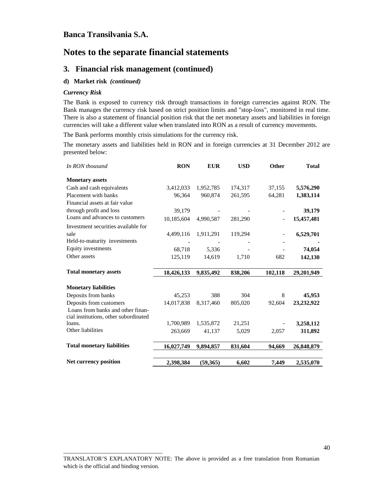## **Notes to the separate financial statements**

#### **3. Financial risk management (continued)**

#### **d) Market risk** *(continued)*

#### *Currency Risk*

The Bank is exposed to currency risk through transactions in foreign currencies against RON. The Bank manages the currency risk based on strict position limits and "stop-loss", monitored in real time. There is also a statement of financial position risk that the net monetary assets and liabilities in foreign currencies will take a different value when translated into RON as a result of currency movements.

The Bank performs monthly crisis simulations for the currency risk.

The monetary assets and liabilities held in RON and in foreign currencies at 31 December 2012 are presented below:

| In RON thousand                       | <b>RON</b> | <b>EUR</b> | <b>USD</b> | <b>Other</b> | <b>Total</b> |
|---------------------------------------|------------|------------|------------|--------------|--------------|
| <b>Monetary assets</b>                |            |            |            |              |              |
| Cash and cash equivalents             | 3,412,033  | 1,952,785  | 174,317    | 37,155       | 5,576,290    |
| Placement with banks                  | 96,364     | 960,874    | 261,595    | 64,281       | 1,383,114    |
| Financial assets at fair value        |            |            |            |              |              |
| through profit and loss               | 39,179     |            |            |              | 39,179       |
| Loans and advances to customers       | 10,185,604 | 4,990,587  | 281,290    |              | 15,457,481   |
| Investment securities available for   |            |            |            |              |              |
| sale                                  | 4,499,116  | 1,911,291  | 119,294    |              | 6,529,701    |
| Held-to-maturity investments          |            |            |            |              |              |
| Equity investments                    | 68,718     | 5,336      |            |              | 74,054       |
| Other assets                          | 125,119    | 14,619     | 1,710      | 682          | 142,130      |
|                                       |            |            |            |              |              |
| <b>Total monetary assets</b>          | 18,426,133 | 9,835,492  | 838,206    | 102,118      | 29,201,949   |
| <b>Monetary liabilities</b>           |            |            |            |              |              |
| Deposits from banks                   | 45,253     | 388        | 304        | 8            | 45,953       |
| Deposits from customers               | 14,017,838 | 8,317,460  | 805,020    | 92,604       | 23,232,922   |
| Loans from banks and other finan-     |            |            |            |              |              |
| cial institutions, other subordinated |            |            |            |              |              |
| loans.                                | 1.700.989  | 1,535,872  | 21,251     |              | 3,258,112    |
| Other liabilities                     | 263,669    | 41,137     | 5,029      | 2,057        | 311,892      |
|                                       |            |            |            |              |              |
| <b>Total monetary liabilities</b>     | 16,027,749 | 9,894,857  | 831,604    | 94,669       | 26,848,879   |
| Net currency position                 | 2,398,384  | (59, 365)  | 6,602      | 7,449        | 2,535,070    |
|                                       |            |            |            |              |              |

\_\_\_\_\_\_\_\_\_\_\_\_\_\_\_\_\_\_\_\_\_\_\_\_\_\_\_\_\_\_\_\_\_\_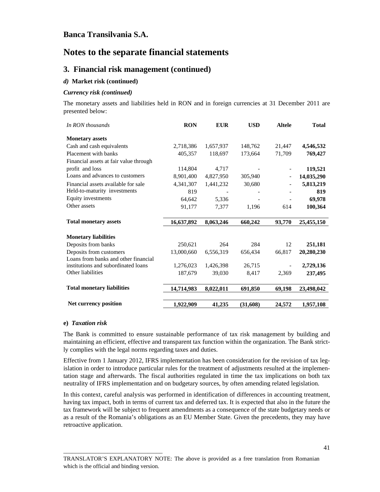# **Notes to the separate financial statements**

#### **3. Financial risk management (continued)**

#### *d)* **Market risk (continued)**

#### *Currency risk (continued)*

The monetary assets and liabilities held in RON and in foreign currencies at 31 December 2011 are presented below:

| In RON thousands                       | <b>RON</b> | <b>EUR</b> | <b>USD</b> | <b>Altele</b> | <b>Total</b> |
|----------------------------------------|------------|------------|------------|---------------|--------------|
| <b>Monetary assets</b>                 |            |            |            |               |              |
| Cash and cash equivalents              | 2,718,386  | 1,657,937  | 148,762    | 21,447        | 4,546,532    |
| Placement with banks                   | 405,357    | 118,697    | 173,664    | 71,709        | 769,427      |
| Financial assets at fair value through |            |            |            |               |              |
| profit and loss                        | 114,804    | 4,717      |            |               | 119,521      |
| Loans and advances to customers        | 8,901,400  | 4,827,950  | 305,940    |               | 14,035,290   |
| Financial assets available for sale    | 4,341,307  | 1,441,232  | 30,680     |               | 5,813,219    |
| Held-to-maturity investments           | 819        |            |            |               | 819          |
| Equity investments                     | 64,642     | 5,336      |            |               | 69,978       |
| Other assets                           | 91,177     | 7,377      | 1,196      | 614           | 100,364      |
| <b>Total monetary assets</b>           | 16,637,892 | 8,063,246  | 660,242    | 93,770        | 25,455,150   |
| <b>Monetary liabilities</b>            |            |            |            |               |              |
| Deposits from banks                    | 250,621    | 264        | 284        | 12            | 251,181      |
| Deposits from customers                | 13,000,660 | 6,556,319  | 656,434    | 66,817        | 20,280,230   |
| Loans from banks and other financial   |            |            |            |               |              |
| institutions and subordinated loans    | 1,276,023  | 1,426,398  | 26,715     |               | 2,729,136    |
| Other liabilities                      | 187,679    | 39,030     | 8,417      | 2,369         | 237,495      |
| <b>Total monetary liabilities</b>      | 14,714,983 | 8,022,011  | 691,850    | 69,198        | 23,498,042   |
| Net currency position                  | 1,922,909  | 41,235     | (31,608)   | 24,572        | 1,957,108    |

#### **e)** *Taxation risk*

\_\_\_\_\_\_\_\_\_\_\_\_\_\_\_\_\_\_\_\_\_\_\_\_\_\_\_\_\_\_\_\_\_\_

The Bank is committed to ensure sustainable performance of tax risk management by building and maintaining an efficient, effective and transparent tax function within the organization. The Bank strictly complies with the legal norms regarding taxes and duties.

Effective from 1 January 2012, IFRS implementation has been consideration for the revision of tax legislation in order to introduce particular rules for the treatment of adjustments resulted at the implementation stage and afterwards. The fiscal authorities regulated in time the tax implications on both tax neutrality of IFRS implementation and on budgetary sources, by often amending related legislation.

In this context, careful analysis was performed in identification of differences in accounting treatment, having tax impact, both in terms of current tax and deferred tax. It is expected that also in the future the tax framework will be subject to frequent amendments as a consequence of the state budgetary needs or as a result of the Romania's obligations as an EU Member State. Given the precedents, they may have retroactive application.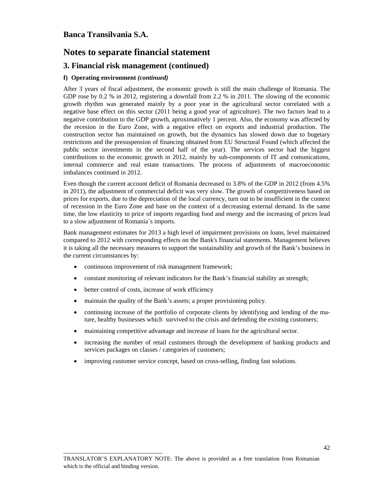# **Notes to separate financial statement**

### **3. Financial risk management (continued)**

#### **f) Operating environment** *(continued)*

After 3 years of fiscal adjustment, the economic growth is still the main challenge of Romania. The GDP rose by 0.2 % in 2012, registering a downfall from 2.2 % in 2011. The slowing of the economic growth rhythm was generated mainly by a poor year in the agricultural sector correlated with a negative base effect on this sector (2011 being a good year of agriculture). The two factors lead to a negative contribution to the GDP growth, aproximatively 1 percent. Also, the economy was affected by the recesion in the Euro Zone, with a negative effect on exports and industrial production. The construction sector has maintained on growth, but the dynamics has slowed down due to bugetary restrictions and the presuspension of financing obtained from EU Structural Found (which affected the public sector investments in the second half of the year). The services sector had the biggest contributions to the economic growth in 2012, mainly by sub-components of IT and comunications, internal commerce and real estate transactions. The process of adjustments of macroeconomic imbalances continued in 2012.

Even though the current account deficit of Romania decreased to 3.8% of the GDP in 2012 (from 4.5% in 2011), the adjustment of commercial deficit was very slow. The growth of competitiveness based on prices for exports, due to the depreciation of the local currency, turn out to be insufficient in the context of recession in the Euro Zone and base on the context of a decreasing external demand. In the same time, the low elasticity to price of imports regarding food and energy and the increasing of prices lead to a slow adjustment of Romania`s imports.

Bank management estimates for 2013 a high level of impairment provisions on loans, level maintained compared to 2012 with corresponding effects on the Bank's financial statements. Management believes it is taking all the necessary measures to support the sustainability and growth of the Bank's business in the current circumstances by:

- continuous improvement of risk management framework;
- constant monitoring of relevant indicators for the Bank's financial stability an strength;
- better control of costs, increase of work efficiency

\_\_\_\_\_\_\_\_\_\_\_\_\_\_\_\_\_\_\_\_\_\_\_\_\_\_\_\_\_\_\_\_\_\_

- maintain the quality of the Bank's assets; a proper provisioning policy.
- continuing increase of the portfolio of corporate clients by identifying and lending of the mature, healthy businesses which survived to the crisis and defending the existing customers;
- maintaining competitive advantage and increase of loans for the agricultural sector.
- increasing the number of retail customers through the development of banking products and services packages on classes / categories of customers;
- improving customer service concept, based on cross-selling, finding fast solutions.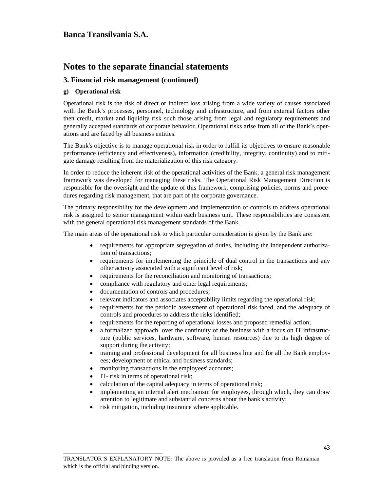## **Notes to the separate financial statements**

#### **3. Financial risk management (continued)**

#### **g) Operational risk**

Operational risk is the risk of direct or indirect loss arising from a wide variety of causes associated with the Bank's processes, personnel, technology and infrastructure, and from external factors other then credit, market and liquidity risk such those arising from legal and regulatory requirements and generally accepted standards of corporate behavior. Operational risks arise from all of the Bank's operations and are faced by all business entities.

The Bank's objective is to manage operational risk in order to fulfill its objectives to ensure reasonable performance (efficiency and effectiveness), information (credibility, integrity, continuity) and to mitigate damage resulting from the materialization of this risk category.

In order to reduce the inherent risk of the operational activities of the Bank, a general risk management framework was developed for managing these risks. The Operational Risk Management Direction is responsible for the oversight and the update of this framework, comprising policies, norms and procedures regarding risk management, that are part of the corporate governance.

The primary responsibility for the development and implementation of controls to address operational risk is assigned to senior management within each business unit. These responsibilities are consistent with the general operational risk management standards of the Bank.

The main areas of the operational risk to which particular consideration is given by the Bank are:

- requirements for appropriate segregation of duties, including the independent authorization of transactions;
- requirements for implementing the principle of dual control in the transactions and any other activity associated with a significant level of risk;
- requirements for the reconciliation and monitoring of transactions;
- compliance with regulatory and other legal requirements;
- documentation of controls and procedures;
- relevant indicators and associates acceptability limits regarding the operational risk;
- requirements for the periodic assessment of operational risk faced, and the adequacy of controls and procedures to address the risks identified;
- requirements for the reporting of operational losses and proposed remedial action;
- a formalized approach over the continuity of the business with a focus on IT infrastructure (public services, hardware, software, human resources) due to its high degree of support during the activity;
- training and professional development for all business line and for all the Bank employees; development of ethical and business standards;
- monitoring transactions in the employees' accounts;
- IT- risk in terms of operational risk;

\_\_\_\_\_\_\_\_\_\_\_\_\_\_\_\_\_\_\_\_\_\_\_\_\_\_\_\_\_\_\_\_\_\_

- calculation of the capital adequacy in terms of operational risk;
- implementing an internal alert mechanism for employees, through which, they can draw attention to legitimate and substantial concerns about the bank's activity;
- risk mitigation, including insurance where applicable.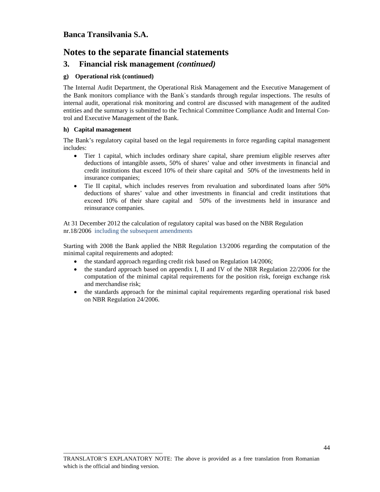## **Notes to the separate financial statements**

### **3. Financial risk management** *(continued)*

#### **g) Operational risk (continued)**

\_\_\_\_\_\_\_\_\_\_\_\_\_\_\_\_\_\_\_\_\_\_\_\_\_\_\_\_\_\_\_\_\_\_

The Internal Audit Department, the Operational Risk Management and the Executive Management of the Bank monitors compliance with the Bank`s standards through regular inspections. The results of internal audit, operational risk monitoring and control are discussed with management of the audited entities and the summary is submitted to the Technical Committee Compliance Audit and Internal Control and Executive Management of the Bank.

#### **h) Capital management**

The Bank's regulatory capital based on the legal requirements in force regarding capital management includes:

- Tier 1 capital, which includes ordinary share capital, share premium eligible reserves after deductions of intangible assets, 50% of shares' value and other investments in financial and credit institutions that exceed 10% of their share capital and 50% of the investments held in insurance companies;
- Tie II capital, which includes reserves from revaluation and subordinated loans after 50% deductions of shares' value and other investments in financial and credit institutions that exceed 10% of their share capital and 50% of the investments held in insurance and reinsurance companies.

At 31 December 2012 the calculation of regulatory capital was based on the NBR Regulation nr.18/2006 including the subsequent amendments

Starting with 2008 the Bank applied the NBR Regulation 13/2006 regarding the computation of the minimal capital requirements and adopted:

- the standard approach regarding credit risk based on Regulation 14/2006;
- the standard approach based on appendix I, II and IV of the NBR Regulation 22/2006 for the computation of the minimal capital requirements for the position risk, foreign exchange risk and merchandise risk;
- the standards approach for the minimal capital requirements regarding operational risk based on NBR Regulation 24/2006.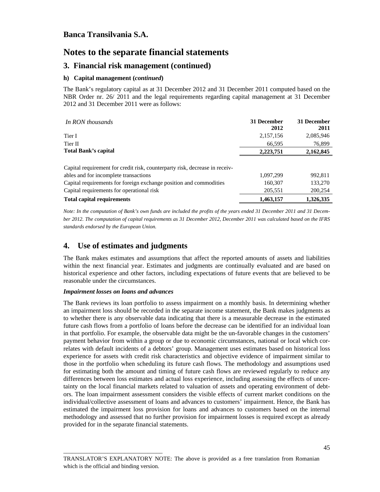## **Notes to the separate financial statements**

### **3. Financial risk management (continued)**

#### **h) Capital management (***continued***)**

The Bank's regulatory capital as at 31 December 2012 and 31 December 2011 computed based on the NBR Order nr. 26/ 2011 and the legal requirements regarding capital management at 31 December 2012 and 31 December 2011 were as follows:

| In RON thousands                                                            | 31 December<br>2012 | 31 December<br>2011 |
|-----------------------------------------------------------------------------|---------------------|---------------------|
| Tier I                                                                      | 2,157,156           | 2,085,946           |
| Tier II                                                                     | 66,595              | 76,899              |
| <b>Total Bank's capital</b>                                                 | 2,223,751           | 2,162,845           |
| Capital requirement for credit risk, counterparty risk, decrease in receiv- |                     |                     |
| ables and for incomplete transactions                                       | 1,097,299           | 992,811             |
| Capital requirements for foreign exchange position and commodities          | 160,307             | 133,270             |
| Capital requirements for operational risk                                   | 205,551             | 200,254             |
| <b>Total capital requirements</b>                                           | 1,463,157           | 1.326.335           |

*Note: In the computation of Bank's own funds are included the profits of the years ended 31 December 2011 and 31 December 2012. The computation of capital requirements as 31 December 2012, December 2011 was calculated based on the IFRS standards endorsed by the European Union.* 

## **4. Use of estimates and judgments**

The Bank makes estimates and assumptions that affect the reported amounts of assets and liabilities within the next financial year. Estimates and judgments are continually evaluated and are based on historical experience and other factors, including expectations of future events that are believed to be reasonable under the circumstances.

#### *Impairment losses on loans and advances*

\_\_\_\_\_\_\_\_\_\_\_\_\_\_\_\_\_\_\_\_\_\_\_\_\_\_\_\_\_\_\_\_\_\_

The Bank reviews its loan portfolio to assess impairment on a monthly basis. In determining whether an impairment loss should be recorded in the separate income statement, the Bank makes judgments as to whether there is any observable data indicating that there is a measurable decrease in the estimated future cash flows from a portfolio of loans before the decrease can be identified for an individual loan in that portfolio. For example, the observable data might be the un-favorable changes in the customers' payment behavior from within a group or due to economic circumstances, national or local which correlates with default incidents of a debtors' group. Management uses estimates based on historical loss experience for assets with credit risk characteristics and objective evidence of impairment similar to those in the portfolio when scheduling its future cash flows. The methodology and assumptions used for estimating both the amount and timing of future cash flows are reviewed regularly to reduce any differences between loss estimates and actual loss experience, including assessing the effects of uncertainty on the local financial markets related to valuation of assets and operating environment of debtors. The loan impairment assessment considers the visible effects of current market conditions on the individual/collective assessment of loans and advances to customers' impairment. Hence, the Bank has estimated the impairment loss provision for loans and advances to customers based on the internal methodology and assessed that no further provision for impairment losses is required except as already provided for in the separate financial statements.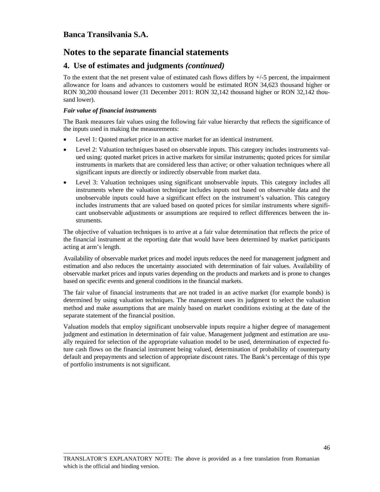# **Notes to the separate financial statements**

### **4. Use of estimates and judgments** *(continued)*

To the extent that the net present value of estimated cash flows differs by  $+/-5$  percent, the impairment allowance for loans and advances to customers would be estimated RON 34,623 thousand higher or RON 30,200 thousand lower (31 December 2011: RON 32,142 thousand higher or RON 32,142 thousand lower).

#### *Fair value of financial instruments*

\_\_\_\_\_\_\_\_\_\_\_\_\_\_\_\_\_\_\_\_\_\_\_\_\_\_\_\_\_\_\_\_\_\_

The Bank measures fair values using the following fair value hierarchy that reflects the significance of the inputs used in making the measurements:

- Level 1: Quoted market price in an active market for an identical instrument.
- Level 2: Valuation techniques based on observable inputs. This category includes instruments valued using: quoted market prices in active markets for similar instruments; quoted prices for similar instruments in markets that are considered less than active; or other valuation techniques where all significant inputs are directly or indirectly observable from market data.
- Level 3: Valuation techniques using significant unobservable inputs. This category includes all instruments where the valuation technique includes inputs not based on observable data and the unobservable inputs could have a significant effect on the instrument's valuation. This category includes instruments that are valued based on quoted prices for similar instruments where significant unobservable adjustments or assumptions are required to reflect differences between the instruments.

The objective of valuation techniques is to arrive at a fair value determination that reflects the price of the financial instrument at the reporting date that would have been determined by market participants acting at arm's length.

Availability of observable market prices and model inputs reduces the need for management judgment and estimation and also reduces the uncertainty associated with determination of fair values. Availability of observable market prices and inputs varies depending on the products and markets and is prone to changes based on specific events and general conditions in the financial markets.

The fair value of financial instruments that are not traded in an active market (for example bonds) is determined by using valuation techniques. The management uses its judgment to select the valuation method and make assumptions that are mainly based on market conditions existing at the date of the separate statement of the financial position.

Valuation models that employ significant unobservable inputs require a higher degree of management judgment and estimation in determination of fair value. Management judgment and estimation are usually required for selection of the appropriate valuation model to be used, determination of expected future cash flows on the financial instrument being valued, determination of probability of counterparty default and prepayments and selection of appropriate discount rates. The Bank's percentage of this type of portfolio instruments is not significant.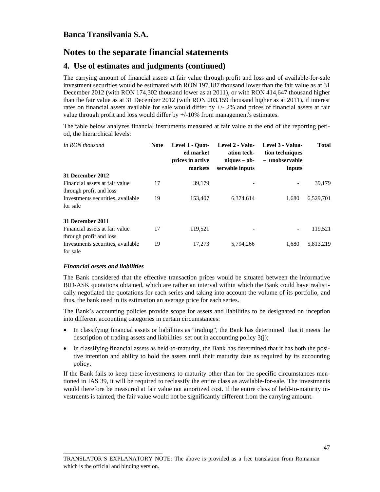## **4. Use of estimates and judgments (continued)**

The carrying amount of financial assets at fair value through profit and loss and of available-for-sale investment securities would be estimated with RON 197,187 thousand lower than the fair value as at 31 December 2012 (with RON 174,302 thousand lower as at 2011), or with RON 414,647 thousand higher than the fair value as at 31 December 2012 (with RON 203,159 thousand higher as at 2011), if interest rates on financial assets available for sale would differ by  $+/-$  2% and prices of financial assets at fair value through profit and loss would differ by +/-10% from management's estimates.

The table below analyzes financial instruments measured at fair value at the end of the reporting period, the hierarchical levels:

| In RON thousand                                           | <b>Note</b> | Level 1 - Ouot-<br>ed market<br>prices in active<br>markets | Level 2 - Valu-<br>ation tech-<br>$niques - ob-$<br>servable inputs | Level 3 - Valua-<br>tion techniques<br>- unobservable<br>inputs | <b>Total</b> |
|-----------------------------------------------------------|-------------|-------------------------------------------------------------|---------------------------------------------------------------------|-----------------------------------------------------------------|--------------|
| 31 December 2012                                          |             |                                                             |                                                                     |                                                                 |              |
| Financial assets at fair value<br>through profit and loss | 17          | 39,179                                                      |                                                                     |                                                                 | 39,179       |
| Investments securities, available<br>for sale             | 19          | 153,407                                                     | 6,374,614                                                           | 1,680                                                           | 6,529,701    |
| 31 December 2011                                          |             |                                                             |                                                                     |                                                                 |              |
| Financial assets at fair value<br>through profit and loss | 17          | 119,521                                                     |                                                                     | $\overline{\phantom{0}}$                                        | 119,521      |
| Investments securities, available<br>for sale             | 19          | 17,273                                                      | 5,794,266                                                           | 1.680                                                           | 5,813,219    |

#### *Financial assets and liabilities*

\_\_\_\_\_\_\_\_\_\_\_\_\_\_\_\_\_\_\_\_\_\_\_\_\_\_\_\_\_\_\_\_\_\_

The Bank considered that the effective transaction prices would be situated between the informative BID-ASK quotations obtained, which are rather an interval within which the Bank could have realistically negotiated the quotations for each series and taking into account the volume of its portfolio, and thus, the bank used in its estimation an average price for each series.

The Bank's accounting policies provide scope for assets and liabilities to be designated on inception into different accounting categories in certain circumstances:

- In classifying financial assets or liabilities as "trading", the Bank has determined that it meets the description of trading assets and liabilities set out in accounting policy 3(j);
- In classifying financial assets as held-to-maturity, the Bank has determined that it has both the positive intention and ability to hold the assets until their maturity date as required by its accounting policy.

If the Bank fails to keep these investments to maturity other than for the specific circumstances mentioned in IAS 39, it will be required to reclassify the entire class as available-for-sale. The investments would therefore be measured at fair value not amortized cost. If the entire class of held-to-maturity investments is tainted, the fair value would not be significantly different from the carrying amount.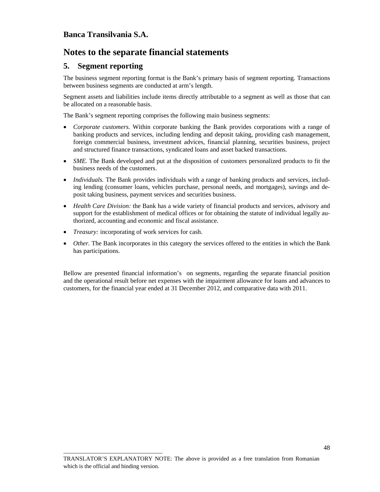## **5. Segment reporting**

The business segment reporting format is the Bank's primary basis of segment reporting. Transactions between business segments are conducted at arm's length.

Segment assets and liabilities include items directly attributable to a segment as well as those that can be allocated on a reasonable basis.

The Bank's segment reporting comprises the following main business segments:

- *Corporate customers.* Within corporate banking the Bank provides corporations with a range of banking products and services, including lending and deposit taking, providing cash management, foreign commercial business, investment advices, financial planning, securities business, project and structured finance transactions, syndicated loans and asset backed transactions.
- *SME*. The Bank developed and put at the disposition of customers personalized products to fit the business needs of the customers.
- *Individuals*. The Bank provides individuals with a range of banking products and services, including lending (consumer loans, vehicles purchase, personal needs, and mortgages), savings and deposit taking business, payment services and securities business.
- *Health Care Division:* the Bank has a wide variety of financial products and services, advisory and support for the establishment of medical offices or for obtaining the statute of individual legally authorized, accounting and economic and fiscal assistance.
- *Treasury:* incorporating of work services for cash.

\_\_\_\_\_\_\_\_\_\_\_\_\_\_\_\_\_\_\_\_\_\_\_\_\_\_\_\_\_\_\_\_\_\_

• *Other.* The Bank incorporates in this category the services offered to the entities in which the Bank has participations.

Bellow are presented financial information's on segments, regarding the separate financial position and the operational result before net expenses with the impairment allowance for loans and advances to customers, for the financial year ended at 31 December 2012, and comparative data with 2011.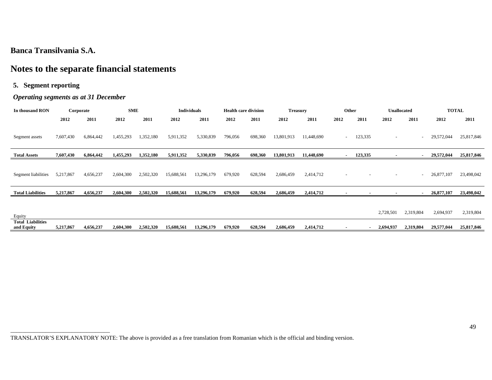# **Notes to the separate financial statements**

### **5. Segment reporting**

### *Operating segments as at 31 December*

| In thousand RON                        |           | Corporate | <b>SME</b> |           | <b>Individuals</b> |            | <b>Health care division</b> |         | <b>Treasury</b> |            | Other  |                          | <b>Unallocated</b>       |                          | <b>TOTAL</b> |            |
|----------------------------------------|-----------|-----------|------------|-----------|--------------------|------------|-----------------------------|---------|-----------------|------------|--------|--------------------------|--------------------------|--------------------------|--------------|------------|
|                                        | 2012      | 2011      | 2012       | 2011      | 2012               | 2011       | 2012                        | 2011    | 2012            | 2011       | 2012   | 2011                     | 2012                     | 2011                     | 2012         | 2011       |
| Segment assets                         | 7,607,430 | 6,864,442 | 1,455,293  | 1,352,180 | 5,911,352          | 5,330,839  | 796,056                     | 698,360 | 13,801,913      | 11,448,690 | $\sim$ | 123,335                  | $\overline{\phantom{a}}$ | $\sim$                   | 29,572,044   | 25,817,846 |
| <b>Total Assets</b>                    | 7,607,430 | 6,864,442 | 1,455,293  | 1,352,180 | 5,911,352          | 5,330,839  | 796,056                     | 698,360 | 13,801,913      | 11,448,690 | $\sim$ | 123,335                  |                          |                          | 29,572,044   | 25,817,846 |
| Segment liabilities                    | 5,217,867 | 4,656,237 | 2,604,300  | 2,502,320 | 15,688,561         | 13,296,179 | 679,920                     | 628,594 | 2,686,459       | 2,414,712  |        |                          |                          | $\overline{\phantom{a}}$ | 26,877,107   | 23,498,042 |
| <b>Total Liabilities</b>               | 5,217,867 | 4,656,237 | 2,604,300  | 2,502,320 | 15,688,561         | 13,296,179 | 679,920                     | 628,594 | 2,686,459       | 2,414,712  |        |                          |                          |                          | 26,877,107   | 23,498,042 |
| Equity                                 |           |           |            |           |                    |            |                             |         |                 |            |        |                          | 2,728,501                | 2,319,804                | 2,694,937    | 2,319,804  |
| <b>Total Liabilities</b><br>and Equity | 5,217,867 | 4,656,237 | 2,604,300  | 2,502,320 | 15,688,561         | 13,296,179 | 679,920                     | 628,594 | 2,686,459       | 2,414,712  |        | $\overline{\phantom{a}}$ | 2,694,937                | 2,319,804                | 29,577,044   | 25,817,846 |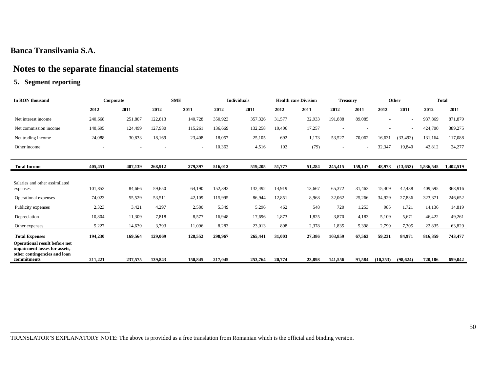# **Notes to the separate financial statements**

### **5. Segment reporting**

| In RON thousand                                                                                |         | Corporate |         | <b>SME</b> |         | <b>Individuals</b> |        | <b>Health care Division</b> | <b>Treasury</b> |         |           | Other     |           | <b>Total</b> |
|------------------------------------------------------------------------------------------------|---------|-----------|---------|------------|---------|--------------------|--------|-----------------------------|-----------------|---------|-----------|-----------|-----------|--------------|
|                                                                                                | 2012    | 2011      | 2012    | 2011       | 2012    | 2011               | 2012   | 2011                        | 2012            | 2011    | 2012      | 2011      | 2012      | 2011         |
| Net interest income                                                                            | 240,668 | 251,807   | 122,813 | 140,728    | 350,923 | 357,326            | 31,577 | 32,933                      | 191,888         | 89.085  |           |           | 937,869   | 871,879      |
| Net commission income                                                                          | 140,695 | 124,499   | 127,930 | 115,261    | 136,669 | 132,258            | 19,406 | 17,257                      |                 |         |           |           | 424,700   | 389,275      |
| Net trading income                                                                             | 24,088  | 30,833    | 18,169  | 23,408     | 18,057  | 25,105             | 692    | 1,173                       | 53,527          | 70,062  | 16,631    | (33, 493) | 131,164   | 117,088      |
| Other income                                                                                   |         |           |         | $\sim$     | 10,363  | 4,516              | 102    | (79)                        | $\sim$          |         | 32,347    | 19,840    | 42,812    | 24,277       |
|                                                                                                |         |           |         |            |         |                    |        |                             |                 |         |           |           |           |              |
| <b>Total Income</b>                                                                            | 405,451 | 407,139   | 268,912 | 279,397    | 516,012 | 519,205            | 51,777 | 51,284                      | 245,415         | 159,147 | 48,978    | (13,653)  | 1,536,545 | 1,402,519    |
|                                                                                                |         |           |         |            |         |                    |        |                             |                 |         |           |           |           |              |
| Salaries and other assimilated<br>expenses                                                     | 101,853 | 84,666    | 59,650  | 64,190     | 152,392 | 132,492            | 14,919 | 13,667                      | 65,372          | 31,463  | 15,409    | 42,438    | 409,595   | 368,916      |
| Operational expenses                                                                           | 74,023  | 55,529    | 53,511  | 42,109     | 115,995 | 86,944             | 12,851 | 8,968                       | 32,062          | 25,266  | 34,929    | 27,836    | 323,371   | 246,652      |
| Publicity expenses                                                                             | 2,323   | 3,421     | 4,297   | 2,580      | 5,349   | 5,296              | 462    | 548                         | 720             | 1,253   | 985       | 1,721     | 14,136    | 14,819       |
| Depreciation                                                                                   | 10.804  | 11,309    | 7.818   | 8,577      | 16,948  | 17,696             | 1.873  | 1,825                       | 3,870           | 4,183   | 5,109     | 5.671     | 46,422    | 49,261       |
| Other expenses                                                                                 | 5,227   | 14,639    | 3,793   | 11,096     | 8,283   | 23,013             | 898    | 2,378                       | 1,835           | 5,398   | 2,799     | 7,305     | 22,835    | 63,829       |
| <b>Total Expenses</b>                                                                          | 194,230 | 169,564   | 129,069 | 128,552    | 298,967 | 265,441            | 31,003 | 27,386                      | 103,859         | 67,563  | 59,231    | 84,971    | 816,359   | 743,477      |
| Operational result before net<br>impairment losses for assets,<br>other contingencies and loan |         |           |         |            |         |                    |        |                             |                 |         |           |           |           |              |
| commitments                                                                                    | 211,221 | 237,575   | 139,843 | 150,845    | 217,045 | 253,764            | 20,774 | 23.898                      | 141,556         | 91.584  | (10, 253) | (98, 624) | 720.186   | 659,042      |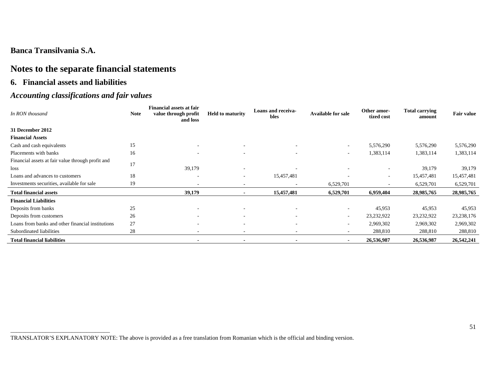# **Notes to the separate financial statements**

### **6. Financial assets and liabilities**

# *Accounting classifications and fair values*

| In RON thousand                                   | <b>Note</b> | <b>Financial assets at fair</b><br>value through profit<br>and loss | <b>Held to maturity</b>  | Loans and receiva-<br>bles | <b>Available for sale</b> | Other amor-<br>tized cost | <b>Total carrying</b><br>amount | <b>Fair value</b> |
|---------------------------------------------------|-------------|---------------------------------------------------------------------|--------------------------|----------------------------|---------------------------|---------------------------|---------------------------------|-------------------|
| 31 December 2012                                  |             |                                                                     |                          |                            |                           |                           |                                 |                   |
| <b>Financial Assets</b>                           |             |                                                                     |                          |                            |                           |                           |                                 |                   |
| Cash and cash equivalents                         | 15          | $\overline{\phantom{a}}$                                            | $\overline{\phantom{a}}$ |                            | $\sim$                    | 5,576,290                 | 5,576,290                       | 5,576,290         |
| Placements with banks                             | 16          |                                                                     |                          |                            | $\overline{\phantom{a}}$  | 1,383,114                 | 1,383,114                       | 1,383,114         |
| Financial assets at fair value through profit and | 17          |                                                                     |                          |                            |                           |                           |                                 |                   |
| loss                                              |             | 39,179                                                              | $\overline{\phantom{a}}$ |                            |                           | $\overline{\phantom{a}}$  | 39,179                          | 39,179            |
| Loans and advances to customers                   | 18          | $\overline{\phantom{a}}$                                            | $\overline{\phantom{a}}$ | 15,457,481                 |                           | $\overline{\phantom{a}}$  | 15,457,481                      | 15,457,481        |
| Investments securities, available for sale        | 19          | $\overline{\phantom{a}}$                                            | $\overline{\phantom{a}}$ |                            | 6,529,701                 | $\overline{\phantom{a}}$  | 6,529,701                       | 6,529,701         |
| <b>Total financial assets</b>                     |             | 39,179                                                              | $\blacksquare$           | 15,457,481                 | 6,529,701                 | 6,959,404                 | 28,985,765                      | 28,985,765        |
| <b>Financial Liabilities</b>                      |             |                                                                     |                          |                            |                           |                           |                                 |                   |
| Deposits from banks                               | 25          | $\overline{\phantom{a}}$                                            | $\overline{\phantom{a}}$ | $\overline{\phantom{0}}$   | $\overline{\phantom{0}}$  | 45,953                    | 45,953                          | 45,953            |
| Deposits from customers                           | 26          | $\overline{\phantom{a}}$                                            |                          |                            | ۰                         | 23,232,922                | 23,232,922                      | 23, 238, 176      |
| Loans from banks and other financial institutions | 27          | $\overline{\phantom{a}}$                                            | $\overline{\phantom{a}}$ | $\overline{\phantom{0}}$   | $\sim$                    | 2,969,302                 | 2,969,302                       | 2,969,302         |
| Subordinated liabilities                          | 28          | $\overline{\phantom{a}}$                                            | $\overline{\phantom{a}}$ |                            |                           | 288,810                   | 288,810                         | 288,810           |
| <b>Total financial liabilities</b>                |             | $\blacksquare$                                                      | ٠                        |                            | $\blacksquare$            | 26,536,987                | 26,536,987                      | 26,542,241        |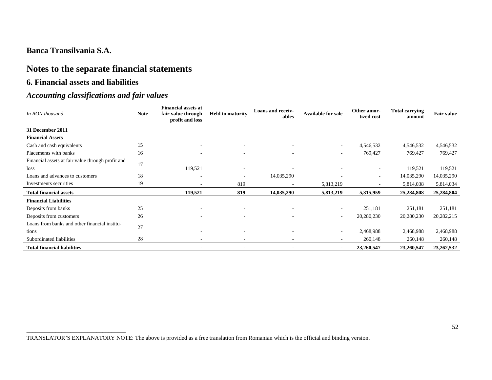# **Notes to the separate financial statements**

### **6. Financial assets and liabilities**

# *Accounting classifications and fair values*

| In RON thousand                                   | <b>Note</b> | <b>Financial assets at</b><br>fair value through<br>profit and loss | <b>Held to maturity</b>  | Loans and receiv-<br>ables | <b>Available for sale</b> | Other amor-<br>tized cost | <b>Total carrying</b><br>amount | <b>Fair value</b> |
|---------------------------------------------------|-------------|---------------------------------------------------------------------|--------------------------|----------------------------|---------------------------|---------------------------|---------------------------------|-------------------|
| 31 December 2011                                  |             |                                                                     |                          |                            |                           |                           |                                 |                   |
| <b>Financial Assets</b>                           |             |                                                                     |                          |                            |                           |                           |                                 |                   |
| Cash and cash equivalents                         | 15          | $\overline{\phantom{a}}$                                            | ۰                        | $\overline{\phantom{a}}$   | $\sim$                    | 4,546,532                 | 4,546,532                       | 4,546,532         |
| Placements with banks                             | 16          |                                                                     |                          | $\overline{\phantom{a}}$   | $\overline{\phantom{a}}$  | 769,427                   | 769,427                         | 769,427           |
| Financial assets at fair value through profit and | 17          |                                                                     |                          |                            |                           |                           |                                 |                   |
| loss                                              |             | 119,521                                                             | $\overline{\phantom{a}}$ |                            |                           | $\overline{\phantom{a}}$  | 119,521                         | 119,521           |
| Loans and advances to customers                   | 18          | $\overline{\phantom{a}}$                                            | ۰                        | 14,035,290                 |                           | $\overline{\phantom{a}}$  | 14,035,290                      | 14,035,290        |
| Investments securities                            | 19          | $\overline{a}$                                                      | 819                      | $\overline{\phantom{a}}$   | 5,813,219                 |                           | 5,814,038                       | 5,814,034         |
| <b>Total financial assets</b>                     |             | 119,521                                                             | 819                      | 14,035,290                 | 5,813,219                 | 5,315,959                 | 25,284,808                      | 25,284,804        |
| <b>Financial Liabilities</b>                      |             |                                                                     |                          |                            |                           |                           |                                 |                   |
| Deposits from banks                               | 25          |                                                                     |                          | $\overline{\phantom{a}}$   | $\overline{\phantom{a}}$  | 251,181                   | 251,181                         | 251,181           |
| Deposits from customers                           | 26          |                                                                     |                          | $\overline{\phantom{a}}$   | $\overline{\phantom{a}}$  | 20,280,230                | 20,280,230                      | 20,282,215        |
| Loans from banks and other financial institu-     | 27          |                                                                     |                          |                            |                           |                           |                                 |                   |
| tions                                             |             |                                                                     |                          | $\sim$                     | $\overline{\phantom{a}}$  | 2,468,988                 | 2,468,988                       | 2,468,988         |
| Subordinated liabilities                          | 28          |                                                                     |                          | $\sim$                     |                           | 260,148                   | 260,148                         | 260,148           |
| <b>Total financial liabilities</b>                |             |                                                                     |                          | $\blacksquare$             | $\blacksquare$            | 23,260,547                | 23,260,547                      | 23,262,532        |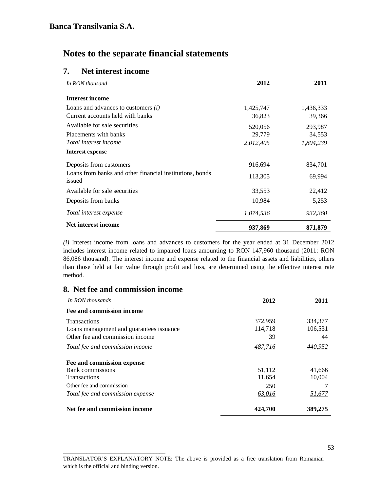### **7. Net interest income**

| In RON thousand                                                    | 2012             | 2011      |
|--------------------------------------------------------------------|------------------|-----------|
| Interest income                                                    |                  |           |
| Loans and advances to customers $(i)$                              | 1,425,747        | 1,436,333 |
| Current accounts held with banks                                   | 36,823           | 39,366    |
| Available for sale securities                                      | 520,056          | 293,987   |
| Placements with banks                                              | 29,779           | 34,553    |
| Total interest income                                              | 2,012,405        | 1,804,239 |
| Interest expense                                                   |                  |           |
| Deposits from customers                                            | 916,694          | 834,701   |
| Loans from banks and other financial institutions, bonds<br>issued | 113,305          | 69,994    |
| Available for sale securities                                      | 33,553           | 22,412    |
| Deposits from banks                                                | 10,984           | 5,253     |
| Total interest expense                                             | <u>1,074,536</u> | 932,360   |
| Net interest income                                                | 937,869          | 871,879   |

*(i)* Interest income from loans and advances to customers for the year ended at 31 December 2012 includes interest income related to impaired loans amounting to RON 147,960 thousand (2011: RON 86,086 thousand). The interest income and expense related to the financial assets and liabilities, others than those held at fair value through profit and loss, are determined using the effective interest rate method.

### **8. Net fee and commission income**

\_\_\_\_\_\_\_\_\_\_\_\_\_\_\_\_\_\_\_\_\_\_\_\_\_\_\_\_\_\_\_\_\_\_\_

| In RON thousands                                                                                   | 2012                     | 2011                     |
|----------------------------------------------------------------------------------------------------|--------------------------|--------------------------|
| Fee and commission income                                                                          |                          |                          |
| <b>Transactions</b><br>Loans management and guarantees issuance<br>Other fee and commission income | 372,959<br>114,718<br>39 | 334,377<br>106,531<br>44 |
| Total fee and commission income                                                                    | 487,716                  | 440,952                  |
| Fee and commission expense                                                                         |                          |                          |
| Bank commissions<br><b>Transactions</b>                                                            | 51,112<br>11,654         | 41,666<br>10,004         |
| Other fee and commission                                                                           | 250                      |                          |
| Total fee and commission expense                                                                   | 63,016                   | 51,677                   |
| Net fee and commission income                                                                      | 424,700                  | 389,275                  |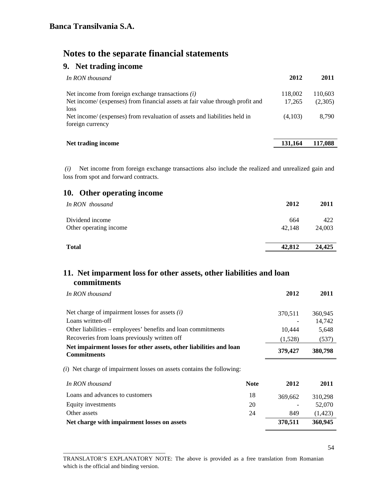# **9. Net trading income**

| In RON thousand                                                                                                                              | 2012              | 2011               |
|----------------------------------------------------------------------------------------------------------------------------------------------|-------------------|--------------------|
| Net income from foreign exchange transactions $(i)$<br>Net income/ (expenses) from financial assets at fair value through profit and<br>loss | 118,002<br>17,265 | 110,603<br>(2,305) |
| Net income/ (expenses) from revaluation of assets and liabilities held in<br>foreign currency                                                | (4,103)           | 8.790              |
| Net trading income                                                                                                                           | 131.164           | 117.088            |

 *(i)* Net income from foreign exchange transactions also include the realized and unrealized gain and loss from spot and forward contracts.

## **10. Other operating income**

\_\_\_\_\_\_\_\_\_\_\_\_\_\_\_\_\_\_\_\_\_\_\_\_\_\_\_\_\_\_\_\_\_\_\_

| In RON thousand                           | 2012          | 2011          |
|-------------------------------------------|---------------|---------------|
| Dividend income<br>Other operating income | 664<br>42.148 | 422<br>24,003 |
|                                           |               |               |
| <b>Total</b>                              | 42,812        | 24,425        |

## **11. Net imparment loss for other assets, other liabilities and loan commitments**

| In RON thousand                                                                          |             | 2012    | 2011    |
|------------------------------------------------------------------------------------------|-------------|---------|---------|
|                                                                                          |             |         |         |
| Net charge of impairment losses for assets $(i)$                                         |             | 370,511 | 360,945 |
| Loans written-off                                                                        |             |         | 14,742  |
| Other liabilities – employees' benefits and loan commitments                             |             | 10,444  | 5,648   |
| Recoveries from loans previously written off                                             |             | (1,528) | (537)   |
| Net impairment losses for other assets, other liabilities and loan                       |             | 379,427 | 380,798 |
| <b>Commitments</b>                                                                       |             |         |         |
|                                                                                          |             |         |         |
| (i) Net charge of impairment losses on assets contains the following:<br>In RON thousand | <b>Note</b> | 2012    | 2011    |
| Loans and advances to customers                                                          | 18          | 369,662 | 310,298 |
| Equity investments                                                                       | 20          |         | 52,070  |
| Other assets                                                                             | 24          | 849     | (1,423) |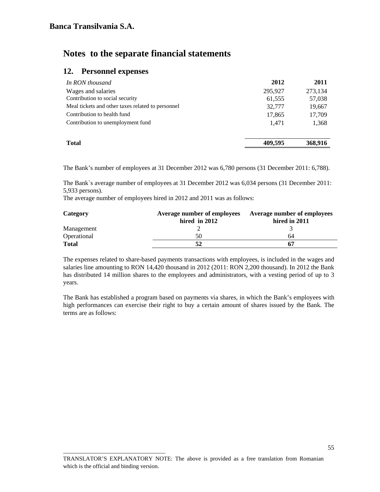### **12. Personnel expenses**

| In RON thousand                                   | 2012    | 2011    |
|---------------------------------------------------|---------|---------|
| Wages and salaries                                | 295,927 | 273,134 |
| Contribution to social security                   | 61,555  | 57,038  |
| Meal tickets and other taxes related to personnel | 32,777  | 19,667  |
| Contribution to health fund                       | 17,865  | 17,709  |
| Contribution to unemployment fund                 | 1.471   | 1,368   |
|                                                   |         |         |
| <b>Total</b>                                      | 409.595 | 368,916 |

The Bank's number of employees at 31 December 2012 was 6,780 persons (31 December 2011: 6,788).

The Bank`s average number of employees at 31 December 2012 was 6,034 persons (31 December 2011: 5,933 persons).

The average number of employees hired in 2012 and 2011 was as follows:

| Category     | Average number of employees | Average number of employees |
|--------------|-----------------------------|-----------------------------|
|              | hired in 2012               | hired in 2011               |
| Management   |                             |                             |
| Operational  | 50                          | 64                          |
| <b>Total</b> |                             | -67                         |

The expenses related to share-based payments transactions with employees, is included in the wages and salaries line amounting to RON 14,420 thousand in 2012 (2011: RON 2,200 thousand). In 2012 the Bank has distributed 14 million shares to the employees and administrators, with a vesting period of up to 3 years.

The Bank has established a program based on payments via shares, in which the Bank's employees with high performances can exercise their right to buy a certain amount of shares issued by the Bank. The terms are as follows:

\_\_\_\_\_\_\_\_\_\_\_\_\_\_\_\_\_\_\_\_\_\_\_\_\_\_\_\_\_\_\_\_\_\_\_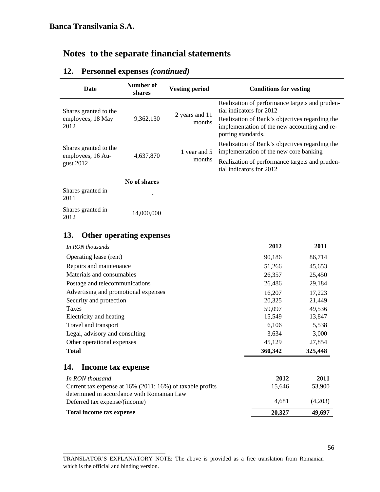## **12. Personnel expenses** *(continued)*

| <b>Date</b>                                        | Number of<br>shares | <b>Vesting period</b>    | <b>Conditions for vesting</b>                                                                                                                                                                      |
|----------------------------------------------------|---------------------|--------------------------|----------------------------------------------------------------------------------------------------------------------------------------------------------------------------------------------------|
| Shares granted to the<br>employees, 18 May<br>2012 | 9.362.130           | 2 years and 11<br>months | Realization of performance targets and pruden-<br>tial indicators for 2012<br>Realization of Bank's objectives regarding the<br>implementation of the new accounting and re-<br>porting standards. |
| Shares granted to the<br>employees, 16 Au-         | 4,637,870           | 1 year and 5             | Realization of Bank's objectives regarding the<br>implementation of the new core banking                                                                                                           |
| gust 2012                                          |                     | months                   | Realization of performance targets and pruden-<br>tial indicators for 2012                                                                                                                         |
|                                                    | No of shares        |                          |                                                                                                                                                                                                    |

Shares granted in  $\frac{2011}{ }$ Shares granted in 3nares granted in 14,000,000<br>2012

## **13. Other operating expenses**

\_\_\_\_\_\_\_\_\_\_\_\_\_\_\_\_\_\_\_\_\_\_\_\_\_\_\_\_\_\_\_\_\_\_\_

| In RON thousands                                                                                        | 2012    | 2011    |
|---------------------------------------------------------------------------------------------------------|---------|---------|
| Operating lease (rent)                                                                                  | 90,186  | 86,714  |
| Repairs and maintenance                                                                                 | 51,266  | 45,653  |
| Materials and consumables                                                                               | 26,357  | 25,450  |
| Postage and telecommunications                                                                          | 26,486  | 29,184  |
| Advertising and promotional expenses                                                                    | 16,207  | 17,223  |
| Security and protection                                                                                 | 20,325  | 21,449  |
| Taxes                                                                                                   | 59,097  | 49,536  |
| Electricity and heating                                                                                 | 15,549  | 13,847  |
| Travel and transport                                                                                    | 6,106   | 5,538   |
| Legal, advisory and consulting                                                                          | 3,634   | 3,000   |
| Other operational expenses                                                                              | 45,129  | 27,854  |
| <b>Total</b>                                                                                            | 360,342 | 325,448 |
| Income tax expense<br>14.                                                                               |         |         |
| In RON thousand                                                                                         | 2012    | 2011    |
| Current tax expense at 16% (2011: 16%) of taxable profits<br>determined in accordance with Romanian Law | 15,646  | 53,900  |
| Deferred tax expense/(income)                                                                           | 4,681   | (4,203) |
| Total income tax expense                                                                                | 20,327  | 49,697  |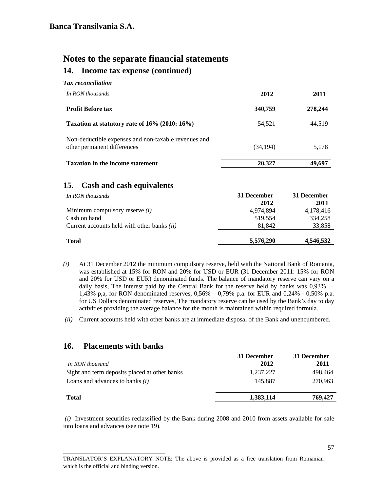# **Notes to the separate financial statements 14. Income tax expense (continued)**

| Tax reconciliation                                                                  |           |         |
|-------------------------------------------------------------------------------------|-----------|---------|
| In RON thousands                                                                    | 2012      | 2011    |
| <b>Profit Before tax</b>                                                            | 340,759   | 278,244 |
| Taxation at statutory rate of 16% (2010: 16%)                                       | 54,521    | 44,519  |
| Non-deductible expenses and non-taxable revenues and<br>other permanent differences | (34, 194) | 5,178   |
| <b>Taxation in the income statement</b>                                             | 20,327    | 49,697  |

## **15. Cash and cash equivalents**

| In RON thousands                                   | 31 December | 31 December |
|----------------------------------------------------|-------------|-------------|
|                                                    | 2012        | 2011        |
| Minimum compulsory reserve $(i)$                   | 4,974,894   | 4,178,416   |
| Cash on hand                                       | 519,554     | 334,258     |
| Current accounts held with other banks <i>(ii)</i> | 81,842      | 33,858      |
| <b>Total</b>                                       | 5,576,290   | 4,546,532   |

- *(i)* At 31 December 2012 the minimum compulsory reserve, held with the National Bank of Romania, was established at 15% for RON and 20% for USD or EUR (31 December 2011: 15% for RON and 20% for USD or EUR) denominated funds. The balance of mandatory reserve can vary on a daily basis, The interest paid by the Central Bank for the reserve held by banks was 0,93% – 1,43% p,a, for RON denominated reserves, 0,56% – 0,79% p.a. for EUR and 0,24% - 0,50% p.a. for US Dollars denominated reserves, The mandatory reserve can be used by the Bank's day to day activities providing the average balance for the month is maintained within required formula.
- *(ii)* Current accounts held with other banks are at immediate disposal of the Bank and unencumbered.

#### **16. Placements with banks**

\_\_\_\_\_\_\_\_\_\_\_\_\_\_\_\_\_\_\_\_\_\_\_\_\_\_\_\_\_\_\_\_\_\_\_

| In RON thousand                               | 31 December<br>2012 | 31 December<br>2011 |
|-----------------------------------------------|---------------------|---------------------|
| Sight and term deposits placed at other banks | 1,237,227           | 498.464             |
| Loans and advances to banks $(i)$             | 145.887             | 270.963             |
| <b>Total</b>                                  | 1,383,114           | 769,427             |

 *(i)* Investment securities reclassified by the Bank during 2008 and 2010 from assets available for sale into loans and advances (see note 19).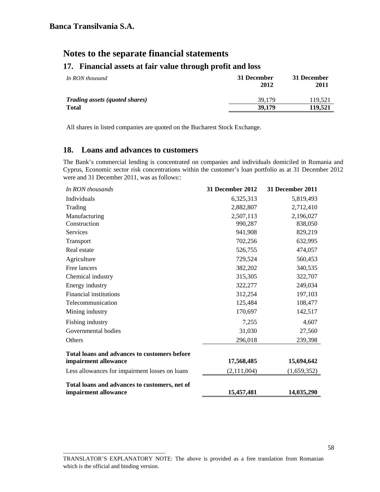## **17. Financial assets at fair value through profit and loss**

| In RON thousand                       | 31 December<br>2012 | 31 December<br>2011 |
|---------------------------------------|---------------------|---------------------|
| <b>Trading assets (quoted shares)</b> | 39.179              | 119.521             |
| <b>Total</b>                          | 39,179              | 119.521             |

All shares in listed companies are quoted on the Bucharest Stock Exchange.

### **18. Loans and advances to customers**

\_\_\_\_\_\_\_\_\_\_\_\_\_\_\_\_\_\_\_\_\_\_\_\_\_\_\_\_\_\_\_\_\_\_\_

The Bank's commercial lending is concentrated on companies and individuals domiciled in Romania and Cyprus, Economic sector risk concentrations within the customer's loan portfolio as at 31 December 2012 were and 31 December 2011, was as follows::

| In RON thousands                                    | 31 December 2012 | 31 December 2011 |
|-----------------------------------------------------|------------------|------------------|
| Individuals                                         | 6,325,313        | 5,819,493        |
| Trading                                             | 2,882,807        | 2,712,410        |
| Manufacturing                                       | 2,507,113        | 2,196,027        |
| Construction                                        | 990,287          | 838,050          |
| Services                                            | 941,908          | 829,219          |
| Transport                                           | 702,256          | 632,995          |
| Real estate                                         | 526,755          | 474,057          |
| Agriculture                                         | 729,524          | 560,453          |
| Free lancers                                        | 382,202          | 340,535          |
| Chemical industry                                   | 315,305          | 322,707          |
| Energy industry                                     | 322,277          | 249,034          |
| Financial institutions                              | 312,254          | 197,103          |
| Telecommunication                                   | 125,484          | 108,477          |
| Mining industry                                     | 170,697          | 142,517          |
| Fishing industry                                    | 7,255            | 4,607            |
| Governmental bodies                                 | 31,030           | 27,560           |
| Others                                              | 296,018          | 239,398          |
| <b>Total loans and advances to customers before</b> |                  |                  |
| impairment allowance                                | 17,568,485       | 15,694,642       |
| Less allowances for impairment losses on loans      | (2,111,004)      | (1,659,352)      |
| Total loans and advances to customers, net of       |                  |                  |
| impairment allowance                                | 15,457,481       | 14,035,290       |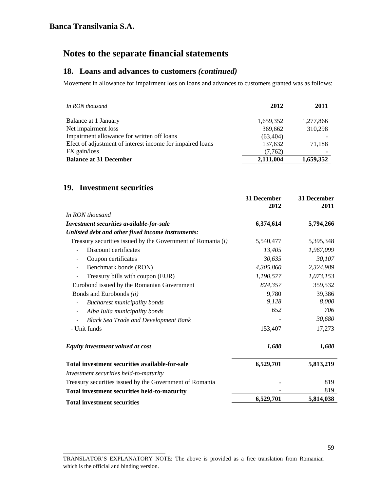### **18. Loans and advances to customers** *(continued)*

Movement in allowance for impairment loss on loans and advances to customers granted was as follows:

| In RON thousand                                           | 2012      | 2011      |
|-----------------------------------------------------------|-----------|-----------|
| Balance at 1 January                                      | 1,659,352 | 1,277,866 |
| Net impairment loss                                       | 369,662   | 310,298   |
| Impairment allowance for written off loans                | (63, 404) |           |
| Efect of adjustment of interest income for impaired loans | 137,632   | 71.188    |
| FX gain/loss                                              | (7,762)   |           |
| <b>Balance at 31 December</b>                             | 2,111,004 | 1,659,352 |

### **19. Investment securities**

\_\_\_\_\_\_\_\_\_\_\_\_\_\_\_\_\_\_\_\_\_\_\_\_\_\_\_\_\_\_\_\_\_\_\_

|                                                               | 31 December<br>2012 | 31 December<br>2011 |
|---------------------------------------------------------------|---------------------|---------------------|
| In RON thousand                                               |                     |                     |
| Investment securities available-for-sale                      | 6,374,614           | 5,794,266           |
| Unlisted debt and other fixed income instruments:             |                     |                     |
| Treasury securities issued by the Government of Romania $(i)$ | 5,540,477           | 5,395,348           |
| Discount certificates                                         | 13,405              | 1,967,099           |
| Coupon certificates<br>$\overline{\phantom{a}}$               | 30,635              | 30,107              |
| Benchmark bonds (RON)                                         | 4,305,860           | 2,324,989           |
| Treasury bills with coupon (EUR)                              | 1,190,577           | 1,073,153           |
| Eurobond issued by the Romanian Government                    | 824,357             | 359,532             |
| Bonds and Eurobonds (ii)                                      | 9,780               | 39,386              |
| <b>Bucharest municipality bonds</b>                           | 9,128               | 8,000               |
| Alba Iulia municipality bonds                                 | 652                 | 706                 |
| <b>Black Sea Trade and Development Bank</b>                   |                     | 30,680              |
| - Unit funds                                                  | 153,407             | 17,273              |
| Equity investment valued at cost                              | 1,680               | 1,680               |
| Total investment securities available-for-sale                | 6,529,701           | 5,813,219           |
| Investment securities held-to-maturity                        |                     |                     |
| Treasury securities issued by the Government of Romania       |                     | 819                 |
| Total investment securities held-to-maturity                  |                     | 819                 |
| <b>Total investment securities</b>                            | 6,529,701           | 5,814,038           |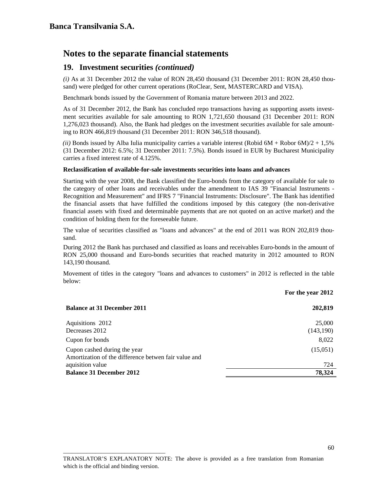### **19. Investment securities** *(continued)*

*(i)* As at 31 December 2012 the value of RON 28,450 thousand (31 December 2011: RON 28,450 thousand) were pledged for other current operations (RoClear, Sent, MASTERCARD and VISA).

Benchmark bonds issued by the Government of Romania mature between 2013 and 2022.

As of 31 December 2012, the Bank has concluded repo transactions having as supporting assets investment securities available for sale amounting to RON 1,721,650 thousand (31 December 2011: RON 1,276,023 thousand). Also, the Bank had pledges on the investment securities available for sale amounting to RON 466,819 thousand (31 December 2011: RON 346,518 thousand).

*(ii)* Bonds issued by Alba Iulia municipality carries a variable interest (Robid  $6M + R$ obor  $6M/2 + 1,5%$  (31 December 2012: 6.5%; 31 December 2011: 7.5%). Bonds issued in EUR by Bucharest Municipality carries a fixed interest rate of 4.125%.

#### **Reclassification of available-for-sale investments securities into loans and advances**

Starting with the year 2008, the Bank classified the Euro-bonds from the category of available for sale to the category of other loans and receivables under the amendment to IAS 39 "Financial Instruments - Recognition and Measurement" and IFRS 7 "Financial Instruments: Disclosure". The Bank has identified the financial assets that have fulfilled the conditions imposed by this category (the non-derivative financial assets with fixed and determinable payments that are not quoted on an active market) and the condition of holding them for the foreseeable future.

The value of securities classified as "loans and advances" at the end of 2011 was RON 202,819 thousand.

During 2012 the Bank has purchased and classified as loans and receivables Euro-bonds in the amount of RON 25,000 thousand and Euro-bonds securities that reached maturity in 2012 amounted to RON 143,190 thousand.

Movement of titles in the category "loans and advances to customers" in 2012 is reflected in the table below:

| <b>Balance at 31 December 2011</b>                                                   | 202,819              |
|--------------------------------------------------------------------------------------|----------------------|
| Aquisitions 2012<br>Decreases 2012                                                   | 25,000<br>(143, 190) |
| Cupon for bonds                                                                      | 8,022                |
| Cupon cashed during the year<br>Amortization of the difference betwen fair value and | (15,051)             |
| aquisition value                                                                     | 724                  |
| <b>Balance 31 December 2012</b>                                                      | 78,324               |
|                                                                                      |                      |

\_\_\_\_\_\_\_\_\_\_\_\_\_\_\_\_\_\_\_\_\_\_\_\_\_\_\_\_\_\_\_\_\_\_\_

**For the year 2012**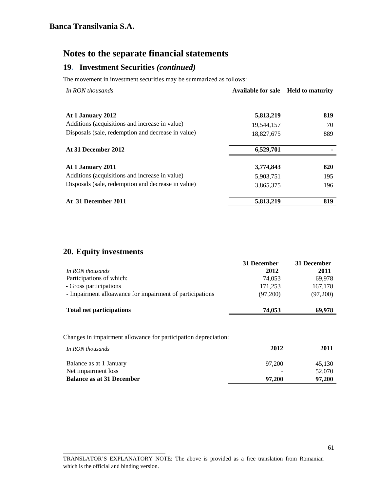## **19. Investment Securities** *(continued)*

The movement in investment securities may be summarized as follows:

| In RON thousands                                   | <b>Available for sale</b> | <b>Held to maturity</b> |
|----------------------------------------------------|---------------------------|-------------------------|
| At 1 January 2012                                  | 5,813,219                 | 819                     |
| Additions (acquisitions and increase in value)     | 19,544,157                | 70                      |
| Disposals (sale, redemption and decrease in value) | 18,827,675                | 889                     |
| At 31 December 2012                                | 6,529,701                 |                         |
| At 1 January 2011                                  | 3,774,843                 | 820                     |
| Additions (acquisitions and increase in value)     | 5,903,751                 | 195                     |
| Disposals (sale, redemption and decrease in value) | 3,865,375                 | 196                     |
| At 31 December 2011                                | 5,813,219                 | 819                     |

# **20. Equity investments**

\_\_\_\_\_\_\_\_\_\_\_\_\_\_\_\_\_\_\_\_\_\_\_\_\_\_\_\_\_\_\_\_\_\_\_

|                                                          | 31 December | 31 December |
|----------------------------------------------------------|-------------|-------------|
| In RON thousands                                         | 2012        | 2011        |
| Participations of which:                                 | 74.053      | 69,978      |
| - Gross participations                                   | 171,253     | 167,178     |
| - Impairment alloawance for impairment of participations | (97.200)    | (97,200)    |
| <b>Total net participations</b>                          | 74,053      | 69,978      |

Changes in impairment allowance for participation depreciation:

| In RON thousands                 | 2012   | 2011   |
|----------------------------------|--------|--------|
| Balance as at 1 January          | 97.200 | 45.130 |
| Net impairment loss              |        | 52,070 |
| <b>Balance as at 31 December</b> | 97,200 | 97,200 |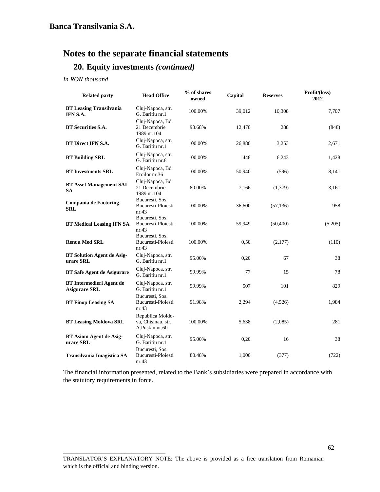## **20. Equity investments** *(continued)*

*In RON thousand* 

| <b>Related party</b>                                    | <b>Head Office</b>                                                | % of shares<br>owned | Capital | <b>Reserves</b> | Profit/(loss)<br>2012 |
|---------------------------------------------------------|-------------------------------------------------------------------|----------------------|---------|-----------------|-----------------------|
| <b>BT Leasing Transilvania</b><br>IFN S.A.              | Cluj-Napoca, str.<br>G. Baritiu nr.1                              | 100.00%              | 39,012  | 10,308          | 7,707                 |
| <b>BT</b> Securities S.A.                               | Cluj-Napoca, Bd.<br>21 Decembrie<br>1989 nr.104                   | 98.68%               | 12,470  | 288             | (848)                 |
| <b>BT Direct IFN S.A.</b>                               | Cluj-Napoca, str.<br>G. Baritiu nr.1                              | 100.00%              | 26,880  | 3,253           | 2,671                 |
| <b>BT Building SRL</b>                                  | Cluj-Napoca, str.<br>G. Baritiu nr.8                              | 100.00%              | 448     | 6,243           | 1,428                 |
| <b>BT Investments SRL</b>                               | Cluj-Napoca, Bd.<br>Eroilor nr.36                                 | 100.00%              | 50,940  | (596)           | 8,141                 |
| <b>BT Asset Management SAI</b><br><b>SA</b>             | Cluj-Napoca, Bd.<br>21 Decembrie<br>1989 nr.104                   | 80.00%               | 7,166   | (1,379)         | 3,161                 |
| <b>Compania de Factoring</b><br><b>SRL</b>              | Bucuresti, Sos.<br>Bucuresti-Ploiesti<br>nr.43                    | 100.00%              | 36,600  | (57, 136)       | 958                   |
| <b>BT Medical Leasing IFN SA</b>                        | Bucuresti, Sos.<br>Bucuresti-Ploiesti<br>nr.43<br>Bucuresti, Sos. | 100.00%              | 59,949  | (50, 400)       | (5,205)               |
| <b>Rent a Med SRL</b>                                   | Bucuresti-Ploiesti<br>nr.43                                       | 100.00%              | 0,50    | (2,177)         | (110)                 |
| <b>BT Solution Agent de Asig-</b><br>urare SRL          | Cluj-Napoca, str.<br>G. Baritiu nr.1                              | 95.00%               | 0,20    | 67              | 38                    |
| <b>BT Safe Agent de Asigurare</b>                       | Cluj-Napoca, str.<br>G. Baritiu nr.1                              | 99.99%               | 77      | 15              | 78                    |
| <b>BT</b> Intermedieri Agent de<br><b>Asigurare SRL</b> | Cluj-Napoca, str.<br>G. Baritiu nr.1                              | 99.99%               | 507     | 101             | 829                   |
| <b>BT Finop Leasing SA</b>                              | Bucuresti, Sos.<br>Bucuresti-Ploiesti<br>nr.43                    | 91.98%               | 2,294   | (4,526)         | 1,984                 |
| <b>BT Leasing Moldova SRL</b>                           | Republica Moldo-<br>va, Chisinau, str.<br>A.Puskin nr.60          | 100.00%              | 5,638   | (2,085)         | 281                   |
| <b>BT Asiom Agent de Asig-</b><br>urare SRL             | Cluj-Napoca, str.<br>G. Baritiu nr.1                              | 95.00%               | 0,20    | 16              | 38                    |
| Transilvania Imagistica SA                              | Bucuresti, Sos.<br>Bucuresti-Ploiesti<br>nr.43                    | 80.48%               | 1,000   | (377)           | (722)                 |

The financial information presented, related to the Bank's subsidiaries were prepared in accordance with the statutory requirements in force.

TRANSLATOR'S EXPLANATORY NOTE: The above is provided as a free translation from Romanian which is the official and binding version.

\_\_\_\_\_\_\_\_\_\_\_\_\_\_\_\_\_\_\_\_\_\_\_\_\_\_\_\_\_\_\_\_\_\_\_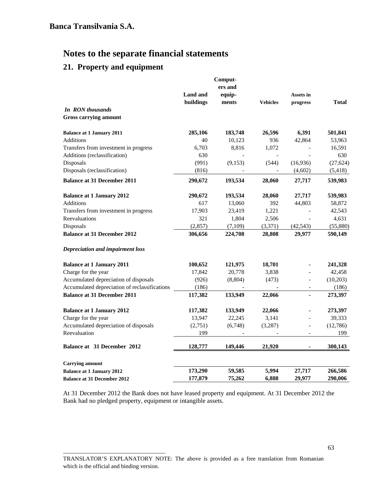# **21. Property and equipment**

\_\_\_\_\_\_\_\_\_\_\_\_\_\_\_\_\_\_\_\_\_\_\_\_\_\_\_\_\_\_\_\_\_\_\_

|                                               |                 | Comput-  |                 |                          |           |
|-----------------------------------------------|-----------------|----------|-----------------|--------------------------|-----------|
|                                               |                 | ers and  |                 |                          |           |
|                                               | <b>Land and</b> | equip-   |                 | Assets in                |           |
|                                               | buildings       | ments    | <b>Vehicles</b> | progress                 | Total     |
| In RON thousands                              |                 |          |                 |                          |           |
| <b>Gross carrying amount</b>                  |                 |          |                 |                          |           |
| <b>Balance at 1 January 2011</b>              | 285,106         | 183,748  | 26,596          | 6,391                    | 501,841   |
| Additions                                     | 40              | 10,123   | 936             | 42,864                   | 53,963    |
| Transfers from investment in progress         | 6,703           | 8,816    | 1,072           |                          | 16,591    |
| Additions (reclassification)                  | 630             |          |                 |                          | 630       |
| Disposals                                     | (991)           | (9,153)  | (544)           | (16,936)                 | (27, 624) |
| Disposals (reclassification)                  | (816)           |          |                 | (4,602)                  | (5, 418)  |
| <b>Balance at 31 December 2011</b>            | 290,672         | 193,534  | 28,060          | 27,717                   | 539,983   |
| <b>Balance at 1 January 2012</b>              | 290,672         | 193,534  | 28,060          | 27,717                   | 539,983   |
| <b>Additions</b>                              | 617             | 13,060   | 392             | 44,803                   | 58,872    |
| Transfers from investment in progress         | 17,903          | 23,419   | 1,221           |                          | 42,543    |
| Reevaluations                                 | 321             | 1,804    | 2,506           |                          | 4,631     |
| Disposals                                     | (2, 857)        | (7,109)  | (3,371)         | (42, 543)                | (55,880)  |
| <b>Balance at 31 December 2012</b>            | 306,656         | 224,708  | 28,808          | 29,977                   | 590,149   |
| Depreciation and impairment loss              |                 |          |                 |                          |           |
| <b>Balance at 1 January 2011</b>              | 100,652         | 121,975  | 18,701          |                          | 241,328   |
| Charge for the year                           | 17,842          | 20,778   | 3,838           |                          | 42,458    |
| Accumulated depreciation of disposals         | (926)           | (8, 804) | (473)           | $\overline{a}$           | (10,203)  |
| Accumulated depreciation of reclassifications | (186)           |          |                 | $\overline{\phantom{a}}$ | (186)     |
| <b>Balance at 31 December 2011</b>            | 117,382         | 133,949  | 22,066          | ä,                       | 273,397   |
| <b>Balance at 1 January 2012</b>              | 117,382         | 133,949  | 22,066          |                          | 273,397   |
| Charge for the year                           | 13,947          | 22,245   | 3,141           |                          | 39,333    |
| Accumulated depreciation of disposals         | (2,751)         | (6,748)  | (3,287)         |                          | (12,786)  |
| Reevaluation                                  | 199             |          |                 |                          | 199       |
| <b>Balance at 31 December 2012</b>            | 128,777         | 149,446  | 21,920          |                          | 300,143   |
| <b>Carrying amount</b>                        |                 |          |                 |                          |           |
| <b>Balance at 1 January 2012</b>              | 173,290         | 59,585   | 5,994           | 27,717                   | 266,586   |
| <b>Balance at 31 December 2012</b>            | 177,879         | 75,262   | 6,888           | 29,977                   | 290,006   |

At 31 December 2012 the Bank does not have leased property and equipment. At 31 December 2012 the Bank had no pledged property, equipment or intangible assets.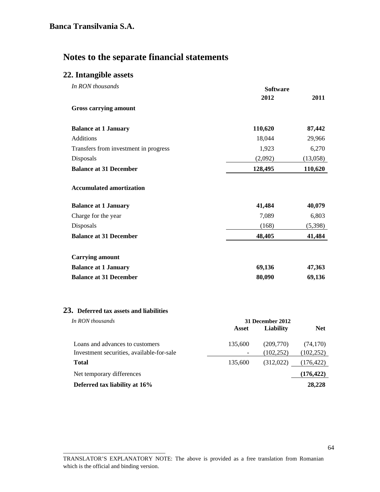## **22. Intangible assets**

| In RON thousands                      | <b>Software</b> |          |
|---------------------------------------|-----------------|----------|
|                                       | 2012            | 2011     |
| <b>Gross carrying amount</b>          |                 |          |
| <b>Balance at 1 January</b>           | 110,620         | 87,442   |
| <b>Additions</b>                      | 18,044          | 29,966   |
| Transfers from investment in progress | 1,923           | 6,270    |
| Disposals                             | (2,092)         | (13,058) |
| <b>Balance at 31 December</b>         | 128,495         | 110,620  |
| <b>Accumulated amortization</b>       |                 |          |
| <b>Balance at 1 January</b>           | 41,484          | 40,079   |
| Charge for the year                   | 7,089           | 6,803    |
| Disposals                             | (168)           | (5,398)  |
| <b>Balance at 31 December</b>         | 48,405          | 41,484   |
| <b>Carrying amount</b>                |                 |          |
| <b>Balance at 1 January</b>           | 69,136          | 47,363   |
| <b>Balance at 31 December</b>         | 80,090          | 69,136   |

#### **23. Deferred tax assets and liabilities**

\_\_\_\_\_\_\_\_\_\_\_\_\_\_\_\_\_\_\_\_\_\_\_\_\_\_\_\_\_\_\_\_\_\_\_

| In RON thousands                          | 31 December 2012 |            |            |
|-------------------------------------------|------------------|------------|------------|
|                                           | Asset            | Liability  | <b>Net</b> |
| Loans and advances to customers           | 135,600          | (209,770)  | (74, 170)  |
| Investment securities, available-for-sale |                  | (102, 252) | (102, 252) |
| <b>Total</b>                              | 135,600          | (312,022)  | (176, 422) |
| Net temporary differences                 |                  |            | (176, 422) |
| Deferred tax liability at 16%             |                  |            | 28,228     |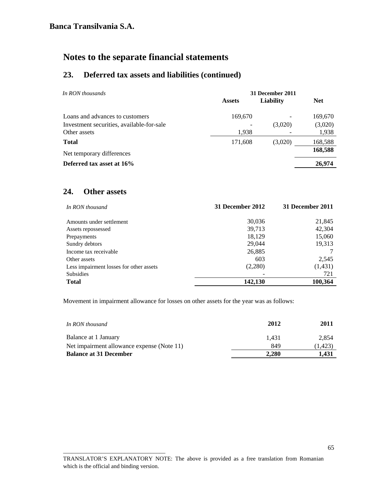## **23. Deferred tax assets and liabilities (continued)**

| In RON thousands                          | 31 December 2011 |                          |            |
|-------------------------------------------|------------------|--------------------------|------------|
|                                           | <b>Assets</b>    | Liability                | <b>Net</b> |
| Loans and advances to customers           | 169,670          | $\overline{\phantom{a}}$ | 169,670    |
| Investment securities, available-for-sale |                  | (3,020)                  | (3,020)    |
| Other assets                              | 1,938            |                          | 1,938      |
| <b>Total</b>                              | 171,608          | (3,020)                  | 168,588    |
| Net temporary differences                 |                  |                          | 168,588    |
| Deferred tax asset at 16%                 |                  |                          | 26,974     |

### **24. Other assets**

\_\_\_\_\_\_\_\_\_\_\_\_\_\_\_\_\_\_\_\_\_\_\_\_\_\_\_\_\_\_\_\_\_\_\_

| In RON thousand                         | 31 December 2012 | 31 December 2011 |
|-----------------------------------------|------------------|------------------|
| Amounts under settlement                | 30,036           | 21,845           |
| Assets repossessed                      | 39,713           | 42,304           |
| Prepayments                             | 18,129           | 15,060           |
| Sundry debtors                          | 29,044           | 19,313           |
| Income tax receivable                   | 26,885           |                  |
| Other assets                            | 603              | 2,545            |
| Less impairment losses for other assets | (2,280)          | (1, 431)         |
| <b>Subsidies</b>                        |                  | 721              |
| <b>Total</b>                            | 142,130          | 100.364          |

Movement in impairment allowance for losses on other assets for the year was as follows:

| In RON thousand                            | 2012  | 2011    |
|--------------------------------------------|-------|---------|
| Balance at 1 January                       | 1.431 | 2.854   |
| Net impairment allowance expense (Note 11) | 849   | (1.423) |
| <b>Balance at 31 December</b>              | 2.280 | 1.431   |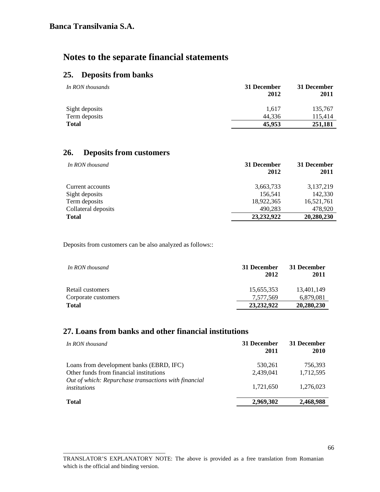## **25. Deposits from banks**

| In RON thousands | 31 December<br>2012 | 31 December<br>2011 |
|------------------|---------------------|---------------------|
| Sight deposits   | 1.617               | 135,767             |
| Term deposits    | 44.336              | 115.414             |
| <b>Total</b>     | 45,953              | 251,181             |

# **26. Deposits from customers**

\_\_\_\_\_\_\_\_\_\_\_\_\_\_\_\_\_\_\_\_\_\_\_\_\_\_\_\_\_\_\_\_\_\_\_

| In RON thousand     | 31 December<br>2012 | 31 December<br>2011 |
|---------------------|---------------------|---------------------|
| Current accounts    | 3,663,733           | 3,137,219           |
| Sight deposits      | 156,541             | 142,330             |
| Term deposits       | 18,922,365          | 16,521,761          |
| Collateral deposits | 490,283             | 478,920             |
| <b>Total</b>        | 23.232.922          | 20,280,230          |

Deposits from customers can be also analyzed as follows::

| In RON thousand     | 31 December<br>2012 | 31 December<br>2011 |
|---------------------|---------------------|---------------------|
| Retail customers    | 15,655,353          | 13.401.149          |
| Corporate customers | 7.577.569           | 6,879,081           |
| <b>Total</b>        | 23.232.922          | 20,280,230          |

## **27. Loans from banks and other financial institutions**

| In RON thousand                                                                     | 31 December<br>2011  | 31 December<br>2010  |
|-------------------------------------------------------------------------------------|----------------------|----------------------|
| Loans from development banks (EBRD, IFC)<br>Other funds from financial institutions | 530.261<br>2,439,041 | 756.393<br>1,712,595 |
| Out of which: Repurchase transactions with financial<br>institutions                | 1.721.650            | 1.276.023            |
| <b>Total</b>                                                                        | 2,969,302            | 2,468,988            |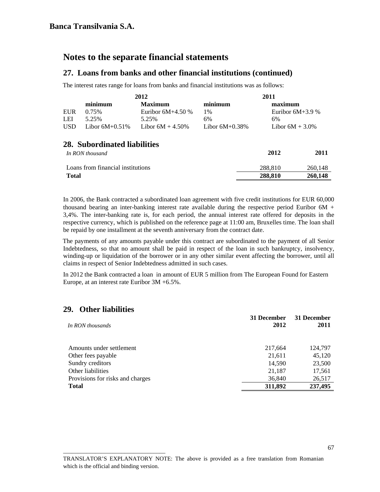### **27. Loans from banks and other financial institutions (continued)**

The interest rates range for loans from banks and financial institutions was as follows:

|                                           |                   | 2012                |                   | 2011               |
|-------------------------------------------|-------------------|---------------------|-------------------|--------------------|
|                                           | minimum           | <b>Maximum</b>      | minimum           | maximum            |
| EUR                                       | 0.75%             | Euribor $6M+4.50\%$ | 1%                | Euribor $6M+3.9%$  |
| LEI                                       | 5.25%             | 5.25%               | 6%                | 6%                 |
| <b>USD</b>                                | Libor $6M+0.51\%$ | Libor $6M + 4.50\%$ | Libor $6M+0.38\%$ | Libor $6M + 3.0\%$ |
|                                           |                   |                     |                   |                    |
| $\bullet \bullet \bullet \bullet \bullet$ |                   |                     |                   |                    |

## **28. Subordinated liabilities**

| In RON thousand                   | 2012    | 2011    |
|-----------------------------------|---------|---------|
| Loans from financial institutions | 288.810 | 260,148 |
| <b>Total</b>                      | 288.810 | 260,148 |
|                                   |         |         |

In 2006, the Bank contracted a subordinated loan agreement with five credit institutions for EUR 60,000 thousand bearing an inter-banking interest rate available during the respective period Euribor 6M + 3,4%. The inter-banking rate is, for each period, the annual interest rate offered for deposits in the respective currency, which is published on the reference page at 11:00 am, Bruxelles time. The loan shall be repaid by one installment at the seventh anniversary from the contract date.

 The payments of any amounts payable under this contract are subordinated to the payment of all Senior Indebtedness, so that no amount shall be paid in respect of the loan in such bankruptcy, insolvency, winding-up or liquidation of the borrower or in any other similar event affecting the borrower, until all claims in respect of Senior Indebtedness admitted in such cases.

In 2012 the Bank contracted a loan in amount of EUR 5 million from The European Found for Eastern Europe, at an interest rate Euribor 3M +6.5%.

### **29. Other liabilities**

\_\_\_\_\_\_\_\_\_\_\_\_\_\_\_\_\_\_\_\_\_\_\_\_\_\_\_\_\_\_\_\_\_\_\_

| In RON thousands                 | 31 December<br>2012 | 31 December<br>2011 |
|----------------------------------|---------------------|---------------------|
| Amounts under settlement         | 217,664             | 124,797             |
| Other fees payable               | 21,611              | 45,120              |
| Sundry creditors                 | 14.590              | 23,500              |
| Other liabilities                | 21,187              | 17,561              |
| Provisions for risks and charges | 36,840              | 26,517              |
| <b>Total</b>                     | 311,892             | 237,495             |
|                                  |                     |                     |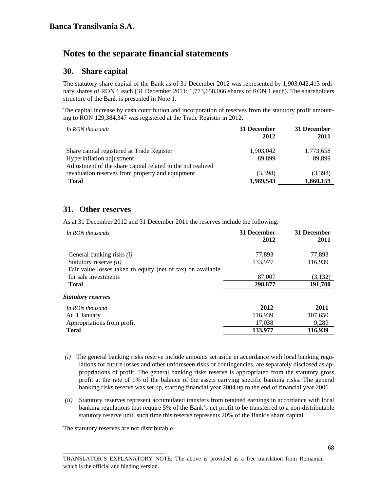### **30. Share capital**

The statutory share capital of the Bank as of 31 December 2012 was represented by 1,903,042,413 ordinary shares of RON 1 each (31 December 2011: 1,773,658,066 shares of RON 1 each). The shareholders structure of the Bank is presented in Note 1.

The capital increase by cash contribution and incorporation of reserves from the statutory profit amounting to RON 129,384,347 was registered at the Trade Register in 2012.

| 31 December<br>2012 | 31 December<br>2011 |
|---------------------|---------------------|
| 1,903,042           | 1,773,658           |
| 89.899              | 89,899              |
|                     |                     |
| (3.398)             | (3,398)             |
| 1,989,543           | 1,860,159           |
|                     |                     |

### **31. Other reserves**

As at 31 December 2012 and 31 December 2011 the reserves include the following:

| In RON thousands                                            | 31 December<br>2012 | 31 December<br>2011 |
|-------------------------------------------------------------|---------------------|---------------------|
| General banking risks $(i)$                                 | 77,893              | 77,893              |
| Statutory reserve <i>(ii)</i>                               | 133,977             | 116,939             |
| Fair value losses taken to equity (net of tax) on available |                     |                     |
| for sale investments                                        | 87,007              | (3,132)             |
| Total                                                       | 298,877             | 191,700             |
| Statutory reserves                                          |                     |                     |
| In RON thousand                                             | 2012                | 2011                |
| At 1 January                                                | 116,939             | 107,650             |
| Appropriations from profit                                  | 17,038              | 9,289               |
| <b>Total</b>                                                | 133,977             | 116,939             |

- *(i)* The general banking risks reserve include amounts set aside in accordance with local banking regulations for future losses and other unforeseen risks or contingencies, are separately disclosed as appropriations of profit. The general banking risks reserve is appropriated from the statutory gross profit at the rate of 1% of the balance of the assets carrying specific banking risks. The general banking risks reserve was set up, starting financial year 2004 up to the end of financial year 2006.
- *(ii)* Statutory reserves represent accumulated transfers from retained earnings in accordance with local banking regulations that require 5% of the Bank's net profit to be transferred to a non-distributable statutory reserve until such time this reserve represents 20% of the Bank's share capital

The statutory reserves are not distributable.

\_\_\_\_\_\_\_\_\_\_\_\_\_\_\_\_\_\_\_\_\_\_\_\_\_\_\_\_\_\_\_\_\_\_\_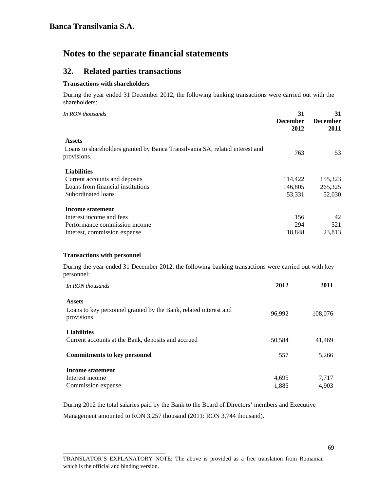### **32. Related parties transactions**

#### **Transactions with shareholders**

During the year ended 31 December 2012, the following banking transactions were carried out with the shareholders:

| In RON thousands                                                                            | 31<br><b>December</b><br>2012 | 31<br><b>December</b><br>2011 |
|---------------------------------------------------------------------------------------------|-------------------------------|-------------------------------|
| <b>Assets</b>                                                                               |                               |                               |
| Loans to shareholders granted by Banca Transilvania SA, related interest and<br>provisions. | 763                           | 53                            |
| <b>Liabilities</b>                                                                          |                               |                               |
| Current accounts and deposits                                                               | 114,422                       | 155,323                       |
| Loans from financial institutions                                                           | 146,805                       | 265,325                       |
| Subordinated loans                                                                          | 53,331                        | 52,030                        |
| <b>Income statement</b>                                                                     |                               |                               |
| Interest income and fees                                                                    | 156                           | 42                            |
| Performance commission income                                                               | 294                           | 521                           |
| Interest, commission expense                                                                | 18,848                        | 23,813                        |

#### **Transactions with personnel**

\_\_\_\_\_\_\_\_\_\_\_\_\_\_\_\_\_\_\_\_\_\_\_\_\_\_\_\_\_\_\_\_\_\_\_

During the year ended 31 December 2012, the following banking transactions were carried out with key personnel:

| In RON thousands                                                                                | 2012   | 2011    |
|-------------------------------------------------------------------------------------------------|--------|---------|
| <b>Assets</b><br>Loans to key personnel granted by the Bank, related interest and<br>provisions | 96.992 | 108,076 |
| <b>Liabilities</b><br>Current accounts at the Bank, deposits and accrued                        | 50.584 | 41,469  |
| <b>Commitments to key personnel</b>                                                             | 557    | 5,266   |
| Income statement                                                                                |        |         |
| Interest income                                                                                 | 4,695  | 7,717   |
| Commission expense                                                                              | 1,885  | 4.903   |

During 2012 the total salaries paid by the Bank to the Board of Directors' members and Executive

Management amounted to RON 3,257 thousand (2011: RON 3,744 thousand).